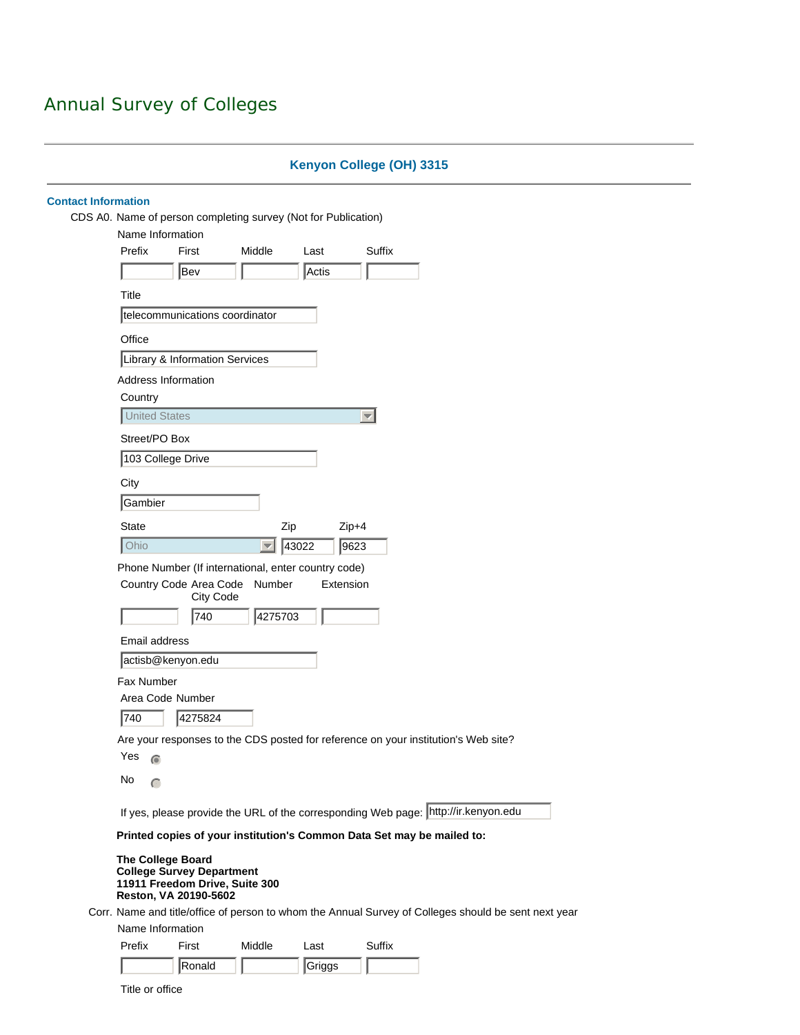# **Kenyon College (OH) 3315**

| Name Information                                                                                                        |                     | CDS A0. Name of person completing survey (Not for Publication) |                                                                                                      |  |  |  |  |
|-------------------------------------------------------------------------------------------------------------------------|---------------------|----------------------------------------------------------------|------------------------------------------------------------------------------------------------------|--|--|--|--|
| Prefix<br>First                                                                                                         | Middle              | Last                                                           | Suffix                                                                                               |  |  |  |  |
| Bev                                                                                                                     |                     | Actis                                                          |                                                                                                      |  |  |  |  |
|                                                                                                                         |                     |                                                                |                                                                                                      |  |  |  |  |
| Title                                                                                                                   |                     |                                                                |                                                                                                      |  |  |  |  |
| telecommunications coordinator                                                                                          |                     |                                                                |                                                                                                      |  |  |  |  |
| Office                                                                                                                  |                     |                                                                |                                                                                                      |  |  |  |  |
| Library & Information Services                                                                                          |                     |                                                                |                                                                                                      |  |  |  |  |
| Address Information                                                                                                     |                     |                                                                |                                                                                                      |  |  |  |  |
| Country                                                                                                                 |                     |                                                                |                                                                                                      |  |  |  |  |
| <b>United States</b>                                                                                                    |                     |                                                                | $\overline{\phantom{a}}$                                                                             |  |  |  |  |
| Street/PO Box                                                                                                           |                     |                                                                |                                                                                                      |  |  |  |  |
| 103 College Drive                                                                                                       |                     |                                                                |                                                                                                      |  |  |  |  |
| City                                                                                                                    |                     |                                                                |                                                                                                      |  |  |  |  |
| Gambier                                                                                                                 |                     |                                                                |                                                                                                      |  |  |  |  |
| <b>State</b>                                                                                                            |                     | Zip                                                            | $Zip+4$                                                                                              |  |  |  |  |
| Ohio                                                                                                                    | $ \nabla $          | 43022                                                          | 9623                                                                                                 |  |  |  |  |
| Phone Number (If international, enter country code)                                                                     |                     |                                                                |                                                                                                      |  |  |  |  |
| Country Code Area Code                                                                                                  | Number<br>City Code | Extension                                                      |                                                                                                      |  |  |  |  |
| 740                                                                                                                     | 4275703             |                                                                |                                                                                                      |  |  |  |  |
| Email address                                                                                                           |                     |                                                                |                                                                                                      |  |  |  |  |
| actisb@kenyon.edu                                                                                                       |                     |                                                                |                                                                                                      |  |  |  |  |
| Fax Number                                                                                                              |                     |                                                                |                                                                                                      |  |  |  |  |
| Area Code Number                                                                                                        |                     |                                                                |                                                                                                      |  |  |  |  |
| 740<br>4275824                                                                                                          |                     |                                                                |                                                                                                      |  |  |  |  |
|                                                                                                                         |                     |                                                                | Are your responses to the CDS posted for reference on your institution's Web site?                   |  |  |  |  |
| Yes<br>$\odot$                                                                                                          |                     |                                                                |                                                                                                      |  |  |  |  |
| $\mathsf{No}$<br>$\subset$                                                                                              |                     |                                                                |                                                                                                      |  |  |  |  |
|                                                                                                                         |                     |                                                                | If yes, please provide the URL of the corresponding Web page:   http://ir.kenyon.edu                 |  |  |  |  |
|                                                                                                                         |                     |                                                                |                                                                                                      |  |  |  |  |
|                                                                                                                         |                     |                                                                | Printed copies of your institution's Common Data Set may be mailed to:                               |  |  |  |  |
| <b>The College Board</b><br><b>College Survey Department</b><br>11911 Freedom Drive, Suite 300<br>Reston, VA 20190-5602 |                     |                                                                |                                                                                                      |  |  |  |  |
|                                                                                                                         |                     |                                                                | Corr. Name and title/office of person to whom the Annual Survey of Colleges should be sent next year |  |  |  |  |
| Name Information                                                                                                        |                     |                                                                |                                                                                                      |  |  |  |  |
| Prefix<br>First                                                                                                         | Middle              | Last                                                           | Suffix                                                                                               |  |  |  |  |
| Ronald                                                                                                                  |                     | Griggs                                                         |                                                                                                      |  |  |  |  |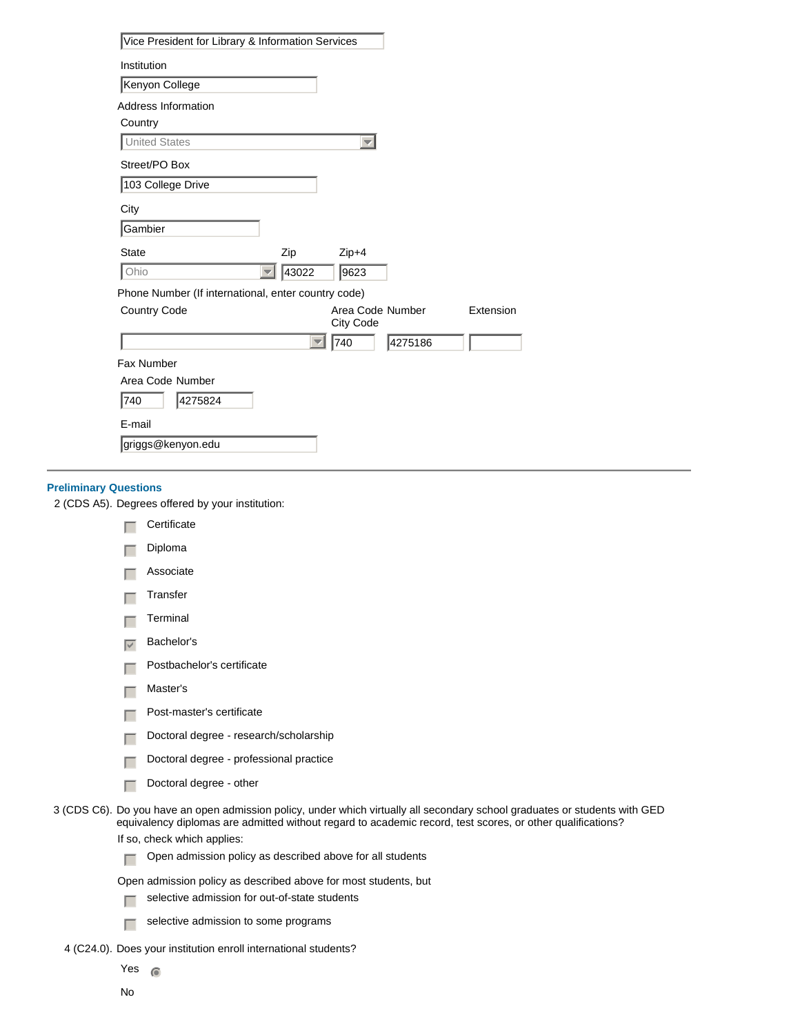| Vice President for Library & Information Services   |                                      |         |           |
|-----------------------------------------------------|--------------------------------------|---------|-----------|
| Institution                                         |                                      |         |           |
| Kenyon College                                      |                                      |         |           |
| Address Information                                 |                                      |         |           |
| Country                                             |                                      |         |           |
| <b>United States</b>                                | $\overline{\mathbf{v}}$              |         |           |
| Street/PO Box                                       |                                      |         |           |
| 103 College Drive                                   |                                      |         |           |
| City                                                |                                      |         |           |
| Gambier                                             |                                      |         |           |
| <b>State</b><br>Zip                                 | $Zip+4$                              |         |           |
| Ohio<br>43022                                       | 9623                                 |         |           |
| Phone Number (If international, enter country code) |                                      |         |           |
| <b>Country Code</b>                                 | Area Code Number<br><b>City Code</b> |         | Extension |
| $\overline{\phantom{a}}$                            | 740                                  | 4275186 |           |
| Fax Number                                          |                                      |         |           |
| Area Code Number                                    |                                      |         |           |
| 4275824<br>740                                      |                                      |         |           |
| E-mail                                              |                                      |         |           |
| griggs@kenyon.edu                                   |                                      |         |           |

## **Preliminary Questions**

2 (CDS A5). Degrees offered by your institution:

|                   | Certificate                                                                                                                                                                                                                               |
|-------------------|-------------------------------------------------------------------------------------------------------------------------------------------------------------------------------------------------------------------------------------------|
|                   | Diploma                                                                                                                                                                                                                                   |
|                   | Associate                                                                                                                                                                                                                                 |
|                   | Transfer                                                                                                                                                                                                                                  |
|                   | Terminal                                                                                                                                                                                                                                  |
| $\overline{\vee}$ | Bachelor's                                                                                                                                                                                                                                |
|                   | Postbachelor's certificate                                                                                                                                                                                                                |
|                   | Master's                                                                                                                                                                                                                                  |
|                   | Post-master's certificate                                                                                                                                                                                                                 |
|                   | Doctoral degree - research/scholarship                                                                                                                                                                                                    |
|                   | Doctoral degree - professional practice                                                                                                                                                                                                   |
|                   | Doctoral degree - other                                                                                                                                                                                                                   |
|                   | 3 (CDS C6). Do you have an open admission policy, under which virtually all secondary school graduates or students with GED<br>equivalency diplomas are admitted without regard to academic record, test scores, or other qualifications? |
|                   | If so check which applies:                                                                                                                                                                                                                |

- equivalency diplomas are admitted without regard to academic record, test scores, or other qualifications? If so, check which applies:
	- $\Box$  Open admission policy as described above for all students

Open admission policy as described above for most students, but

- $\Box$  selective admission for out-of-state students
- $\sqrt{ }$  selective admission to some programs
- 4 (C24.0). Does your institution enroll international students?

Yes  $\circ$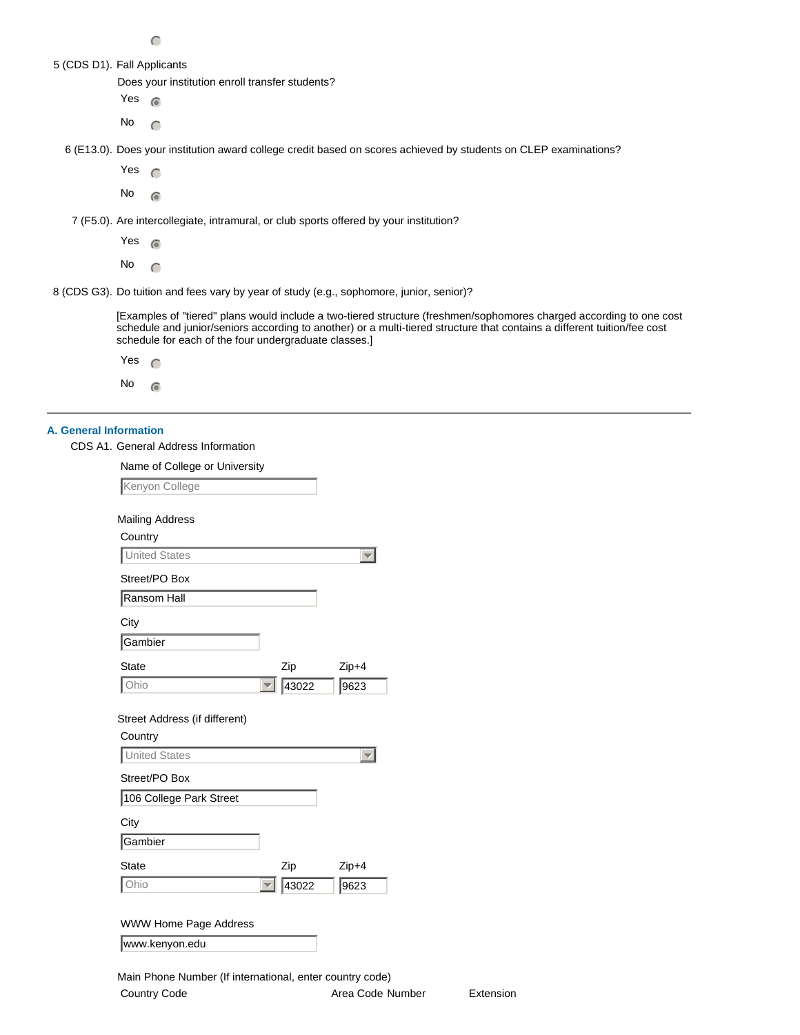| I<br>VV V<br>ł<br>۳ |  |
|---------------------|--|

|  |  |  |  | 5 (CDS D1). Fall Applicants |
|--|--|--|--|-----------------------------|
|--|--|--|--|-----------------------------|

Does your institution enroll transfer students?

Yes  $\circ$ 

No  $\bigcap$ 

6 (E13.0). Does your institution award college credit based on scores achieved by students on CLEP examinations?

Yes  $\cap$ 

 $No \n\odot$ 

7 (F5.0). Are intercollegiate, intramural, or club sports offered by your institution?

Yes  $\bigcap$ 

No  $\subset$ 

8 (CDS G3). Do tuition and fees vary by year of study (e.g., sophomore, junior, senior)?

[Examples of "tiered" plans would include a two-tiered structure (freshmen/sophomores charged according to one cost schedule and junior/seniors according to another) or a multi-tiered structure that contains a different tuition/fee cost schedule for each of the four undergraduate classes.]

| Yes |  |
|-----|--|
| No  |  |

### **A. General Information**

CDS A1. General Address Information

Name of College or University

| Kenyon College                                 |                                   |       |
|------------------------------------------------|-----------------------------------|-------|
| <b>Mailing Address</b>                         |                                   |       |
| Country                                        |                                   |       |
| <b>Jnited States</b>                           |                                   |       |
| Street/PO Box                                  |                                   |       |
| Ransom Hall                                    |                                   |       |
| City                                           |                                   |       |
| Gambier                                        |                                   |       |
| State                                          | Zip                               | Zip+4 |
| Ohio                                           | 43022<br>$\overline{\phantom{0}}$ | 9623  |
| Street Address (if different)<br>Country       |                                   |       |
| <b>United States</b>                           |                                   |       |
| Street/PO Box                                  |                                   |       |
| 106 College Park Street                        |                                   |       |
| City                                           |                                   |       |
| Gambier                                        |                                   |       |
| <b>State</b>                                   | Zip                               | Zip+4 |
| Ohio                                           | 43022                             | 9623  |
| <b>WWW Home Page Address</b><br>www.kenyon.edu |                                   |       |
|                                                |                                   |       |

Main Phone Number (If international, enter country code) Country Code **Area Code Number** Extension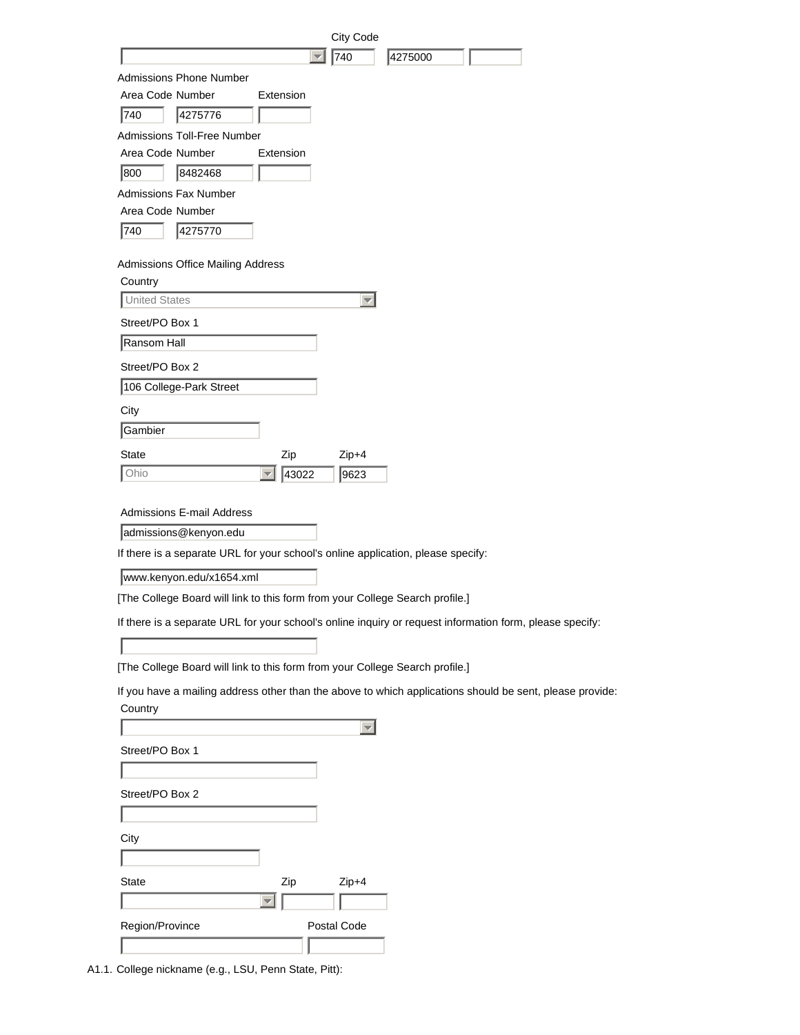| City Code                                                                                                |
|----------------------------------------------------------------------------------------------------------|
| 740<br>4275000<br>▼                                                                                      |
| <b>Admissions Phone Number</b>                                                                           |
| Area Code Number<br>Extension                                                                            |
| 740<br>4275776                                                                                           |
| <b>Admissions Toll-Free Number</b>                                                                       |
| Area Code Number<br>Extension                                                                            |
| 8482468<br>1800                                                                                          |
| <b>Admissions Fax Number</b>                                                                             |
| Area Code Number                                                                                         |
| 740<br>4275770                                                                                           |
| Admissions Office Mailing Address                                                                        |
| Country                                                                                                  |
| <b>United States</b><br>$\overline{\phantom{a}}$                                                         |
| Street/PO Box 1                                                                                          |
| Ransom Hall                                                                                              |
| Street/PO Box 2                                                                                          |
| 106 College-Park Street                                                                                  |
| City                                                                                                     |
| Gambier                                                                                                  |
| State<br>Zip<br>Zip+4                                                                                    |
| 43022<br>Ohio<br>9623<br>$\overline{\phantom{a}}$                                                        |
|                                                                                                          |
| <b>Admissions E-mail Address</b>                                                                         |
| admissions@kenyon.edu                                                                                    |
| If there is a separate URL for your school's online application, please specify:                         |
| www.kenyon.edu/x1654.xml                                                                                 |
| [The College Board will link to this form from your College Search profile.]                             |
| If there is a separate URL for your school's online inquiry or request information form, please specify: |
|                                                                                                          |
| [The College Board will link to this form from your College Search profile.]                             |
| If you have a mailing address other than the above to which applications should be sent, please provide: |
| Country                                                                                                  |
| $\overline{\phantom{m}}$                                                                                 |
| Street/PO Box 1                                                                                          |
|                                                                                                          |
| Street/PO Box 2                                                                                          |
|                                                                                                          |
| City                                                                                                     |
|                                                                                                          |
| State                                                                                                    |
|                                                                                                          |
|                                                                                                          |
| $Zip+4$<br>Zip<br>Region/Province<br>Postal Code                                                         |

A1.1. College nickname (e.g., LSU, Penn State, Pitt):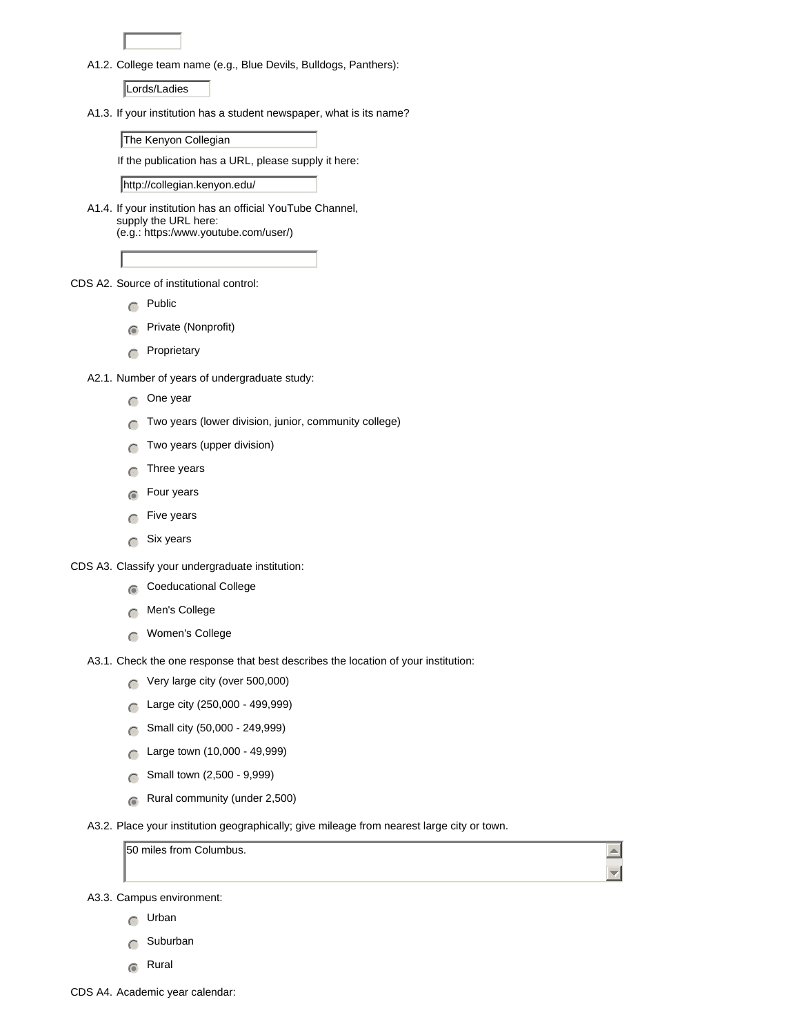A1.2. College team name (e.g., Blue Devils, Bulldogs, Panthers):

Lords/Ladies

A1.3. If your institution has a student newspaper, what is its name?

The Kenyon Collegian

If the publication has a URL, please supply it here:

http://collegian.kenyon.edu/

A1.4. If your institution has an official YouTube Channel, supply the URL here: (e.g.: https:/www.youtube.com/user/)

CDS A2. Source of institutional control:

- $\bigcap$  Public
- **n**Private (Nonprofit)
- $\cap$  Proprietary

A2.1. Number of years of undergraduate study:

- $\bigcap$  One year
- $\bigcap$  Two years (lower division, junior, community college)
- $\bigcap$  Two years (upper division)
- $\cap$  Three years
- $\epsilon$  Four years
- $\bigcap$  Five years
- $\bigcap$  Six years

CDS A3. Classify your undergraduate institution:

- $\bigcap$  Coeducational College
- $\bigcap$  Men's College
- $\bigcap$  Women's College
- A3.1. Check the one response that best describes the location of your institution:
	- $\bigcap$  Very large city (over 500,000)
	- nmlkj Large city (250,000 499,999)
	- 6 Small city (50,000 249,999)
	- $\bigcap$  Large town (10,000 49,999)
	- $\bigcap$  Small town (2,500 9,999)
	- $\odot$  Rural community (under 2,500)
- A3.2. Place your institution geographically; give mileage from nearest large city or town.

50 miles from Columbus.

 $\blacktriangle$  $\overline{\mathbf{v}}$ 

A3.3. Campus environment:

- $\bigcap$  Urban
- $\bigcap$  Suburban
- $\bigcap$  Rural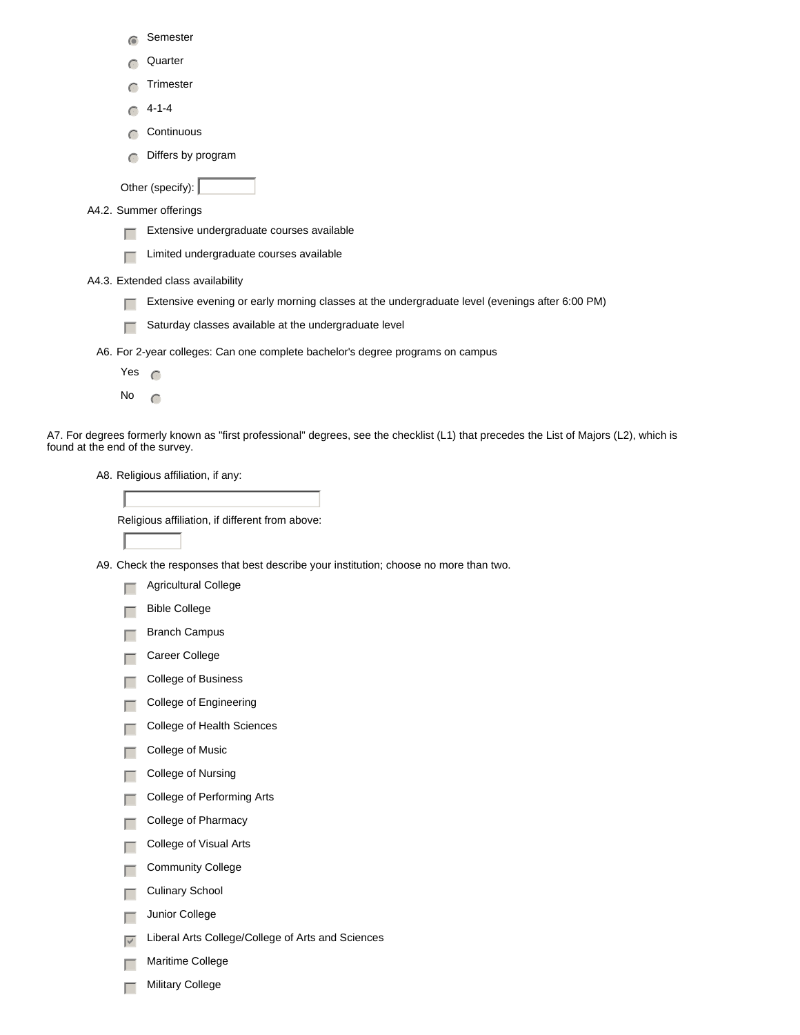| $\widehat{\bullet}$             | Semester                                                                                                                               |
|---------------------------------|----------------------------------------------------------------------------------------------------------------------------------------|
| $\subset$                       | Quarter                                                                                                                                |
|                                 | Trimester                                                                                                                              |
| $\subset$                       | $4 - 1 - 4$                                                                                                                            |
| $\subset$                       | Continuous                                                                                                                             |
| $\subset$                       | Differs by program                                                                                                                     |
|                                 | Other (specify):                                                                                                                       |
|                                 | A4.2. Summer offerings                                                                                                                 |
|                                 | Extensive undergraduate courses available                                                                                              |
|                                 | Limited undergraduate courses available                                                                                                |
|                                 | A4.3. Extended class availability                                                                                                      |
|                                 | Extensive evening or early morning classes at the undergraduate level (evenings after 6:00 PM)                                         |
|                                 | Saturday classes available at the undergraduate level                                                                                  |
|                                 | A6. For 2-year colleges: Can one complete bachelor's degree programs on campus                                                         |
| Yes                             | $\subset$                                                                                                                              |
| No                              | $\subset$                                                                                                                              |
| found at the end of the survey. | A7. For degrees formerly known as "first professional" degrees, see the checklist (L1) that precedes the List of Majors (L2), which is |

A8. Religious affiliation, if any:

 $\Box$  Agricultural College

Religious affiliation, if different from above:

A9. Check the responses that best describe your institution; choose no more than two.

|                   | <b>Bible College</b>                              |
|-------------------|---------------------------------------------------|
|                   | Branch Campus                                     |
|                   | Career College                                    |
|                   | College of Business                               |
|                   | College of Engineering                            |
|                   | College of Health Sciences                        |
|                   | College of Music                                  |
|                   | College of Nursing                                |
|                   | College of Performing Arts                        |
|                   | College of Pharmacy                               |
|                   | College of Visual Arts                            |
|                   | <b>Community College</b>                          |
| п                 | Culinary School                                   |
| Г                 | Junior College                                    |
| $\overline{\vee}$ | Liberal Arts College/College of Arts and Sciences |
|                   | Maritime College                                  |
|                   | <b>Military College</b>                           |
|                   |                                                   |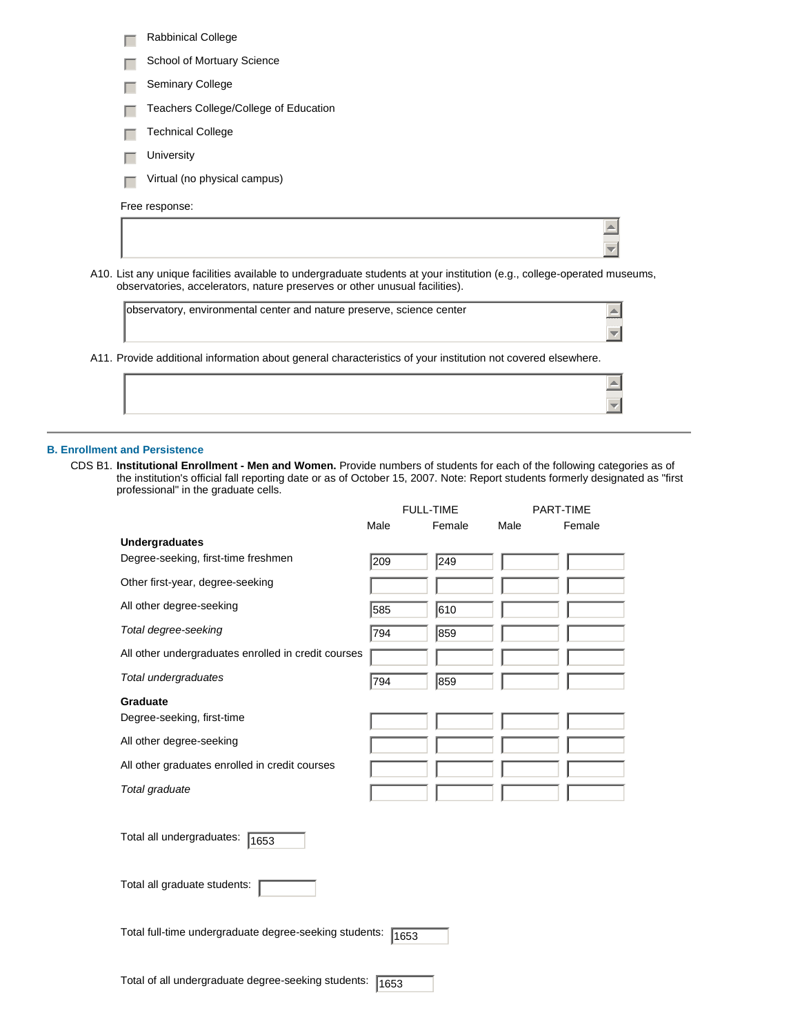| <b>Rabbinical College</b>             |
|---------------------------------------|
| School of Mortuary Science            |
| <b>Seminary College</b>               |
| Teachers College/College of Education |
| <b>Technical College</b>              |
| University                            |
| Virtual (no physical campus)          |
| Free response:                        |
|                                       |
|                                       |

A10. List any unique facilities available to undergraduate students at your institution (e.g., college-operated museums, observatories, accelerators, nature preserves or other unusual facilities).

| observatory, environmental center and nature preserve, science center<br>A11. Provide additional information about general characteristics of your institution not covered elsewhere. |  |
|---------------------------------------------------------------------------------------------------------------------------------------------------------------------------------------|--|
|                                                                                                                                                                                       |  |
|                                                                                                                                                                                       |  |
|                                                                                                                                                                                       |  |
|                                                                                                                                                                                       |  |

## **B. Enrollment and Persistence**

CDS B1. **Institutional Enrollment - Men and Women.** Provide numbers of students for each of the following categories as of the institution's official fall reporting date or as of October 15, 2007. Note: Report students formerly designated as "first professional" in the graduate cells.

 $\overline{\mathbf{v}}$ 

|                                                        |      | <b>FULL-TIME</b> |      | PART-TIME |
|--------------------------------------------------------|------|------------------|------|-----------|
|                                                        | Male | Female           | Male | Female    |
| <b>Undergraduates</b>                                  |      |                  |      |           |
| Degree-seeking, first-time freshmen                    | 209  | 249              |      |           |
| Other first-year, degree-seeking                       |      |                  |      |           |
| All other degree-seeking                               | 585  | 610              |      |           |
| Total degree-seeking                                   | 794  | 859              |      |           |
| All other undergraduates enrolled in credit courses    |      |                  |      |           |
| Total undergraduates                                   | 794  | 859              |      |           |
| Graduate                                               |      |                  |      |           |
| Degree-seeking, first-time                             |      |                  |      |           |
| All other degree-seeking                               |      |                  |      |           |
| All other graduates enrolled in credit courses         |      |                  |      |           |
| Total graduate                                         |      |                  |      |           |
|                                                        |      |                  |      |           |
| Total all undergraduates:<br>1653                      |      |                  |      |           |
| Total all graduate students:                           |      |                  |      |           |
| Total full-time undergraduate degree-seeking students: | 1653 |                  |      |           |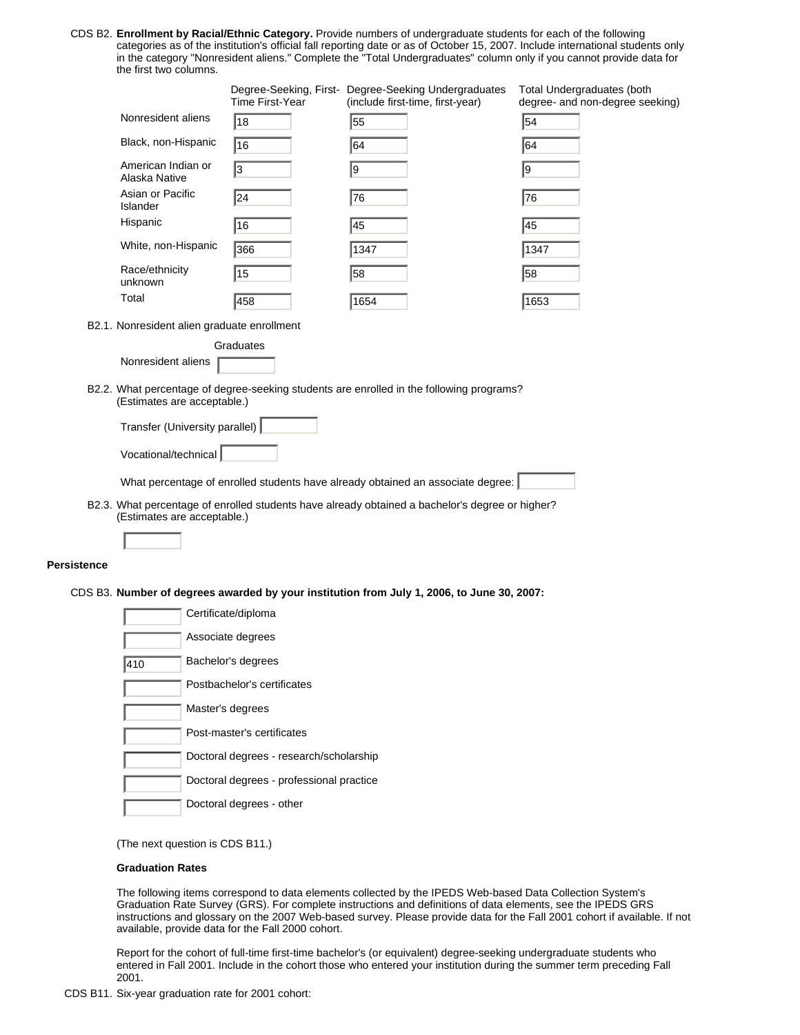CDS B2. **Enrollment by Racial/Ethnic Category.** Provide numbers of undergraduate students for each of the following categories as of the institution's official fall reporting date or as of October 15, 2007. Include international students only in the category "Nonresident aliens." Complete the "Total Undergraduates" column only if you cannot provide data for the first two columns.

|                                     | Time First-Year | Degree-Seeking, First- Degree-Seeking Undergraduates<br>(include first-time, first-year) | <b>Total Undergraduates (both</b><br>degree- and non-degree seeking) |
|-------------------------------------|-----------------|------------------------------------------------------------------------------------------|----------------------------------------------------------------------|
| Nonresident aliens                  | 18              | 55                                                                                       | 54                                                                   |
| Black, non-Hispanic                 | 16              | 64                                                                                       | 64                                                                   |
| American Indian or<br>Alaska Native | l3              | 9                                                                                        | 19                                                                   |
| Asian or Pacific<br>Islander        | 24              | 76                                                                                       | 76                                                                   |
| Hispanic                            | 16              | 45                                                                                       | 45                                                                   |
| White, non-Hispanic                 | 366             | 1347                                                                                     | 1347                                                                 |
| Race/ethnicity<br>unknown           | 15              | 58                                                                                       | 58                                                                   |
| Total                               | 458             | 1654                                                                                     | 1653                                                                 |

B2.1. Nonresident alien graduate enrollment

**Graduates** Nonresident aliens

| B2.2. What percentage of degree-seeking students are enrolled in the following programs? |
|------------------------------------------------------------------------------------------|
| (Estimates are acceptable.)                                                              |

| Transfer (University parallel) |  |  |
|--------------------------------|--|--|
|                                |  |  |
| Vocational/technical           |  |  |

What percentage of enrolled students have already obtained an associate degree:

B2.3. What percentage of enrolled students have already obtained a bachelor's degree or higher? (Estimates are acceptable.)

### **Persistence**

CDS B3. **Number of degrees awarded by your institution from July 1, 2006, to June 30, 2007:**

|     | Certificate/diploma                      |
|-----|------------------------------------------|
|     | Associate degrees                        |
| 410 | Bachelor's degrees                       |
|     | Postbachelor's certificates              |
|     | Master's degrees                         |
|     | Post-master's certificates               |
|     | Doctoral degrees - research/scholarship  |
|     | Doctoral degrees - professional practice |
|     | Doctoral degrees - other                 |

(The next question is CDS B11.)

#### **Graduation Rates**

The following items correspond to data elements collected by the IPEDS Web-based Data Collection System's Graduation Rate Survey (GRS). For complete instructions and definitions of data elements, see the IPEDS GRS instructions and glossary on the 2007 Web-based survey. Please provide data for the Fall 2001 cohort if available. If not available, provide data for the Fall 2000 cohort.

Report for the cohort of full-time first-time bachelor's (or equivalent) degree-seeking undergraduate students who entered in Fall 2001. Include in the cohort those who entered your institution during the summer term preceding Fall 2001.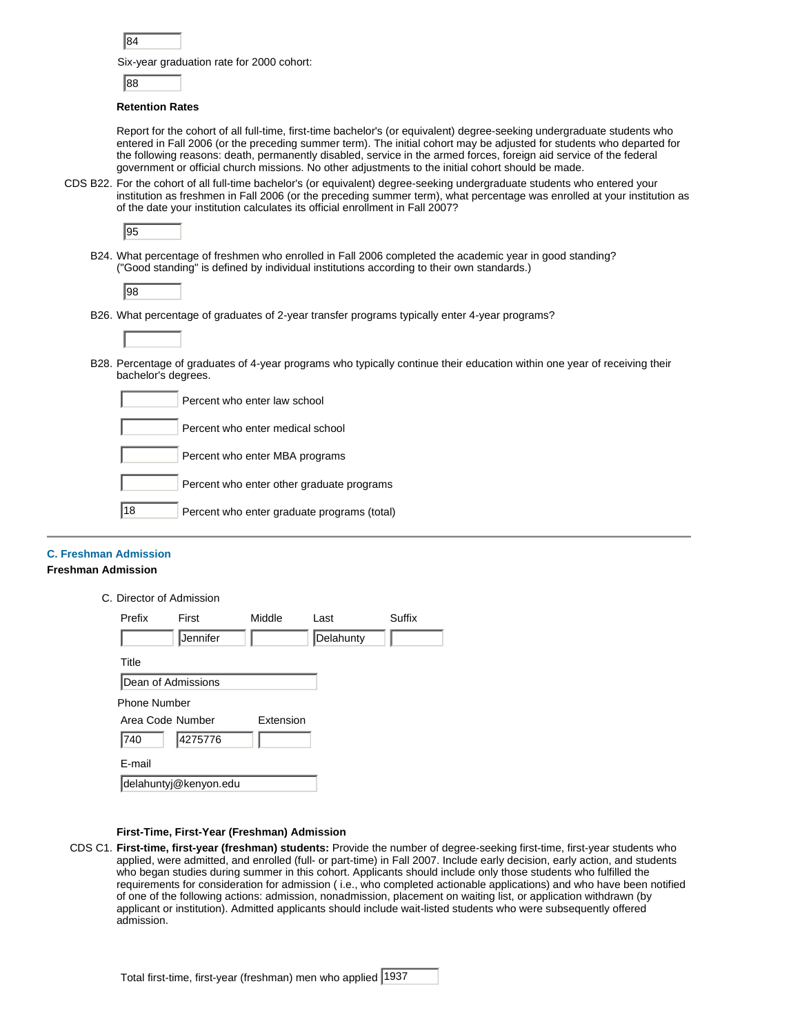| ×<br>۰. |  |
|---------|--|
|         |  |

Six-year graduation rate for 2000 cohort:

88

### **Retention Rates**

Report for the cohort of all full-time, first-time bachelor's (or equivalent) degree-seeking undergraduate students who entered in Fall 2006 (or the preceding summer term). The initial cohort may be adjusted for students who departed for the following reasons: death, permanently disabled, service in the armed forces, foreign aid service of the federal government or official church missions. No other adjustments to the initial cohort should be made.

CDS B22. For the cohort of all full-time bachelor's (or equivalent) degree-seeking undergraduate students who entered your institution as freshmen in Fall 2006 (or the preceding summer term), what percentage was enrolled at your institution as of the date your institution calculates its official enrollment in Fall 2007?

| × |  |
|---|--|

B24. What percentage of freshmen who enrolled in Fall 2006 completed the academic year in good standing? ("Good standing" is defined by individual institutions according to their own standards.)

|--|

B26. What percentage of graduates of 2-year transfer programs typically enter 4-year programs?

B28. Percentage of graduates of 4-year programs who typically continue their education within one year of receiving their bachelor's degrees.

|    | Percent who enter law school                |
|----|---------------------------------------------|
|    | Percent who enter medical school            |
|    | Percent who enter MBA programs              |
|    | Percent who enter other graduate programs   |
| 18 | Percent who enter graduate programs (total) |

### **C. Freshman Admission**

#### **Freshman Admission**

C. Director of Admission

| Prefix                        | First                 | Middle | Last      | Suffix |
|-------------------------------|-----------------------|--------|-----------|--------|
|                               | Jennifer              |        | Delahunty |        |
| Title                         |                       |        |           |        |
| Dean of Admissions            |                       |        |           |        |
| <b>Phone Number</b>           |                       |        |           |        |
| Extension<br>Area Code Number |                       |        |           |        |
| 740                           | 4275776               |        |           |        |
| E-mail                        |                       |        |           |        |
|                               | delahuntyj@kenyon.edu |        |           |        |

### **First-Time, First-Year (Freshman) Admission**

CDS C1. **First-time, first-year (freshman) students:** Provide the number of degree-seeking first-time, first-year students who applied, were admitted, and enrolled (full- or part-time) in Fall 2007. Include early decision, early action, and students who began studies during summer in this cohort. Applicants should include only those students who fulfilled the requirements for consideration for admission ( i.e., who completed actionable applications) and who have been notified of one of the following actions: admission, nonadmission, placement on waiting list, or application withdrawn (by applicant or institution). Admitted applicants should include wait-listed students who were subsequently offered admission.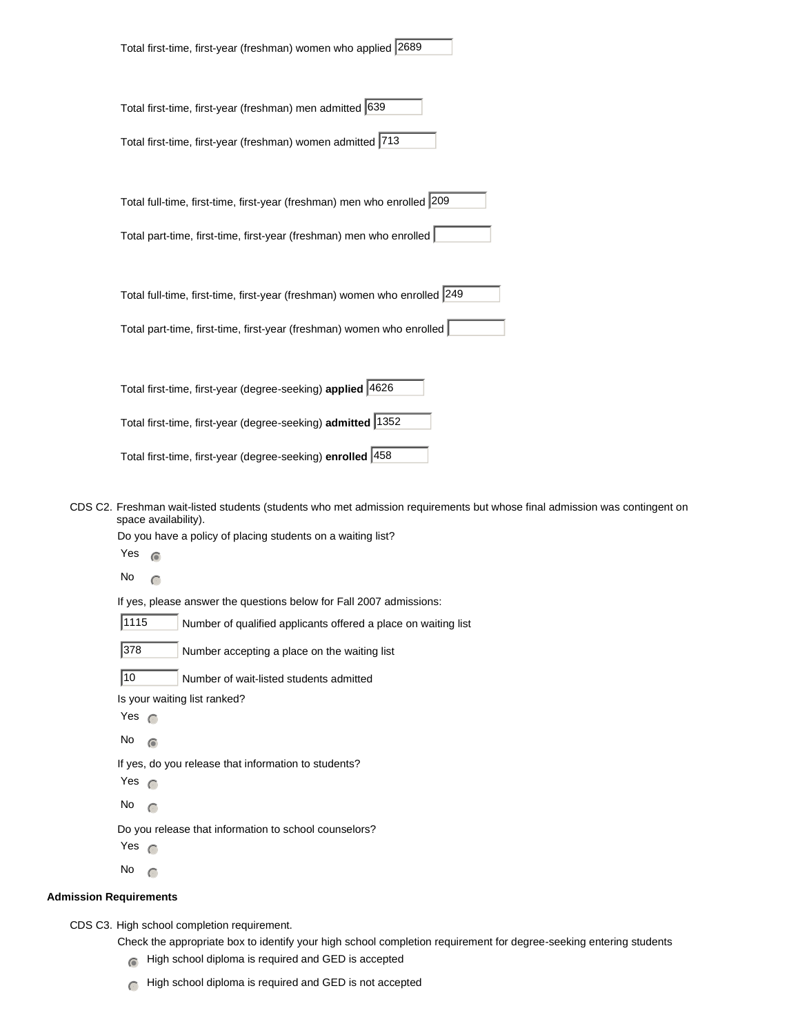| Total first-time, first-year (freshman) women who applied 2689            |  |
|---------------------------------------------------------------------------|--|
| Total first-time, first-year (freshman) men admitted 639                  |  |
| Total first-time, first-year (freshman) women admitted 713                |  |
| Total full-time, first-time, first-year (freshman) men who enrolled 209   |  |
| Total part-time, first-time, first-year (freshman) men who enrolled       |  |
| Total full-time, first-time, first-year (freshman) women who enrolled 249 |  |
| Total part-time, first-time, first-year (freshman) women who enrolled     |  |
|                                                                           |  |
| Total first-time, first-year (degree-seeking) applied 4626                |  |
| Total first-time, first-year (degree-seeking) admitted 1352               |  |
| Total first-time, first-year (degree-seeking) enrolled  458               |  |

CDS C2. Freshman wait-listed students (students who met admission requirements but whose final admission was contingent on space availability).

Do you have a policy of placing students on a waiting list?

Yes  $\epsilon$ 

No  $\cap$ 

If yes, please answer the questions below for Fall 2007 admissions:

1115 Number of qualified applicants offered a place on waiting list

378 Number accepting a place on the waiting list

10 Number of wait-listed students admitted

Is your waiting list ranked?

- Yes  $\bigcap$
- No  $\odot$

If yes, do you release that information to students?

Yes  $\bigcap$ 

No  $\bigcap$ 

Do you release that information to school counselors?

Yes  $\bigcap$ 

No  $\bigcap$ 

### **Admission Requirements**

CDS C3. High school completion requirement.

- Check the appropriate box to identify your high school completion requirement for degree-seeking entering students
	- $\bigcirc$  High school diploma is required and GED is accepted
	- $\bigcap$  High school diploma is required and GED is not accepted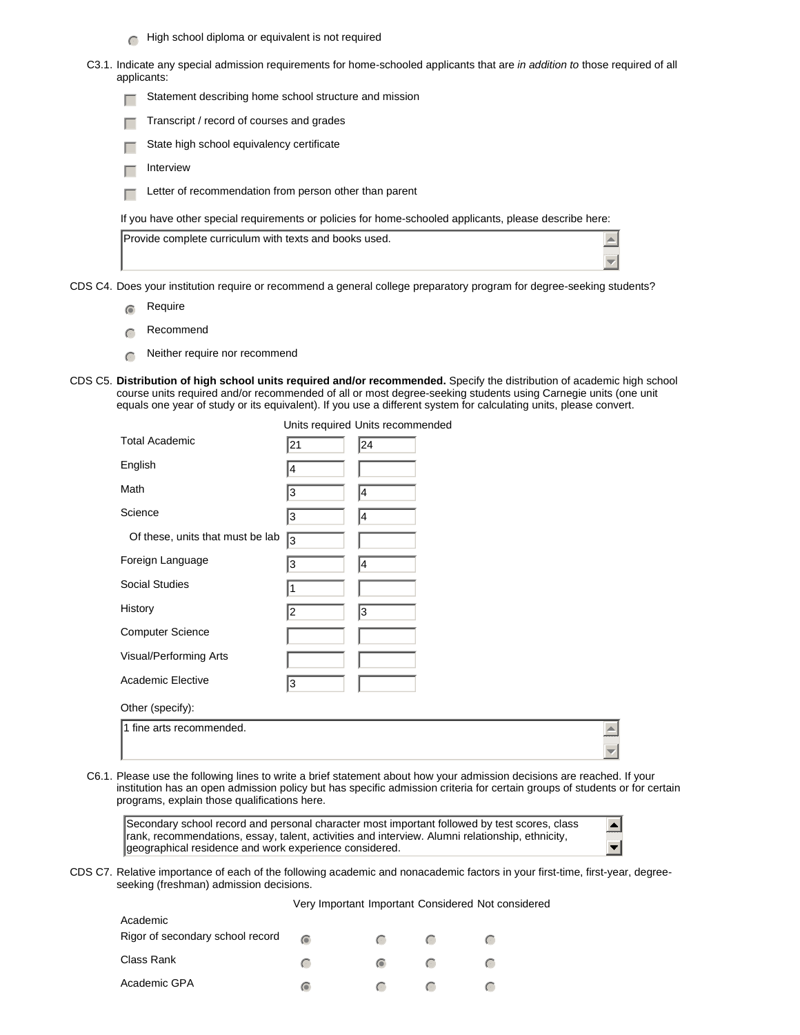- $\bigcap$  High school diploma or equivalent is not required
- C3.1. Indicate any special admission requirements for home-schooled applicants that are *in addition to* those required of all applicants:
	- $\Box$  Statement describing home school structure and mission
	- Transcript / record of courses and grades
	- State high school equivalency certificate
	- $\Box$  Interview
	- $\Box$  Letter of recommendation from person other than parent

If you have other special requirements or policies for home-schooled applicants, please describe here:

| Provide complete curriculum with texts and books used. |  |
|--------------------------------------------------------|--|
|                                                        |  |

CDS C4. Does your institution require or recommend a general college preparatory program for degree-seeking students?

- $\epsilon$  Require
- $\cap$  Recommend
- $\bigcap$  Neither require nor recommend
- CDS C5. **Distribution of high school units required and/or recommended.** Specify the distribution of academic high school course units required and/or recommended of all or most degree-seeking students using Carnegie units (one unit equals one year of study or its equivalent). If you use a different system for calculating units, please convert.

|                                  |                | Units required Units recommended |                         |
|----------------------------------|----------------|----------------------------------|-------------------------|
| <b>Total Academic</b>            | 21             | 24                               |                         |
| English                          | 4              |                                  |                         |
| Math                             | 3              | 4                                |                         |
| Science                          | 3              | 4                                |                         |
| Of these, units that must be lab | 3              |                                  |                         |
| Foreign Language                 | 3              | 14                               |                         |
| <b>Social Studies</b>            | 1              |                                  |                         |
| History                          | $\overline{c}$ | 3                                |                         |
| <b>Computer Science</b>          |                |                                  |                         |
| Visual/Performing Arts           |                |                                  |                         |
| Academic Elective                | 3              |                                  |                         |
| Other (specify):                 |                |                                  |                         |
| 1 fine arts recommended.         |                |                                  |                         |
|                                  |                |                                  | $\overline{\mathbf{v}}$ |

C6.1. Please use the following lines to write a brief statement about how your admission decisions are reached. If your institution has an open admission policy but has specific admission criteria for certain groups of students or for certain programs, explain those qualifications here.

Secondary school record and personal character most important followed by test scores, class rank, recommendations, essay, talent, activities and interview. Alumni relationship, ethnicity, geographical residence and work experience considered.

 $\blacktriangle$  $\overline{\phantom{a}}$ 

 $\overline{\mathbf{v}}$ 

CDS C7. Relative importance of each of the following academic and nonacademic factors in your first-time, first-year, degreeseeking (freshman) admission decisions.

Very Important Important Considered Not considered

| Academic                         |                    |            |               |  |
|----------------------------------|--------------------|------------|---------------|--|
| Rigor of secondary school record |                    | $\epsilon$ |               |  |
| Class Rank                       | $\left($ $\right)$ |            |               |  |
| Academic GPA                     | 6                  | $\sqrt{2}$ | $\mathcal{C}$ |  |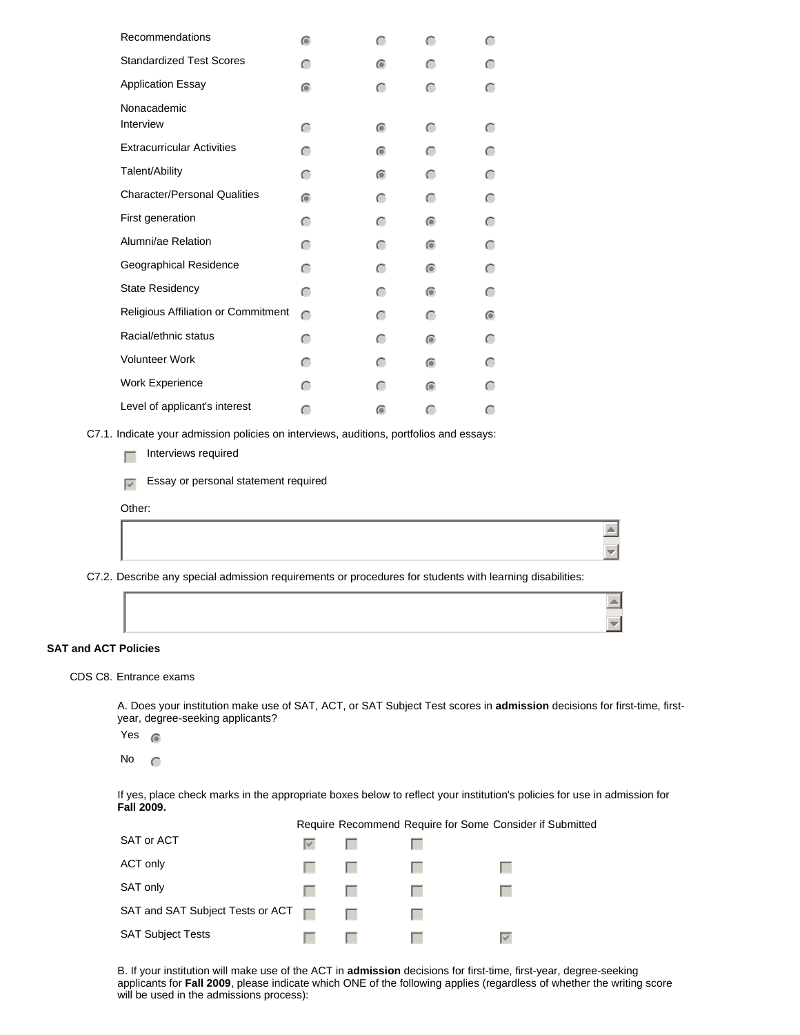| Recommendations                                                                                          | $\bigcirc$ | $\subset$ | $\subset$ | $\subset$ |
|----------------------------------------------------------------------------------------------------------|------------|-----------|-----------|-----------|
| <b>Standardized Test Scores</b>                                                                          | $\subset$  | $\odot$   | $\subset$ | $\subset$ |
| <b>Application Essay</b>                                                                                 | $\bullet$  | $\subset$ | $\subset$ | $\subset$ |
| Nonacademic                                                                                              |            |           |           |           |
| Interview                                                                                                | $\subset$  | $\odot$   | $\subset$ | $\subset$ |
| <b>Extracurricular Activities</b>                                                                        | $\subset$  | $\bullet$ | $\subset$ | $\subset$ |
| Talent/Ability                                                                                           | $\subset$  | $\bullet$ | $\subset$ | $\subset$ |
| <b>Character/Personal Qualities</b>                                                                      | $\odot$    | $\subset$ | $\subset$ | $\subset$ |
| First generation                                                                                         | $\subset$  | $\subset$ | $\odot$   | $\subset$ |
| Alumni/ae Relation                                                                                       | $\subset$  | $\subset$ | $\odot$   | $\subset$ |
| Geographical Residence                                                                                   | $\subset$  | $\subset$ | $\odot$   | $\subset$ |
| <b>State Residency</b>                                                                                   | $\subset$  | $\subset$ | $\odot$   | $\subset$ |
| Religious Affiliation or Commitment                                                                      | $\subset$  | $\subset$ | $\subset$ | $\bullet$ |
| Racial/ethnic status                                                                                     | $\subset$  | $\subset$ | $\odot$   | $\subset$ |
| <b>Volunteer Work</b>                                                                                    | $\subset$  | $\subset$ | $\odot$   | $\subset$ |
| Work Experience                                                                                          | $\subset$  | $\subset$ | $\odot$   | $\subset$ |
| Level of applicant's interest                                                                            | $\subset$  | 6         | $\subset$ | $\subset$ |
| C7.1. Indicate your admission policies on interviews, auditions, portfolios and essays:                  |            |           |           |           |
| Interviews required<br>Г                                                                                 |            |           |           |           |
| Essay or personal statement required<br>$\overline{\vee}$                                                |            |           |           |           |
| Other:                                                                                                   |            |           |           |           |
|                                                                                                          |            |           |           |           |
|                                                                                                          |            |           |           |           |
| C7.2. Describe any special admission requirements or procedures for students with learning disabilities: |            |           |           |           |
|                                                                                                          |            |           |           |           |
|                                                                                                          |            |           |           |           |

### **SAT and ACT Policies**

### CDS C8. Entrance exams

A. Does your institution make use of SAT, ACT, or SAT Subject Test scores in **admission** decisions for first-time, firstyear, degree-seeking applicants?

Yes  $\circ$ 

No  $\bigcap$ 

If yes, place check marks in the appropriate boxes below to reflect your institution's policies for use in admission for **Fall 2009.**

Require Recommend Require for Some Consider if Submitted

 $\frac{\vert A \vert}{\vert \vert \vert}$ 

 $\triangle$ 

| SAT or ACT                       | $\mathbf{v}$ $\mathbf{v}$ |        |  |
|----------------------------------|---------------------------|--------|--|
| ACT only                         |                           |        |  |
| SAT only                         | $\Box$                    |        |  |
| SAT and SAT Subject Tests or ACT |                           | $\Box$ |  |
| <b>SAT Subject Tests</b>         |                           |        |  |

B. If your institution will make use of the ACT in **admission** decisions for first-time, first-year, degree-seeking applicants for **Fall 2009**, please indicate which ONE of the following applies (regardless of whether the writing score will be used in the admissions process):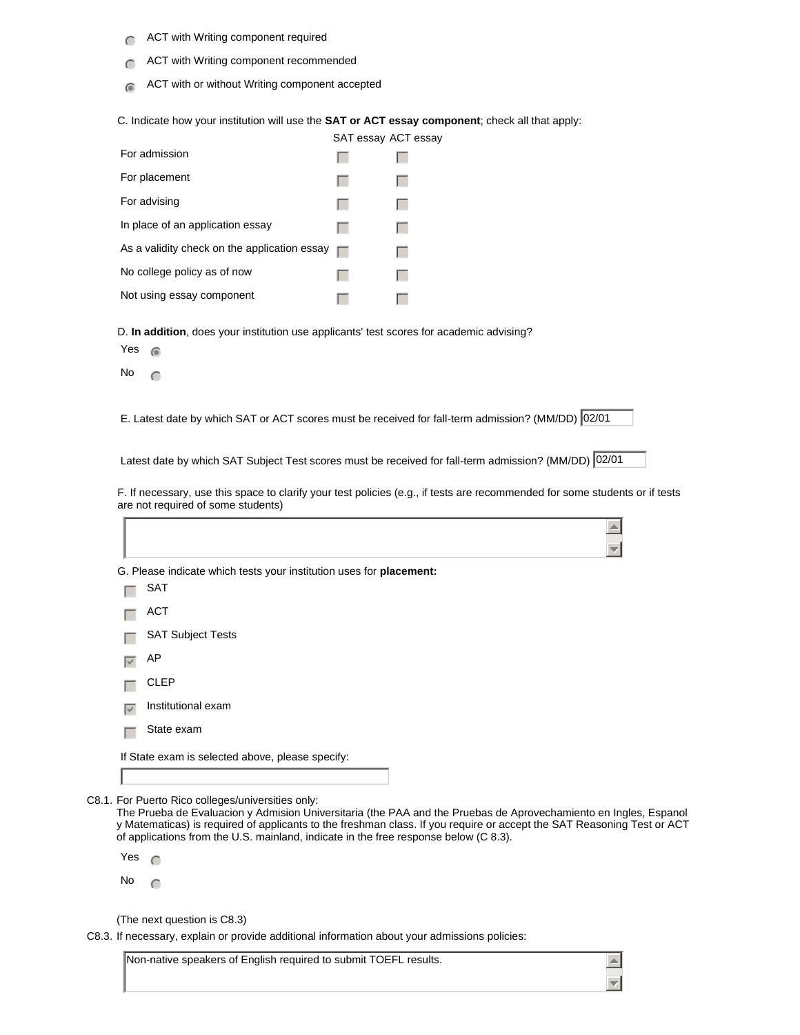- $\bigcap$  ACT with Writing component required
- **nmlk** ACT with Writing component recommended
- $\odot$  ACT with or without Writing component accepted

C. Indicate how your institution will use the **SAT or ACT essay component**; check all that apply:

|                                              | SAT essay ACT essay |  |
|----------------------------------------------|---------------------|--|
| For admission                                |                     |  |
| For placement                                |                     |  |
| For advising                                 |                     |  |
| In place of an application essay             |                     |  |
| As a validity check on the application essay | п                   |  |
| No college policy as of now                  |                     |  |
| Not using essay component                    |                     |  |

D. **In addition**, does your institution use applicants' test scores for academic advising?

Yes  $\circ$ 

No  $\bigcap$ 

Г

E. Latest date by which SAT or ACT scores must be received for fall-term admission? (MM/DD) 02/01

Latest date by which SAT Subject Test scores must be received for fall-term admission? (MM/DD) 02/01

F. If necessary, use this space to clarify your test policies (e.g., if tests are recommended for some students or if tests are not required of some students)

 $\overline{\Box}$ 

 $\triangle$  $\overline{\mathbf{v}}$ 

|                                                                     | $\equiv$ |  |  |  |  |  |
|---------------------------------------------------------------------|----------|--|--|--|--|--|
| G. Please indicate which tests your institution uses for placement: |          |  |  |  |  |  |
| <b>SAT</b>                                                          |          |  |  |  |  |  |
| <b>ACT</b>                                                          |          |  |  |  |  |  |
| <b>SAT Subject Tests</b>                                            |          |  |  |  |  |  |
| AP                                                                  |          |  |  |  |  |  |
| <b>CLEP</b>                                                         |          |  |  |  |  |  |
| Institutional exam                                                  |          |  |  |  |  |  |
| State exam                                                          |          |  |  |  |  |  |
| If State exam is selected above, please specify:                    |          |  |  |  |  |  |
|                                                                     |          |  |  |  |  |  |
|                                                                     |          |  |  |  |  |  |

C8.1. For Puerto Rico colleges/universities only:

The Prueba de Evaluacion y Admision Universitaria (the PAA and the Pruebas de Aprovechamiento en Ingles, Espanol y Matematicas) is required of applicants to the freshman class. If you require or accept the SAT Reasoning Test or ACT of applications from the U.S. mainland, indicate in the free response below (C 8.3).

Yes  $\subset$ 

No  $\cap$ 

(The next question is C8.3)

C8.3. If necessary, explain or provide additional information about your admissions policies:

Non-native speakers of English required to submit TOEFL results.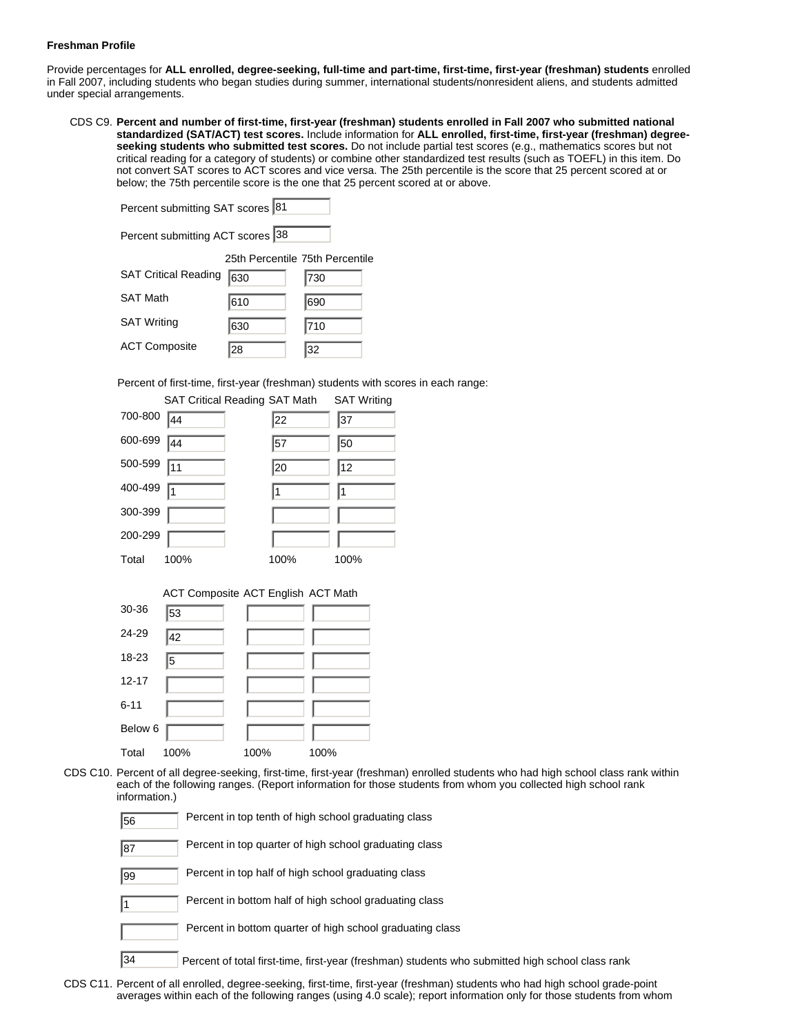### **Freshman Profile**

Provide percentages for **ALL enrolled, degree-seeking, full-time and part-time, first-time, first-year (freshman) students** enrolled in Fall 2007, including students who began studies during summer, international students/nonresident aliens, and students admitted under special arrangements.

CDS C9. **Percent and number of first-time, first-year (freshman) students enrolled in Fall 2007 who submitted national standardized (SAT/ACT) test scores.** Include information for **ALL enrolled, first-time, first-year (freshman) degreeseeking students who submitted test scores.** Do not include partial test scores (e.g., mathematics scores but not critical reading for a category of students) or combine other standardized test results (such as TOEFL) in this item. Do not convert SAT scores to ACT scores and vice versa. The 25th percentile is the score that 25 percent scored at or below; the 75th percentile score is the one that 25 percent scored at or above.

| Percent submitting SAT scores 81 |                                 |     |  |
|----------------------------------|---------------------------------|-----|--|
| Percent submitting ACT scores 38 |                                 |     |  |
|                                  | 25th Percentile 75th Percentile |     |  |
| <b>SAT Critical Reading</b>      | 630                             | 730 |  |
| <b>SAT Math</b>                  | 610                             | 690 |  |
| <b>SAT Writing</b>               | 630                             | 710 |  |
| <b>ACT Composite</b>             | 28                              | 32  |  |

Percent of first-time, first-year (freshman) students with scores in each range:

|         | <b>SAT Critical Reading SAT Math</b> |      | <b>SAT Writing</b> |
|---------|--------------------------------------|------|--------------------|
| 700-800 | 44                                   | 22   | 37                 |
| 600-699 | 44                                   | 157  | 50                 |
| 500-599 | $\sqrt{11}$                          | 20   | 12                 |
| 400-499 | I1                                   | 11   | 11                 |
| 300-399 |                                      |      |                    |
| 200-299 |                                      |      |                    |
| Total   | 100%                                 | 100% | 100%               |

|           | <b>ACT Composite ACT English ACT Math</b> |      |      |
|-----------|-------------------------------------------|------|------|
| 30-36     | 53                                        |      |      |
| 24-29     | 42                                        |      |      |
| 18-23     | 5                                         |      |      |
| $12 - 17$ |                                           |      |      |
| $6 - 11$  |                                           |      |      |
| Below 6   |                                           |      |      |
| Total     | 100%                                      | 100% | 100% |

CDS C10. Percent of all degree-seeking, first-time, first-year (freshman) enrolled students who had high school class rank within each of the following ranges. (Report information for those students from whom you collected high school rank information.)

| 56 | Percent in top tenth of high school graduating class                                             |
|----|--------------------------------------------------------------------------------------------------|
| 87 | Percent in top quarter of high school graduating class                                           |
| 99 | Percent in top half of high school graduating class                                              |
|    | Percent in bottom half of high school graduating class                                           |
|    | Percent in bottom quarter of high school graduating class                                        |
| 34 | Percent of total first-time, first-year (freshman) students who submitted high school class rank |

CDS C11. Percent of all enrolled, degree-seeking, first-time, first-year (freshman) students who had high school grade-point averages within each of the following ranges (using 4.0 scale); report information only for those students from whom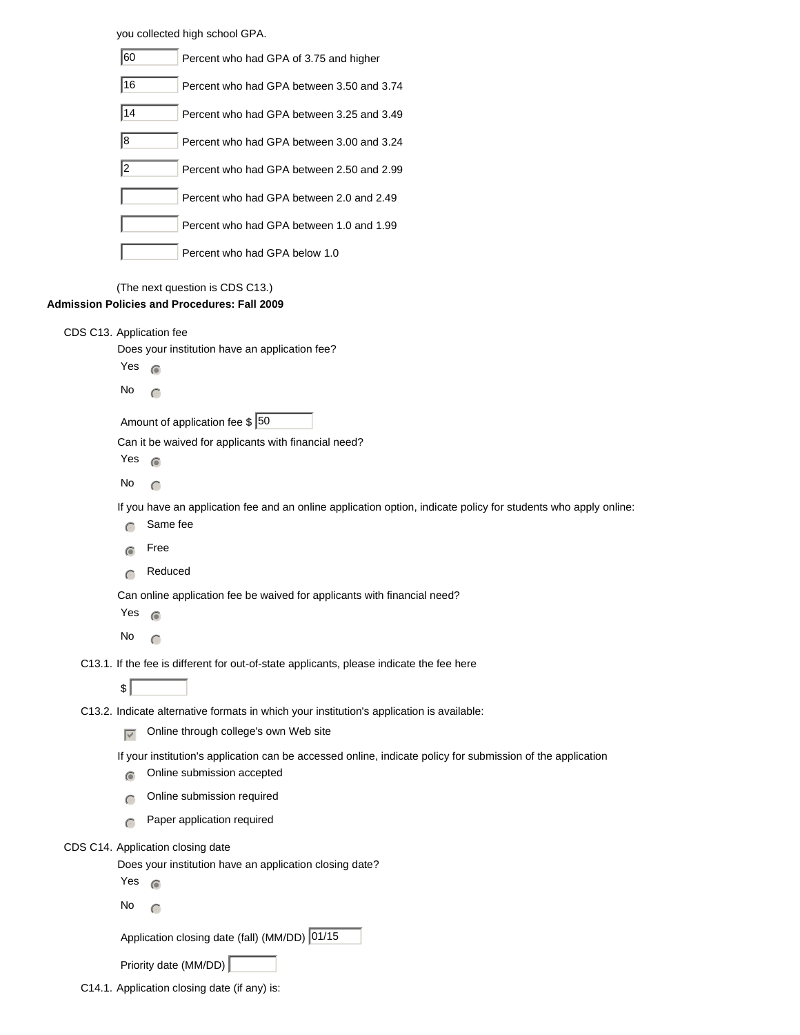you collected high school GPA.

| 60         | Percent who had GPA of 3.75 and higher    |
|------------|-------------------------------------------|
| 16         | Percent who had GPA between 3.50 and 3.74 |
| 14         | Percent who had GPA between 3.25 and 3.49 |
| 8          | Percent who had GPA between 3.00 and 3.24 |
| $\sqrt{2}$ | Percent who had GPA between 2.50 and 2.99 |
|            | Percent who had GPA between 2.0 and 2.49  |
|            | Percent who had GPA between 1.0 and 1.99  |
|            | Percent who had GPA below 1.0             |

(The next question is CDS C13.)

| <b>Admission Policies and Procedures: Fall 2009</b> |                   |                                                                                                                 |
|-----------------------------------------------------|-------------------|-----------------------------------------------------------------------------------------------------------------|
| CDS C13. Application fee                            |                   |                                                                                                                 |
|                                                     |                   | Does your institution have an application fee?                                                                  |
|                                                     | Yes               | $\widehat{\bullet}$                                                                                             |
|                                                     | No                | $\subset$                                                                                                       |
|                                                     |                   | Amount of application fee $\frac{6}{5}$ 50                                                                      |
|                                                     |                   | Can it be waived for applicants with financial need?                                                            |
|                                                     | Yes               | $\widehat{\bullet}$                                                                                             |
|                                                     | No                | $\subset$                                                                                                       |
|                                                     |                   | If you have an application fee and an online application option, indicate policy for students who apply online: |
|                                                     |                   | Same fee                                                                                                        |
|                                                     | $\bullet$         | Free                                                                                                            |
|                                                     | $\subset$         | Reduced                                                                                                         |
|                                                     |                   | Can online application fee be waived for applicants with financial need?                                        |
|                                                     | Yes               | $\odot$                                                                                                         |
|                                                     | No                | $\subset$                                                                                                       |
|                                                     |                   | C13.1. If the fee is different for out-of-state applicants, please indicate the fee here                        |
|                                                     | \$                |                                                                                                                 |
|                                                     |                   | C13.2. Indicate alternative formats in which your institution's application is available:                       |
|                                                     | $\overline{\vee}$ | Online through college's own Web site                                                                           |
|                                                     |                   | If your institution's application can be accessed online, indicate policy for submission of the application     |
|                                                     | $\sigma$          | Online submission accepted                                                                                      |
|                                                     | $\subset$         | Online submission required                                                                                      |
|                                                     | $\subset$         | Paper application required                                                                                      |
|                                                     |                   | CDS C14. Application closing date                                                                               |
|                                                     |                   | Does your institution have an application closing date?                                                         |
|                                                     | Yes               | $\sigma$                                                                                                        |
|                                                     | No                | $\subset$                                                                                                       |

Application closing date (fall) (MM/DD)  $\boxed{01/15}$ 

Priority date (MM/DD)

C14.1. Application closing date (if any) is: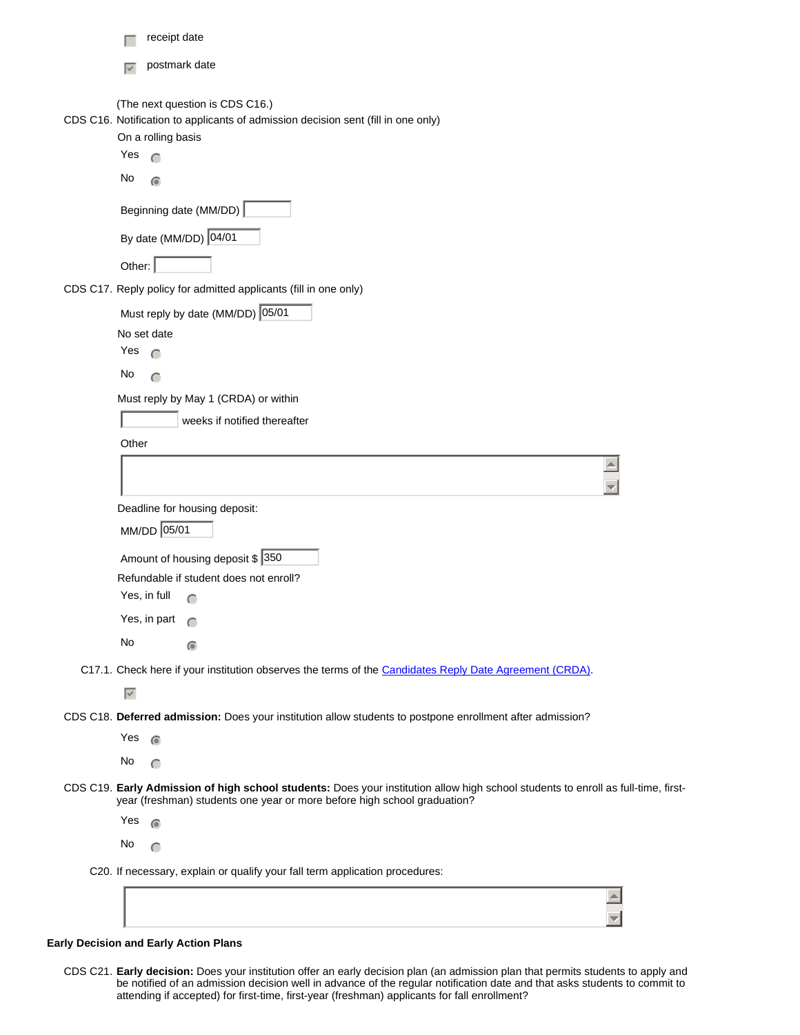| receipt date                                                                                                                                                                                                  |
|---------------------------------------------------------------------------------------------------------------------------------------------------------------------------------------------------------------|
| postmark date<br>$\blacktriangledown$                                                                                                                                                                         |
| (The next question is CDS C16.)<br>CDS C16. Notification to applicants of admission decision sent (fill in one only)<br>On a rolling basis<br>Yes<br>$\subset$<br>No<br>$\bigcirc$                            |
| Beginning date (MM/DD)                                                                                                                                                                                        |
| By date (MM/DD) 04/01                                                                                                                                                                                         |
| Other:                                                                                                                                                                                                        |
| CDS C17. Reply policy for admitted applicants (fill in one only)                                                                                                                                              |
| Must reply by date (MM/DD) 05/01                                                                                                                                                                              |
| No set date                                                                                                                                                                                                   |
| Yes<br>$\subset$                                                                                                                                                                                              |
| No<br>$\subset$                                                                                                                                                                                               |
| Must reply by May 1 (CRDA) or within                                                                                                                                                                          |
| weeks if notified thereafter<br>Other                                                                                                                                                                         |
|                                                                                                                                                                                                               |
|                                                                                                                                                                                                               |
| Deadline for housing deposit:                                                                                                                                                                                 |
| MM/DD 05/01                                                                                                                                                                                                   |
| Amount of housing deposit \$ 350<br>Refundable if student does not enroll?                                                                                                                                    |
| Yes, in full<br>$\subset$<br>Yes, in part $\bigcap$                                                                                                                                                           |
| No                                                                                                                                                                                                            |
| $\bullet$                                                                                                                                                                                                     |
| C17.1. Check here if your institution observes the terms of the Candidates Reply Date Agreement (CRDA).<br>$\overline{\vee}$                                                                                  |
| CDS C18. Deferred admission: Does your institution allow students to postpone enrollment after admission?                                                                                                     |
| Yes<br>$\sqrt{2}$                                                                                                                                                                                             |
| No.<br>$\subset$                                                                                                                                                                                              |
| CDS C19. Early Admission of high school students: Does your institution allow high school students to enroll as full-time, first-<br>year (freshman) students one year or more before high school graduation? |
| Yes<br>$\widehat{\bullet}$                                                                                                                                                                                    |
| No<br>$\subset$                                                                                                                                                                                               |
| C20. If necessary, explain or qualify your fall term application procedures:                                                                                                                                  |
|                                                                                                                                                                                                               |

## **Early Decision and Early Action Plans**

CDS C21. **Early decision:** Does your institution offer an early decision plan (an admission plan that permits students to apply and be notified of an admission decision well in advance of the regular notification date and that asks students to commit to attending if accepted) for first-time, first-year (freshman) applicants for fall enrollment?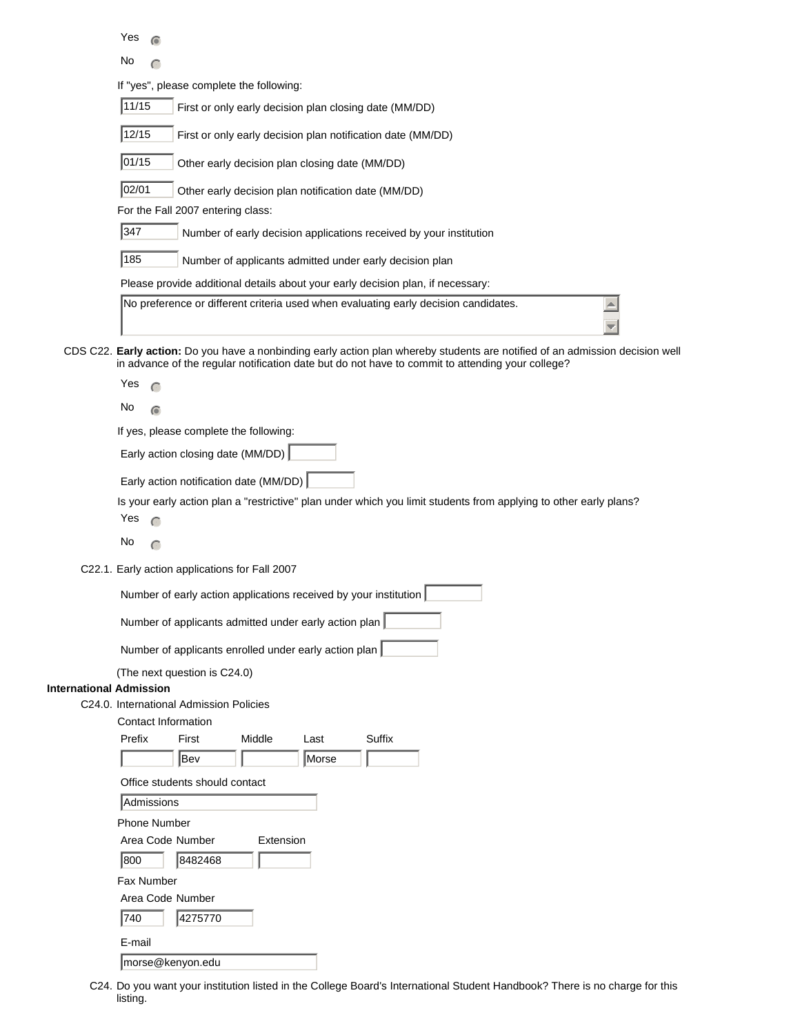Yes  $\epsilon$ 

No  $\bigcap$ 

If "yes", please complete the following:

| 11/15<br>First or only early decision plan closing date (MM/DD)                                                                                                                                                                   |
|-----------------------------------------------------------------------------------------------------------------------------------------------------------------------------------------------------------------------------------|
| 12/15<br>First or only early decision plan notification date (MM/DD)                                                                                                                                                              |
| 01/15<br>Other early decision plan closing date (MM/DD)                                                                                                                                                                           |
| 02/01<br>Other early decision plan notification date (MM/DD)                                                                                                                                                                      |
| For the Fall 2007 entering class:                                                                                                                                                                                                 |
| 347<br>Number of early decision applications received by your institution                                                                                                                                                         |
| 185<br>Number of applicants admitted under early decision plan                                                                                                                                                                    |
| Please provide additional details about your early decision plan, if necessary:                                                                                                                                                   |
| No preference or different criteria used when evaluating early decision candidates.                                                                                                                                               |
| CDS C22. Early action: Do you have a nonbinding early action plan whereby students are notified of an admission decision well<br>in advance of the regular notification date but do not have to commit to attending your college? |
| Yes                                                                                                                                                                                                                               |
| No<br>$\widehat{\bullet}$                                                                                                                                                                                                         |
| If yes, please complete the following:                                                                                                                                                                                            |
| Early action closing date (MM/DD)                                                                                                                                                                                                 |
| Early action notification date (MM/DD)                                                                                                                                                                                            |

Is your early action plan a "restrictive" plan under which you limit students from applying to other early plans?

- Yes  $\bigcap$
- No  $\bigcap$
- C22.1. Early action applications for Fall 2007

| Number of early action applications received by your institution |  |
|------------------------------------------------------------------|--|
|                                                                  |  |

Number of applicants admitted under early action plan

Number of applicants enrolled under early action plan

(The next question is C24.0)

## **International Admission**

C24.0. International Admission Policies

| Prefix              | First                          | Middle    | Last  | Suffix |  |  |  |
|---------------------|--------------------------------|-----------|-------|--------|--|--|--|
|                     | Bev                            |           | Morse |        |  |  |  |
|                     | Office students should contact |           |       |        |  |  |  |
| Admissions          |                                |           |       |        |  |  |  |
| <b>Phone Number</b> |                                |           |       |        |  |  |  |
| Area Code Number    |                                | Extension |       |        |  |  |  |
| 800                 | 8482468                        |           |       |        |  |  |  |
| Fax Number          |                                |           |       |        |  |  |  |
| Area Code Number    |                                |           |       |        |  |  |  |
| 740                 | 4275770                        |           |       |        |  |  |  |
| E-mail              |                                |           |       |        |  |  |  |

morse@kenyon.edu

C24. Do you want your institution listed in the College Board's International Student Handbook? There is no charge for this listing.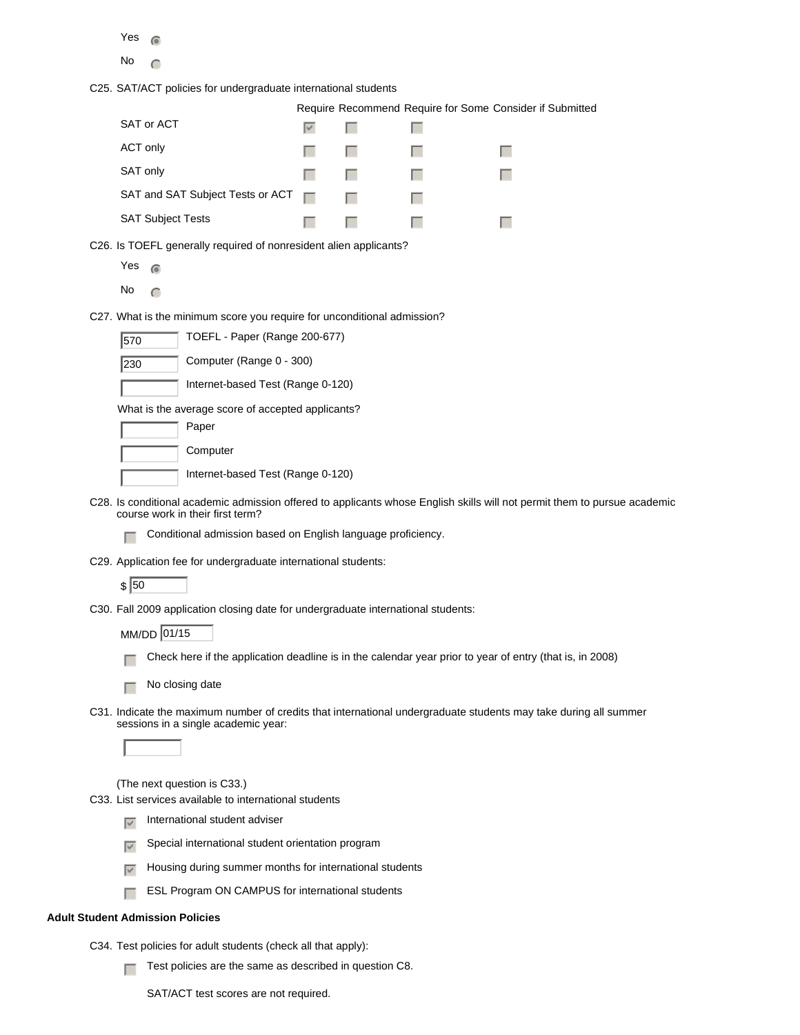| w<br>-<br>× |  |
|-------------|--|
|-------------|--|

No  $\subset$ 

C25. SAT/ACT policies for undergraduate international students

|                                         |                                                        |                            | Require Recommend Require for Some Consider if Submitted |
|-----------------------------------------|--------------------------------------------------------|----------------------------|----------------------------------------------------------|
| SAT or ACT                              |                                                        |                            |                                                          |
| ACT only                                | <b>The Committee of the Committee of the Committee</b> |                            |                                                          |
| SAT only                                | the contract of the contract of the                    |                            |                                                          |
| SAT and SAT Subject Tests or ACT $\Box$ |                                                        |                            |                                                          |
| <b>SAT Subject Tests</b>                |                                                        | and the state of the state |                                                          |

C26. Is TOEFL generally required of nonresident alien applicants?

| L<br>حيت<br>× |  |
|---------------|--|
|---------------|--|

No  $\subset$ 

C27. What is the minimum score you require for unconditional admission?

**230** Computer (Range 0 - 300)

| Internet-based Test (Range 0-120) |  |  |
|-----------------------------------|--|--|
|                                   |  |  |

What is the average score of accepted applicants?

| Paper                             |
|-----------------------------------|
| Computer                          |
| Internet-based Test (Range 0-120) |

- C28. Is conditional academic admission offered to applicants whose English skills will not permit them to pursue academic course work in their first term?
	- $\Box$  Conditional admission based on English language proficiency.
- C29. Application fee for undergraduate international students:

 $\sqrt{50}$ 

C30. Fall 2009 application closing date for undergraduate international students:

MM/DD 01/15

 $\Box$  Check here if the application deadline is in the calendar year prior to year of entry (that is, in 2008)

 $\Box$  No closing date

C31. Indicate the maximum number of credits that international undergraduate students may take during all summer sessions in a single academic year:



(The next question is C33.)

C33. List services available to international students

- International student adviser
- $\overline{g}$  Special international student orientation program
- $\nabla$  Housing during summer months for international students
- **FFE** ESL Program ON CAMPUS for international students

### **Adult Student Admission Policies**

- C34. Test policies for adult students (check all that apply):
	- **Fig.** Test policies are the same as described in question C8.

SAT/ACT test scores are not required.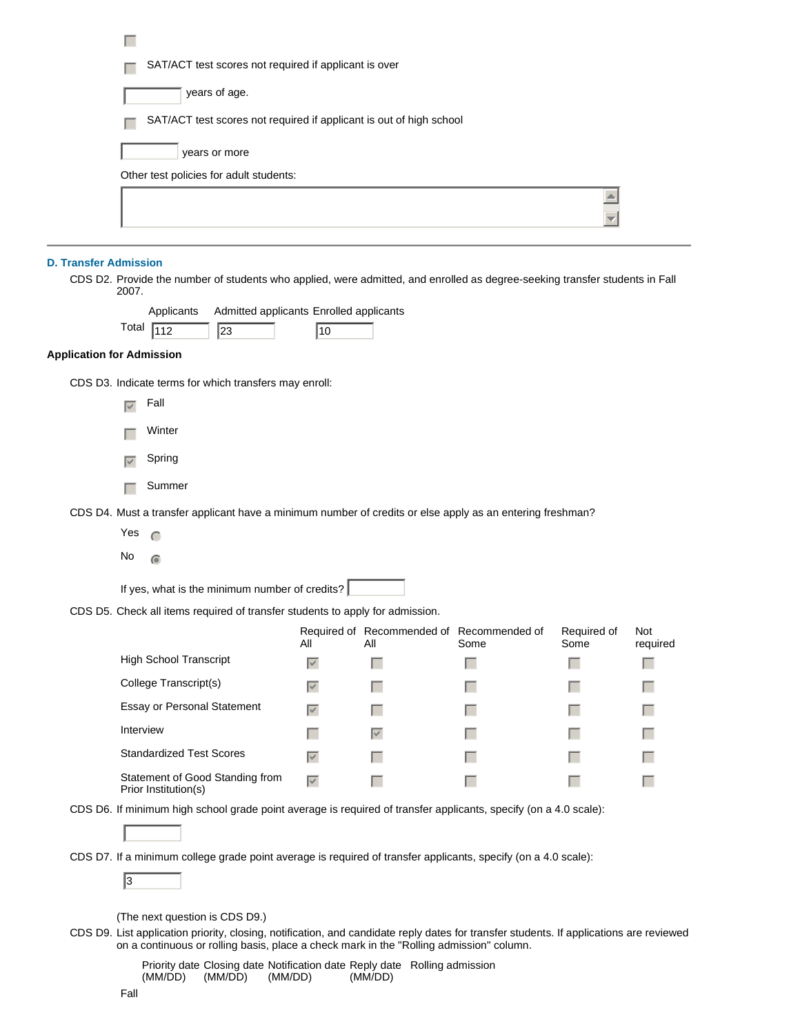| SAT/ACT test scores not required if applicant is over               |  |
|---------------------------------------------------------------------|--|
| years of age.                                                       |  |
| SAT/ACT test scores not required if applicant is out of high school |  |
| years or more                                                       |  |
| Other test policies for adult students:                             |  |
|                                                                     |  |
|                                                                     |  |
|                                                                     |  |

### **D. Transfer Admission**

CDS D2. Provide the number of students who applied, were admitted, and enrolled as degree-seeking transfer students in Fall 2007.

|                                  | Admitted applicants Enrolled applicants<br>Applicants                                                                                                                                                                              |                   |                                                  |      |                     |             |
|----------------------------------|------------------------------------------------------------------------------------------------------------------------------------------------------------------------------------------------------------------------------------|-------------------|--------------------------------------------------|------|---------------------|-------------|
|                                  | Total<br>$\sqrt{112}$<br>23                                                                                                                                                                                                        | $\overline{10}$   |                                                  |      |                     |             |
| <b>Application for Admission</b> |                                                                                                                                                                                                                                    |                   |                                                  |      |                     |             |
|                                  | CDS D3. Indicate terms for which transfers may enroll:                                                                                                                                                                             |                   |                                                  |      |                     |             |
|                                  | Fall<br>$\overline{\vee}$                                                                                                                                                                                                          |                   |                                                  |      |                     |             |
|                                  | Winter                                                                                                                                                                                                                             |                   |                                                  |      |                     |             |
|                                  | Spring<br>$\overline{\vee}$                                                                                                                                                                                                        |                   |                                                  |      |                     |             |
|                                  | Summer                                                                                                                                                                                                                             |                   |                                                  |      |                     |             |
|                                  | CDS D4. Must a transfer applicant have a minimum number of credits or else apply as an entering freshman?                                                                                                                          |                   |                                                  |      |                     |             |
|                                  | Yes<br>$\subset$                                                                                                                                                                                                                   |                   |                                                  |      |                     |             |
|                                  | No<br>$\widehat{\bullet}$                                                                                                                                                                                                          |                   |                                                  |      |                     |             |
|                                  | If yes, what is the minimum number of credits?                                                                                                                                                                                     |                   |                                                  |      |                     |             |
|                                  | CDS D5. Check all items required of transfer students to apply for admission.                                                                                                                                                      |                   |                                                  |      |                     |             |
|                                  |                                                                                                                                                                                                                                    | All               | Required of Recommended of Recommended of<br>Αll | Some | Required of<br>Some | Not<br>requ |
|                                  | <b>High School Transcript</b>                                                                                                                                                                                                      | $\overline{\vee}$ | L                                                | L.   | I.                  | L.          |
|                                  | College Transcript(s)                                                                                                                                                                                                              | $\overline{\vee}$ |                                                  |      | . .                 |             |
|                                  | Essay or Personal Statement                                                                                                                                                                                                        | $\overline{\vee}$ |                                                  |      |                     |             |
|                                  | Interview                                                                                                                                                                                                                          |                   | $\overline{\vee}$                                |      |                     |             |
|                                  | <b>Standardized Test Scores</b>                                                                                                                                                                                                    | $\overline{\vee}$ |                                                  |      |                     |             |
|                                  | Statement of Good Standing from<br>Prior Institution(s)                                                                                                                                                                            | $\overline{\vee}$ | L.                                               |      | п                   |             |
|                                  | CDS D6. If minimum high school grade point average is required of transfer applicants, specify (on a 4.0 scale):<br>CDS D7. If a minimum college grade point average is required of transfer applicants, specify (on a 4.0 scale): |                   |                                                  |      |                     |             |

 $\sqrt{3}$ 

(The next question is CDS D9.)

CDS D9. List application priority, closing, notification, and candidate reply dates for transfer students. If applications are reviewed on a continuous or rolling basis, place a check mark in the "Rolling admission" column.

Not required

 Priority date Closing date Notification date Reply date Rolling admission (MM/DD) (MM/DD) (MM/DD) (MM/DD)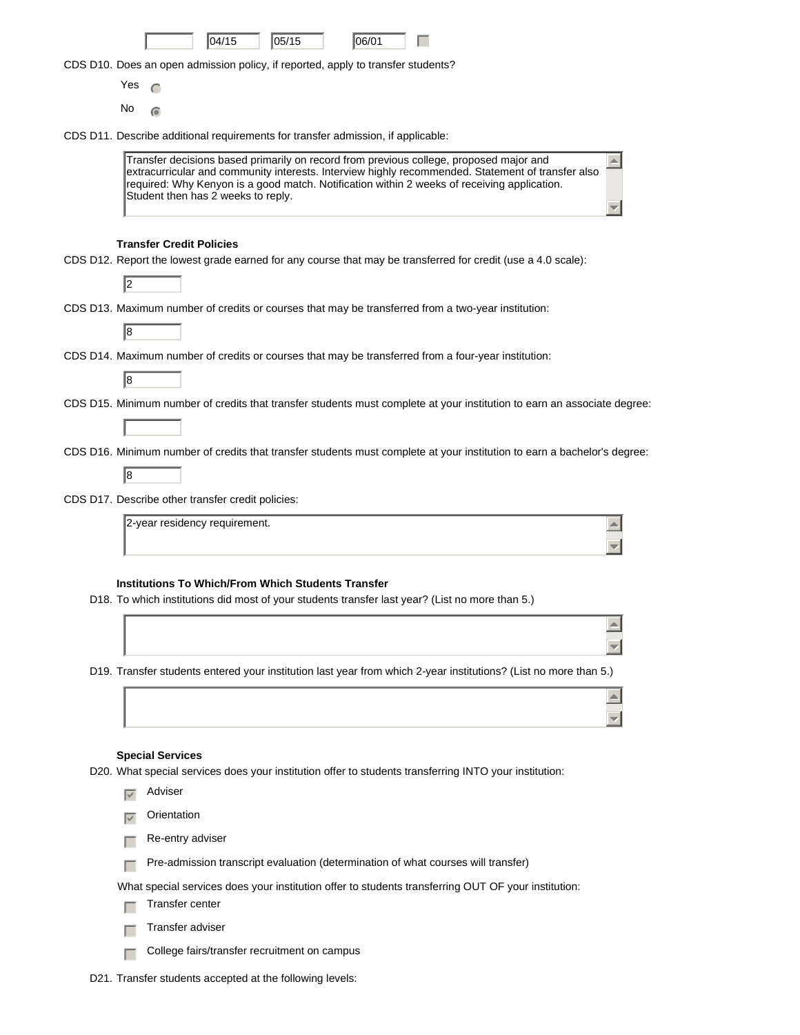|                   |                                 | 04/15                                                                            | 05/15 | 06/01 |                                                                                                                                                                                                                                                                                            |
|-------------------|---------------------------------|----------------------------------------------------------------------------------|-------|-------|--------------------------------------------------------------------------------------------------------------------------------------------------------------------------------------------------------------------------------------------------------------------------------------------|
|                   |                                 | CDS D10. Does an open admission policy, if reported, apply to transfer students? |       |       |                                                                                                                                                                                                                                                                                            |
| Yes               | $\subset$                       |                                                                                  |       |       |                                                                                                                                                                                                                                                                                            |
| No                |                                 |                                                                                  |       |       |                                                                                                                                                                                                                                                                                            |
|                   |                                 | CDS D11. Describe additional requirements for transfer admission, if applicable: |       |       |                                                                                                                                                                                                                                                                                            |
|                   |                                 | Student then has 2 weeks to reply.                                               |       |       | Transfer decisions based primarily on record from previous college, proposed major and<br>extracurricular and community interests. Interview highly recommended. Statement of transfer also<br>required: Why Kenyon is a good match. Notification within 2 weeks of receiving application. |
|                   | <b>Transfer Credit Policies</b> |                                                                                  |       |       |                                                                                                                                                                                                                                                                                            |
| 12                |                                 |                                                                                  |       |       | CDS D12. Report the lowest grade earned for any course that may be transferred for credit (use a 4.0 scale):                                                                                                                                                                               |
|                   |                                 |                                                                                  |       |       | CDS D13. Maximum number of credits or courses that may be transferred from a two-year institution:                                                                                                                                                                                         |
| 8                 |                                 |                                                                                  |       |       |                                                                                                                                                                                                                                                                                            |
|                   |                                 |                                                                                  |       |       | CDS D14. Maximum number of credits or courses that may be transferred from a four-year institution:                                                                                                                                                                                        |
| 8                 |                                 |                                                                                  |       |       |                                                                                                                                                                                                                                                                                            |
|                   |                                 |                                                                                  |       |       | CDS D15. Minimum number of credits that transfer students must complete at your institution to earn an associate degree:                                                                                                                                                                   |
|                   |                                 |                                                                                  |       |       | CDS D16. Minimum number of credits that transfer students must complete at your institution to earn a bachelor's degree:                                                                                                                                                                   |
| 8                 |                                 |                                                                                  |       |       |                                                                                                                                                                                                                                                                                            |
|                   |                                 | CDS D17. Describe other transfer credit policies:                                |       |       |                                                                                                                                                                                                                                                                                            |
|                   |                                 | 2-year residency requirement.                                                    |       |       |                                                                                                                                                                                                                                                                                            |
|                   |                                 |                                                                                  |       |       |                                                                                                                                                                                                                                                                                            |
|                   |                                 | <b>Institutions To Which/From Which Students Transfer</b>                        |       |       | D18. To which institutions did most of your students transfer last year? (List no more than 5.)                                                                                                                                                                                            |
|                   |                                 |                                                                                  |       |       |                                                                                                                                                                                                                                                                                            |
|                   |                                 |                                                                                  |       |       |                                                                                                                                                                                                                                                                                            |
|                   |                                 |                                                                                  |       |       | D19. Transfer students entered your institution last year from which 2-year institutions? (List no more than 5.)                                                                                                                                                                           |
|                   |                                 |                                                                                  |       |       |                                                                                                                                                                                                                                                                                            |
|                   | <b>Special Services</b>         |                                                                                  |       |       | D20. What special services does your institution offer to students transferring INTO your institution:                                                                                                                                                                                     |
| $\overline{\vee}$ | Adviser                         |                                                                                  |       |       |                                                                                                                                                                                                                                                                                            |
| $\vee$            | Orientation                     |                                                                                  |       |       |                                                                                                                                                                                                                                                                                            |
|                   | Re-entry adviser                |                                                                                  |       |       |                                                                                                                                                                                                                                                                                            |
|                   |                                 |                                                                                  |       |       | Pre-admission transcript evaluation (determination of what courses will transfer)                                                                                                                                                                                                          |
|                   | Transfer center                 |                                                                                  |       |       | What special services does your institution offer to students transferring OUT OF your institution:                                                                                                                                                                                        |
|                   | Transfer adviser                |                                                                                  |       |       |                                                                                                                                                                                                                                                                                            |
|                   |                                 | College fairs/transfer recruitment on campus                                     |       |       |                                                                                                                                                                                                                                                                                            |

D21. Transfer students accepted at the following levels: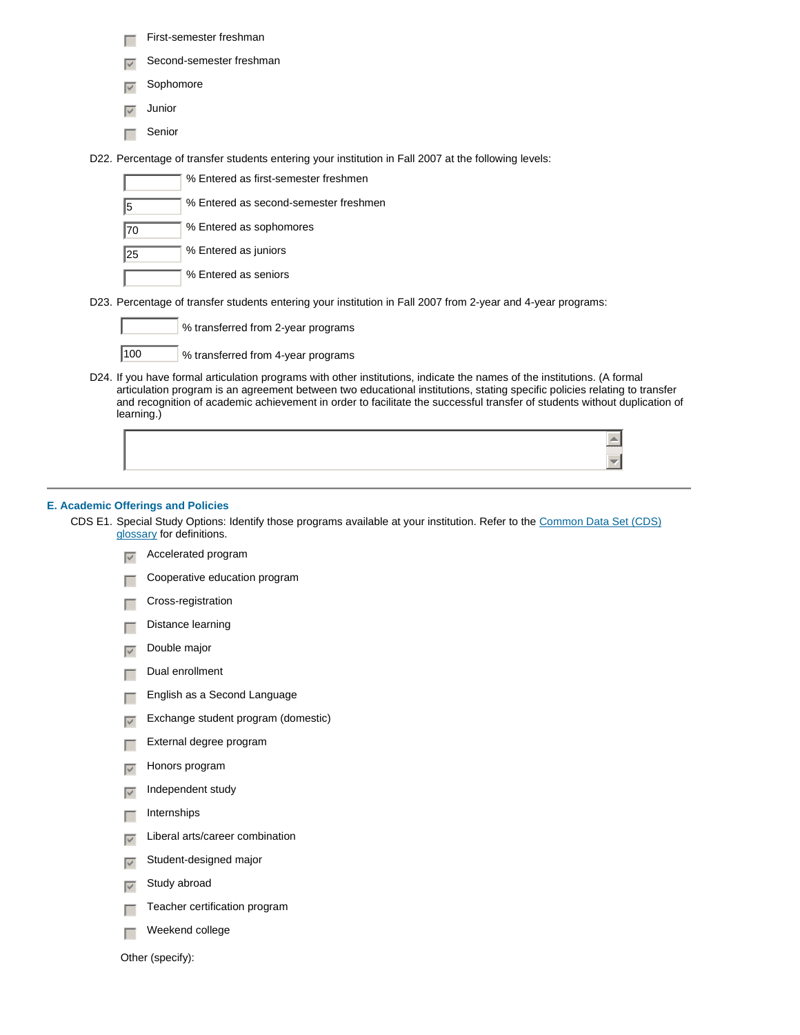- $\Box$  First-semester freshman
- $\sqrt{\phantom{a}}$  Second-semester freshman
- $\overline{\nabla}$  Sophomore
- $\overline{\smash{\triangleright}}$  Junior
- $\Box$  Senior

D22. Percentage of transfer students entering your institution in Fall 2007 at the following levels:

- % Entered as first-semester freshmen 5 % Entered as second-semester freshmen **70** % Entered as sophomores  $\sqrt{25}$  % Entered as juniors % Entered as seniors
- D23. Percentage of transfer students entering your institution in Fall 2007 from 2-year and 4-year programs:

| % transferred from 2-year programs |
|------------------------------------|
|                                    |

100 % transferred from 4-year programs

D24. If you have formal articulation programs with other institutions, indicate the names of the institutions. (A formal articulation program is an agreement between two educational institutions, stating specific policies relating to transfer and recognition of academic achievement in order to facilitate the successful transfer of students without duplication of learning.)

| <b>CONTRACTOR</b><br>والمتستعد |
|--------------------------------|

### **E. Academic Offerings and Policies**

L

- CDS E1. Special Study Options: Identify those programs available at your institution. Refer to the Common Data Set (CDS) glossary for definitions.
	- $\sqrt{\phantom{a}}$  Accelerated program
	- $\Box$  Cooperative education program
	- $\Box$  Cross-registration
	- $\Box$  Distance learning
	- $\overline{v}$  Double major
	- $\Box$  Dual enrollment
	- $\Box$  English as a Second Language
	- $\nabla$  Exchange student program (domestic)
	- $\Box$  External degree program
	- $\overline{\nabla}$  Honors program
	- $\nabla$  Independent study
	- $\Box$  Internships
	- $\nabla$  Liberal arts/career combination
	- $\nabla$  Student-designed major
	- $\overline{\mathbf{y}}$  Study abroad
	- $\Box$  Teacher certification program
	- $\Box$  Weekend college

Other (specify):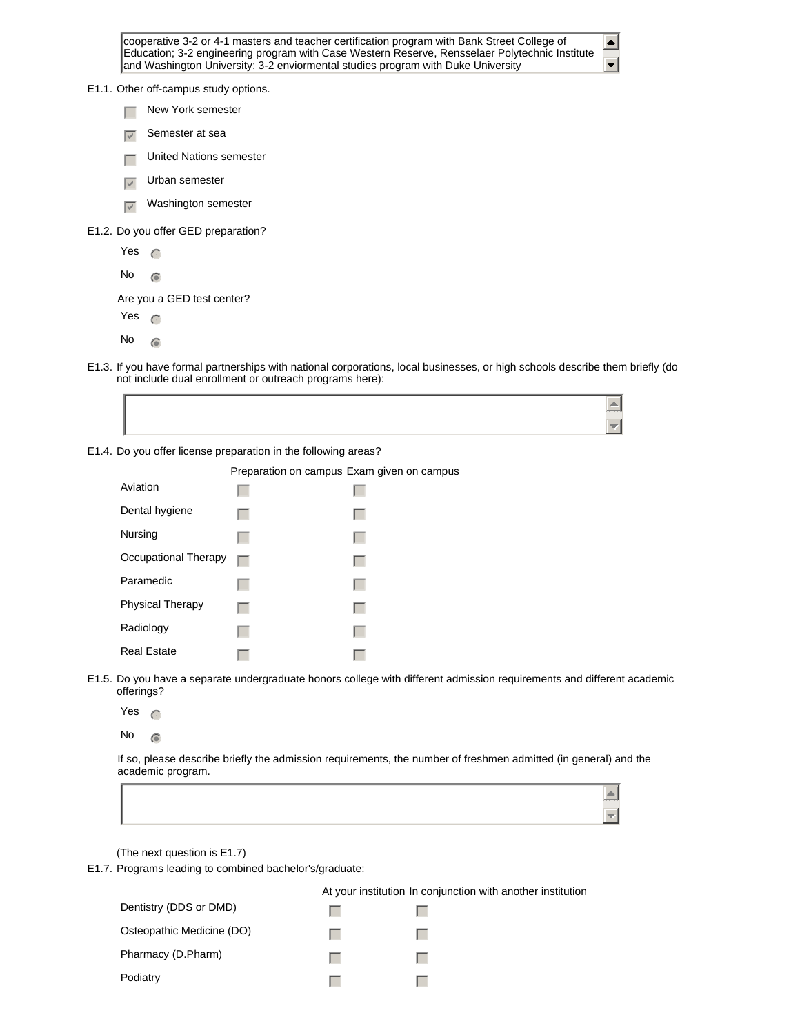cooperative 3-2 or 4-1 masters and teacher certification program with Bank Street College of Education; 3-2 engineering program with Case Western Reserve, Rensselaer Polytechnic Institute and Washington University; 3-2 enviormental studies program with Duke University

 $\blacktriangle$  $\blacktriangledown$ 

| E1.1. Other off-campus study options. |  |
|---------------------------------------|--|
|---------------------------------------|--|

- $\Box$  New York semester
- $\overline{v}$  Semester at sea
- $\Box$  United Nations semester
- $\overline{v}$  Urban semester
- $\overline{\nabla}$  Washington semester

E1.2. Do you offer GED preparation?

Yes  $\subset$ No  $\odot$ 

Are you a GED test center?

- Yes  $\subset$
- $No \n\odot$
- E1.3. If you have formal partnerships with national corporations, local businesses, or high schools describe them briefly (do not include dual enrollment or outreach programs here):



E1.4. Do you offer license preparation in the following areas?

|                         | Preparation on campus Exam given on campus |  |
|-------------------------|--------------------------------------------|--|
| Aviation                |                                            |  |
| Dental hygiene          |                                            |  |
| Nursing                 |                                            |  |
| Occupational Therapy    |                                            |  |
| Paramedic               |                                            |  |
| <b>Physical Therapy</b> |                                            |  |
| Radiology               |                                            |  |
| <b>Real Estate</b>      |                                            |  |

- E1.5. Do you have a separate undergraduate honors college with different admission requirements and different academic offerings?
	- Yes  $\cap$
	- $No$   $\odot$

If so, please describe briefly the admission requirements, the number of freshmen admitted (in general) and the academic program.

(The next question is E1.7)

E1.7. Programs leading to combined bachelor's/graduate:

|                           | At your institution In conjunction with another institution |  |
|---------------------------|-------------------------------------------------------------|--|
| Dentistry (DDS or DMD)    |                                                             |  |
| Osteopathic Medicine (DO) |                                                             |  |
| Pharmacy (D.Pharm)        |                                                             |  |
| Podiatry                  |                                                             |  |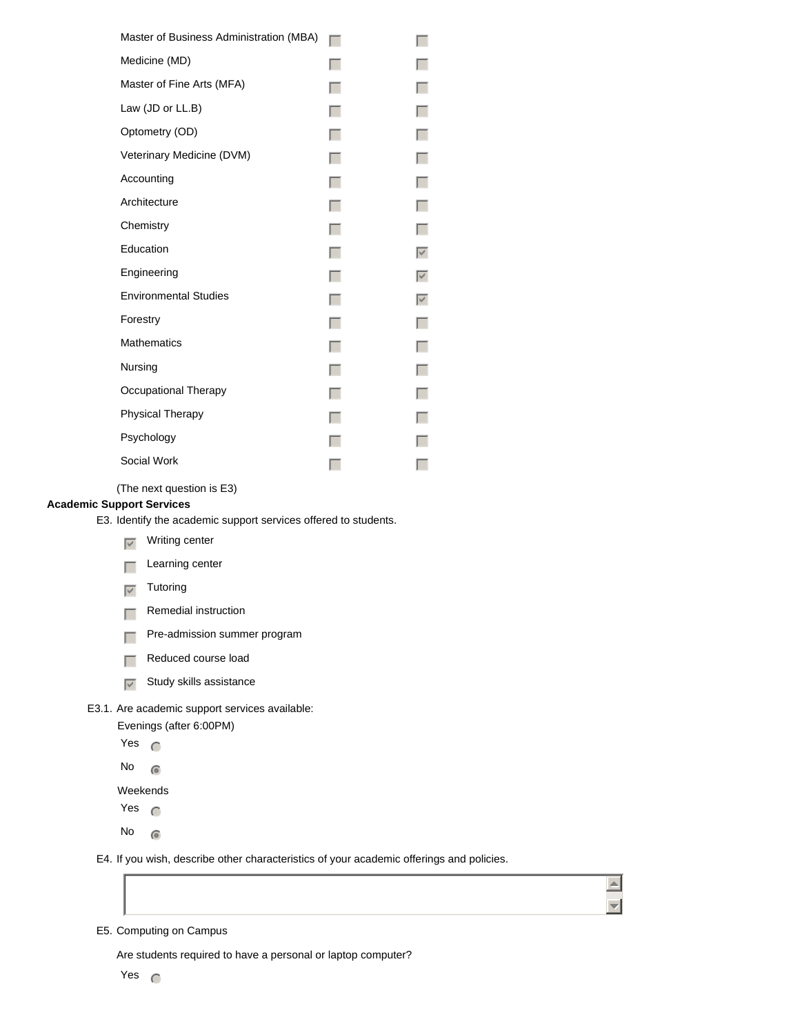| Master of Business Administration (MBA) |                   |
|-----------------------------------------|-------------------|
| Medicine (MD)                           |                   |
| Master of Fine Arts (MFA)               |                   |
| Law (JD or LL.B)                        |                   |
| Optometry (OD)                          | Г                 |
| Veterinary Medicine (DVM)               | г                 |
| Accounting                              | г                 |
| Architecture                            | $\Box$            |
| Chemistry                               | Г                 |
| Education                               | $\overline{\vee}$ |
| Engineering                             | $\overline{\vee}$ |
| <b>Environmental Studies</b>            | $\overline{\vee}$ |
| Forestry                                |                   |
| <b>Mathematics</b>                      | г                 |
| Nursing                                 |                   |
| Occupational Therapy                    |                   |
| <b>Physical Therapy</b>                 |                   |
| Psychology                              |                   |
| Social Work                             |                   |

(The next question is E3)

### **Academic Support Services**

E3. Identify the academic support services offered to students.

- $\nabla$  Writing center
- $\Box$  Learning center
- $\overline{\smash{\triangledown}}$  Tutoring
- $\Box$  Remedial instruction
- $\Box$  Pre-admission summer program
- $\Box$  Reduced course load
- $\overline{\triangledown}$  Study skills assistance
- E3.1. Are academic support services available:
	- Evenings (after 6:00PM)
	- Yes  $\subset$
	- No  $\circ$

Weekends

- Yes  $\bigcap$
- No  $\circ$
- E4. If you wish, describe other characteristics of your academic offerings and policies.



 $\begin{array}{c} \hline \end{array}$  $\overline{\mathbf{v}}$ 

E5. Computing on Campus

Are students required to have a personal or laptop computer?

Yes  $\bigcap$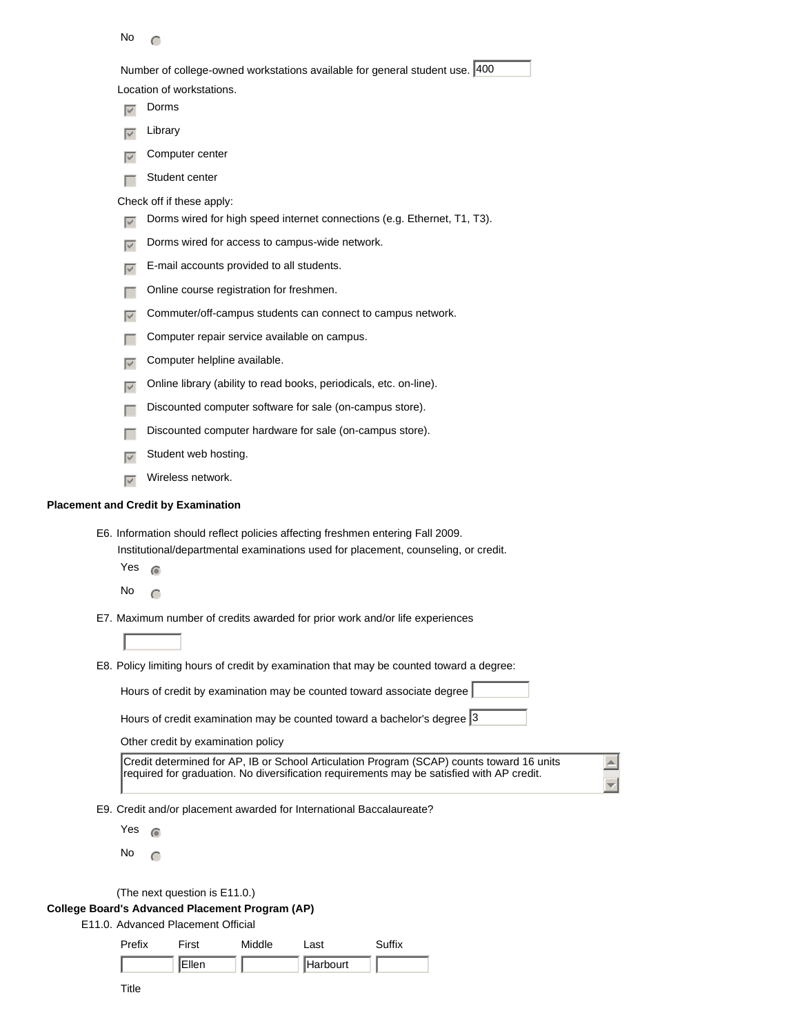| No |  |
|----|--|
|----|--|

Number of college-owned workstations available for general student use. 400

Location of workstations.

- $\overline{\triangledown}$  Dorms
- $\nabla$  Library
- $\overline{v}$  Computer center
- $\Box$  Student center

Check off if these apply:

- Dorms wired for high speed internet connections (e.g. Ethernet, T1, T3).
- $\overline{\phantom{a}}$  Dorms wired for access to campus-wide network.
- $\overline{\nabla}$  E-mail accounts provided to all students.
- $\Box$  Online course registration for freshmen.
- $\sqrt{\phantom{a}}$  Commuter/off-campus students can connect to campus network.
- $\Box$  Computer repair service available on campus.
- $\sqrt{\phantom{a}}$  Computer helpline available.
- $\Box$  Online library (ability to read books, periodicals, etc. on-line).
- $\Box$  Discounted computer software for sale (on-campus store).
- $\Box$  Discounted computer hardware for sale (on-campus store).
- $\overline{\mathbf{y}}$  Student web hosting.
- $\overline{\smash{\triangleright}}$  Wireless network.

## **Placement and Credit by Examination**

- E6. Information should reflect policies affecting freshmen entering Fall 2009. Institutional/departmental examinations used for placement, counseling, or credit.
	- Yes  $\circ$
	- No  $\subset$
- E7. Maximum number of credits awarded for prior work and/or life experiences

E8. Policy limiting hours of credit by examination that may be counted toward a degree:

|  | Hours of credit by examination may be counted toward associate degree |  |
|--|-----------------------------------------------------------------------|--|

Hours of credit examination may be counted toward a bachelor's degree  $3$ 

Other credit by examination policy

| Credit determined for AP, IB or School Articulation Program (SCAP) counts toward 16 units |
|-------------------------------------------------------------------------------------------|
| required for graduation. No diversification requirements may be satisfied with AP credit. |
|                                                                                           |

 $\triangleq$ 

E9. Credit and/or placement awarded for International Baccalaureate?

Yes  $\epsilon$ 

No  $\bigcap$ 

(The next question is E11.0.)

### **College Board's Advanced Placement Program (AP)**

E11.0. Advanced Placement Official

| Prefix | First<br>Middle |  | ∟ast     | Suffix |
|--------|-----------------|--|----------|--------|
|        | <b>IEllen</b>   |  | Harbourt |        |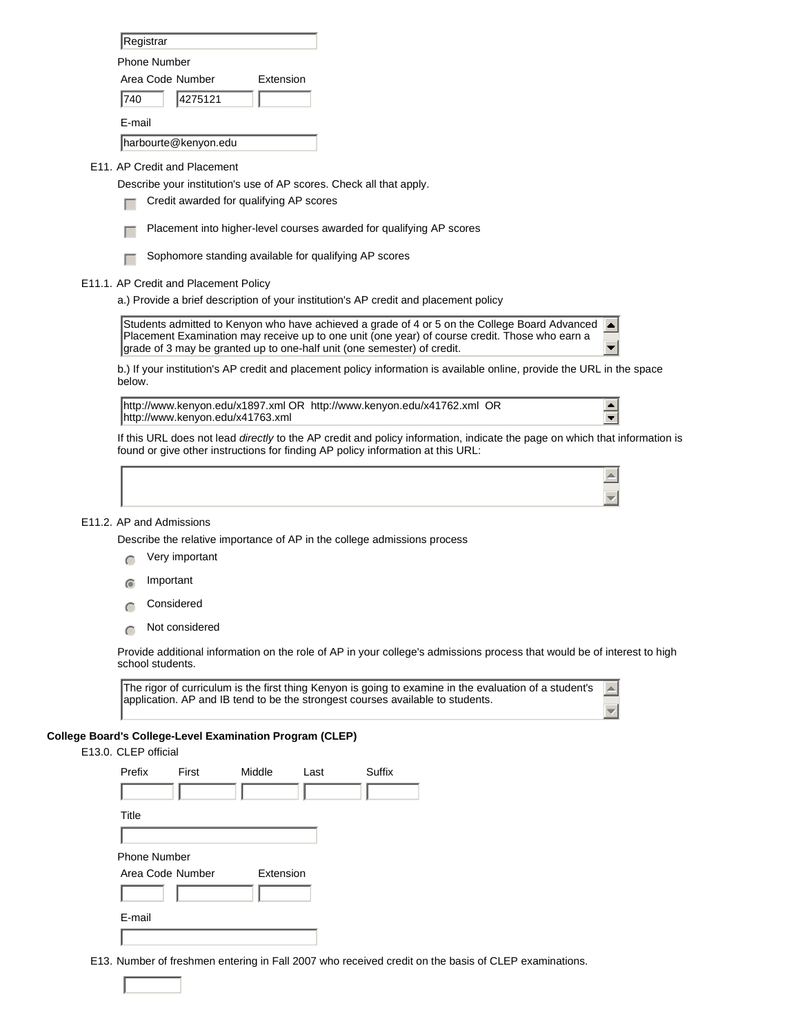| Registrar            |         |                  |  |
|----------------------|---------|------------------|--|
| Phone Number         |         |                  |  |
| Area Code Number     |         | <b>Extension</b> |  |
| 740                  | 4275121 |                  |  |
| F-mail               |         |                  |  |
| harbourte@kenyon.edu |         |                  |  |

E11. AP Credit and Placement

Describe your institution's use of AP scores. Check all that apply.

- Credit awarded for qualifying AP scores
- $\Box$  Placement into higher-level courses awarded for qualifying AP scores
- $\Box$  Sophomore standing available for qualifying AP scores
- E11.1. AP Credit and Placement Policy
	- a.) Provide a brief description of your institution's AP credit and placement policy

Students admitted to Kenyon who have achieved a grade of 4 or 5 on the College Board Advanced  $\blacktriangle$ Placement Examination may receive up to one unit (one year) of course credit. Those who earn a grade of 3 may be granted up to one-half unit (one semester) of credit.

b.) If your institution's AP credit and placement policy information is available online, provide the URL in the space below.

http://www.kenyon.edu/x1897.xml OR http://www.kenyon.edu/x41762.xml OR http://www.kenyon.edu/x41763.xml

 $\blacktriangle$  $\overline{\phantom{a}}$ 

 $\blacktriangle$ 

 $\blacktriangle$ 

If this URL does not lead *directly* to the AP credit and policy information, indicate the page on which that information is found or give other instructions for finding AP policy information at this URL:

#### E11.2. AP and Admissions

Describe the relative importance of AP in the college admissions process

- $\bigcap$  Very important
- Important
- Considered
- $\cap$  Not considered

Provide additional information on the role of AP in your college's admissions process that would be of interest to high school students.

The rigor of curriculum is the first thing Kenyon is going to examine in the evaluation of a student's application. AP and IB tend to be the strongest courses available to students.

### **College Board's College-Level Examination Program (CLEP)**

#### E13.0. CLEP official

| Prefix       | First            | Middle    | Last | Suffix |
|--------------|------------------|-----------|------|--------|
|              |                  |           |      |        |
| Title        |                  |           |      |        |
|              |                  |           |      |        |
| Phone Number |                  |           |      |        |
|              | Area Code Number | Extension |      |        |
|              |                  |           |      |        |
| E-mail       |                  |           |      |        |
|              |                  |           |      |        |

E13. Number of freshmen entering in Fall 2007 who received credit on the basis of CLEP examinations.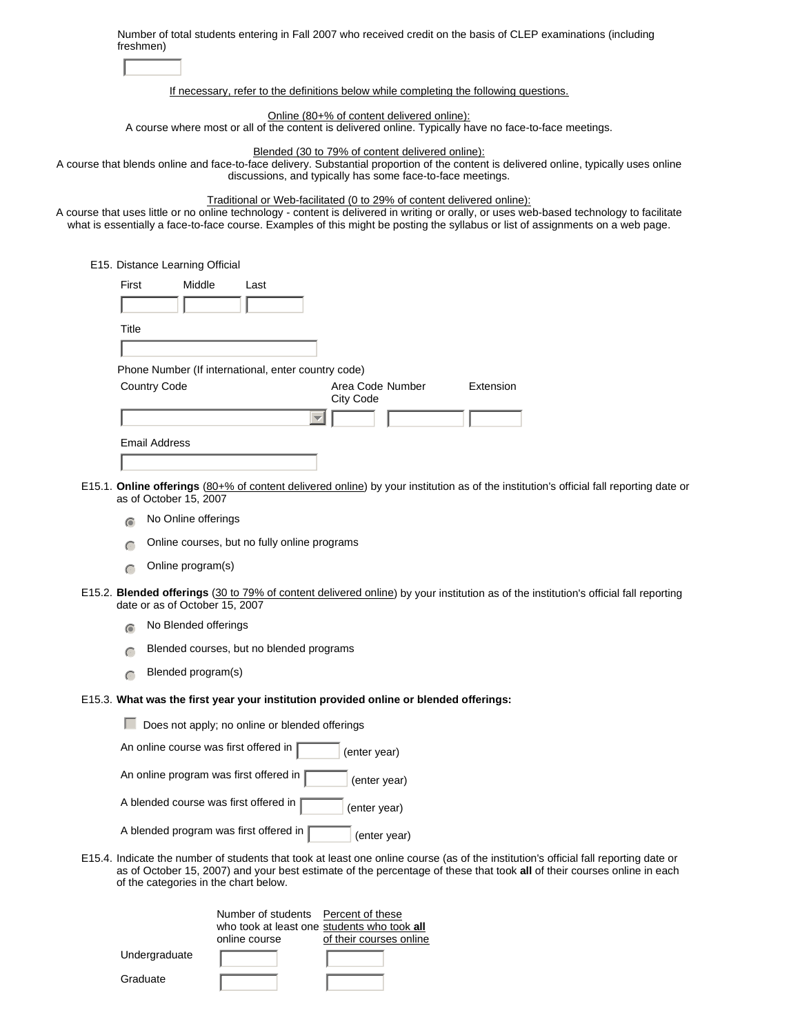| freshmen)                                                                             | Number of total students entering in Fall 2007 who received credit on the basis of CLEP examinations (including                                                                                                                                                                                                                                        |
|---------------------------------------------------------------------------------------|--------------------------------------------------------------------------------------------------------------------------------------------------------------------------------------------------------------------------------------------------------------------------------------------------------------------------------------------------------|
|                                                                                       |                                                                                                                                                                                                                                                                                                                                                        |
|                                                                                       | If necessary, refer to the definitions below while completing the following questions.                                                                                                                                                                                                                                                                 |
|                                                                                       | Online (80+% of content delivered online):<br>A course where most or all of the content is delivered online. Typically have no face-to-face meetings.                                                                                                                                                                                                  |
|                                                                                       | Blended (30 to 79% of content delivered online):                                                                                                                                                                                                                                                                                                       |
|                                                                                       | A course that blends online and face-to-face delivery. Substantial proportion of the content is delivered online, typically uses online<br>discussions, and typically has some face-to-face meetings.                                                                                                                                                  |
|                                                                                       | Traditional or Web-facilitated (0 to 29% of content delivered online):<br>A course that uses little or no online technology - content is delivered in writing or orally, or uses web-based technology to facilitate<br>what is essentially a face-to-face course. Examples of this might be posting the syllabus or list of assignments on a web page. |
| E15. Distance Learning Official                                                       |                                                                                                                                                                                                                                                                                                                                                        |
| First<br>Middle<br>Last                                                               |                                                                                                                                                                                                                                                                                                                                                        |
|                                                                                       |                                                                                                                                                                                                                                                                                                                                                        |
| Title                                                                                 |                                                                                                                                                                                                                                                                                                                                                        |
|                                                                                       |                                                                                                                                                                                                                                                                                                                                                        |
| Phone Number (If international, enter country code)                                   |                                                                                                                                                                                                                                                                                                                                                        |
| Country Code                                                                          | Extension<br>Area Code Number<br>City Code                                                                                                                                                                                                                                                                                                             |
|                                                                                       | $\overline{\phantom{m}}$                                                                                                                                                                                                                                                                                                                               |
| <b>Email Address</b>                                                                  |                                                                                                                                                                                                                                                                                                                                                        |
|                                                                                       |                                                                                                                                                                                                                                                                                                                                                        |
| as of October 15, 2007                                                                | E15.1. Online offerings (80+% of content delivered online) by your institution as of the institution's official fall reporting date or                                                                                                                                                                                                                 |
| No Online offerings<br>$\bigcirc$                                                     |                                                                                                                                                                                                                                                                                                                                                        |
| Online courses, but no fully online programs<br>$\subset$                             |                                                                                                                                                                                                                                                                                                                                                        |
| Online program(s)<br>$\subset$                                                        |                                                                                                                                                                                                                                                                                                                                                        |
| date or as of October 15, 2007                                                        | E15.2. Blended offerings (30 to 79% of content delivered online) by your institution as of the institution's official fall reporting                                                                                                                                                                                                                   |
| No Blended offerings                                                                  |                                                                                                                                                                                                                                                                                                                                                        |
| Blended courses, but no blended programs                                              |                                                                                                                                                                                                                                                                                                                                                        |
| Blended program(s)<br>$\subset$                                                       |                                                                                                                                                                                                                                                                                                                                                        |
| E15.3. What was the first year your institution provided online or blended offerings: |                                                                                                                                                                                                                                                                                                                                                        |
| Does not apply; no online or blended offerings                                        |                                                                                                                                                                                                                                                                                                                                                        |
| An online course was first offered in                                                 | (enter year)                                                                                                                                                                                                                                                                                                                                           |
| An online program was first offered in                                                | (enter year)                                                                                                                                                                                                                                                                                                                                           |
| A blended course was first offered in                                                 | (enter year)                                                                                                                                                                                                                                                                                                                                           |
| A blended program was first offered in                                                | (enter year)                                                                                                                                                                                                                                                                                                                                           |
| of the categories in the chart below.                                                 | E15.4. Indicate the number of students that took at least one online course (as of the institution's official fall reporting date or<br>as of October 15, 2007) and your best estimate of the percentage of these that took all of their courses online in each                                                                                        |
| Number of students Percent of these                                                   | who took at least one students who took all                                                                                                                                                                                                                                                                                                            |

|               | online course | of their courses online |
|---------------|---------------|-------------------------|
| Undergraduate |               |                         |
| Graduate      |               |                         |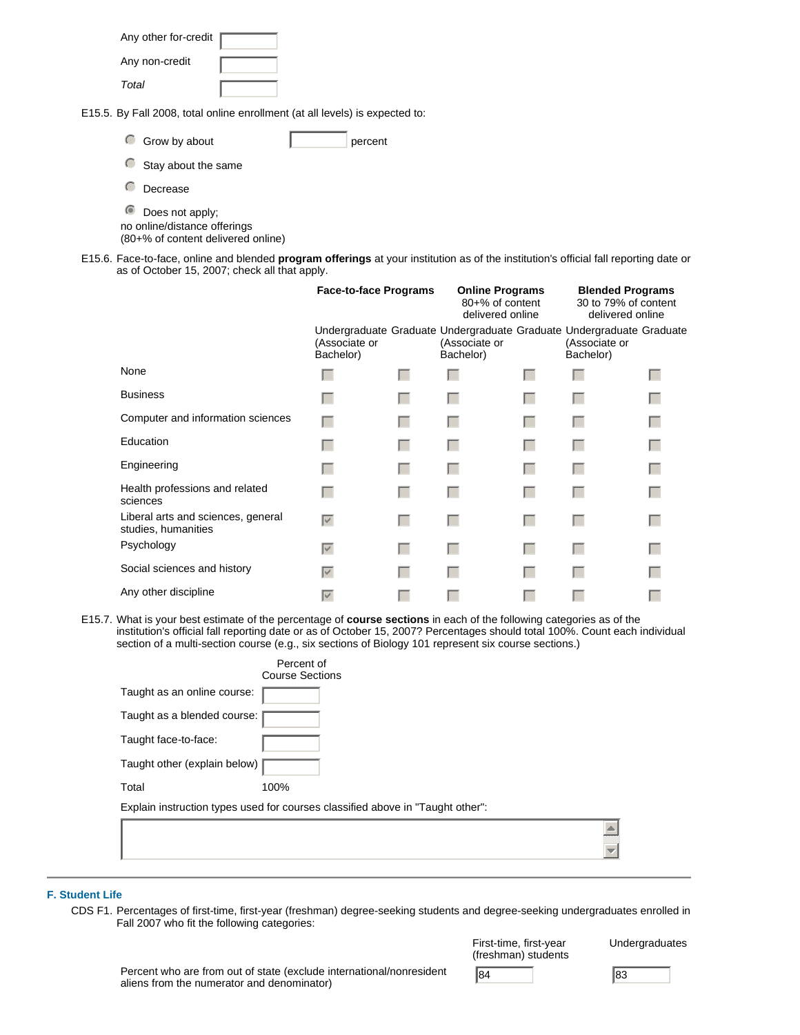| Any other for-credit |  |
|----------------------|--|
| Any non-credit       |  |
| Total                |  |

E15.5. By Fall 2008, total online enrollment (at all levels) is expected to:

| Grow by about |  | percent |
|---------------|--|---------|
|---------------|--|---------|

| Stay about the same |  |
|---------------------|--|
|---------------------|--|

 $\bigcirc$  Decrease

 $\bullet$  Does not apply; no online/distance offerings

(80+% of content delivered online)

E15.6. Face-to-face, online and blended **program offerings** at your institution as of the institution's official fall reporting date or as of October 15, 2007; check all that apply.

|                                                           | <b>Face-to-face Programs</b> |     | <b>Online Programs</b><br>80+% of content<br>delivered online                                      |  | <b>Blended Programs</b><br>30 to 79% of content<br>delivered online |  |
|-----------------------------------------------------------|------------------------------|-----|----------------------------------------------------------------------------------------------------|--|---------------------------------------------------------------------|--|
|                                                           | (Associate or<br>Bachelor)   |     | Undergraduate Graduate Undergraduate Graduate Undergraduate Graduate<br>(Associate or<br>Bachelor) |  | (Associate or<br>Bachelor)                                          |  |
| None                                                      |                              | . . |                                                                                                    |  |                                                                     |  |
| <b>Business</b>                                           |                              |     |                                                                                                    |  |                                                                     |  |
| Computer and information sciences                         |                              |     |                                                                                                    |  |                                                                     |  |
| Education                                                 | L.                           | L   |                                                                                                    |  |                                                                     |  |
| Engineering                                               |                              | L   |                                                                                                    |  |                                                                     |  |
| Health professions and related<br>sciences                |                              | L.  |                                                                                                    |  |                                                                     |  |
| Liberal arts and sciences, general<br>studies, humanities | $\overline{\vee}$            | . . |                                                                                                    |  |                                                                     |  |
| Psychology                                                | $\overline{\vee}$            | L   |                                                                                                    |  |                                                                     |  |
| Social sciences and history                               | $\overline{\vee}$            |     |                                                                                                    |  |                                                                     |  |
| Any other discipline                                      | $\overline{\vee}$            |     |                                                                                                    |  |                                                                     |  |

E15.7. What is your best estimate of the percentage of **course sections** in each of the following categories as of the institution's official fall reporting date or as of October 15, 2007? Percentages should total 100%. Count each individual section of a multi-section course (e.g., six sections of Biology 101 represent six course sections.)

|                              | Percent of                                                                     |
|------------------------------|--------------------------------------------------------------------------------|
|                              | <b>Course Sections</b>                                                         |
| Taught as an online course:  |                                                                                |
| Taught as a blended course:  |                                                                                |
| Taught face-to-face:         |                                                                                |
| Taught other (explain below) |                                                                                |
| Total                        | 100%                                                                           |
|                              | Explain instruction types used for courses classified above in "Taught other": |
|                              |                                                                                |
|                              |                                                                                |
|                              |                                                                                |

## **F. Student Life**

CDS F1. Percentages of first-time, first-year (freshman) degree-seeking students and degree-seeking undergraduates enrolled in Fall 2007 who fit the following categories:

| First-time, first-year<br>(freshman) students | Und |
|-----------------------------------------------|-----|
| $\sqrt{84}$                                   | 83  |

Percent who are from out of state (exclude international/nonresident aliens from the numerator and denominator)

Undergraduates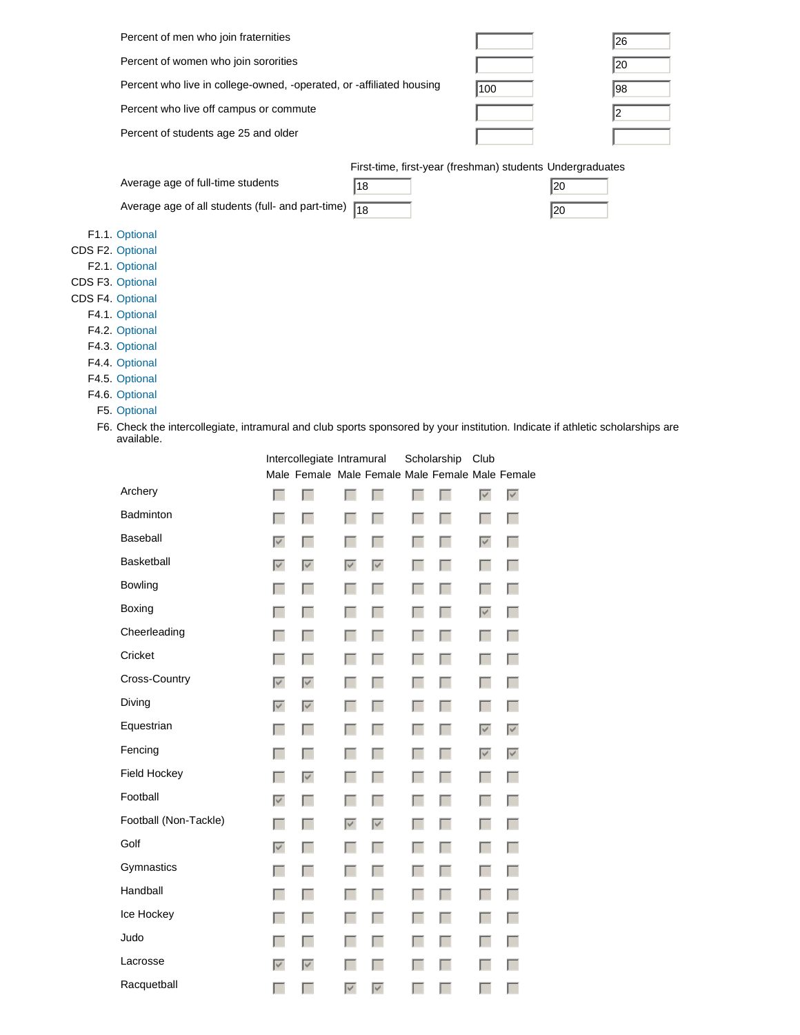| Percent of men who join fraternities                                                                                                         |                            |                                                 |                                 |                                 |        |                  |                                 |                                 |                                                           | 26         |
|----------------------------------------------------------------------------------------------------------------------------------------------|----------------------------|-------------------------------------------------|---------------------------------|---------------------------------|--------|------------------|---------------------------------|---------------------------------|-----------------------------------------------------------|------------|
| Percent of women who join sororities                                                                                                         |                            |                                                 |                                 |                                 |        |                  |                                 |                                 |                                                           | 20         |
| Percent who live in college-owned, -operated, or -affiliated housing                                                                         |                            |                                                 |                                 |                                 |        |                  | 100                             |                                 |                                                           | 98         |
| Percent who live off campus or commute                                                                                                       |                            |                                                 |                                 |                                 |        |                  |                                 |                                 |                                                           | $\sqrt{2}$ |
| Percent of students age 25 and older                                                                                                         |                            |                                                 |                                 |                                 |        |                  |                                 |                                 |                                                           |            |
|                                                                                                                                              |                            |                                                 |                                 |                                 |        |                  |                                 |                                 |                                                           |            |
|                                                                                                                                              |                            |                                                 |                                 |                                 |        |                  |                                 |                                 | First-time, first-year (freshman) students Undergraduates |            |
| Average age of full-time students                                                                                                            |                            |                                                 | 18                              |                                 |        |                  |                                 |                                 | 20                                                        |            |
| Average age of all students (full- and part-time)                                                                                            |                            |                                                 | $\sqrt{18}$                     |                                 |        |                  |                                 |                                 | 20                                                        |            |
| F1.1. Optional                                                                                                                               |                            |                                                 |                                 |                                 |        |                  |                                 |                                 |                                                           |            |
| CDS F2. Optional                                                                                                                             |                            |                                                 |                                 |                                 |        |                  |                                 |                                 |                                                           |            |
| F2.1. Optional                                                                                                                               |                            |                                                 |                                 |                                 |        |                  |                                 |                                 |                                                           |            |
| CDS F3. Optional<br>CDS F4. Optional                                                                                                         |                            |                                                 |                                 |                                 |        |                  |                                 |                                 |                                                           |            |
| F4.1. Optional                                                                                                                               |                            |                                                 |                                 |                                 |        |                  |                                 |                                 |                                                           |            |
| F4.2. Optional                                                                                                                               |                            |                                                 |                                 |                                 |        |                  |                                 |                                 |                                                           |            |
| F4.3. Optional                                                                                                                               |                            |                                                 |                                 |                                 |        |                  |                                 |                                 |                                                           |            |
| F4.4. Optional                                                                                                                               |                            |                                                 |                                 |                                 |        |                  |                                 |                                 |                                                           |            |
| F4.5. Optional                                                                                                                               |                            |                                                 |                                 |                                 |        |                  |                                 |                                 |                                                           |            |
| F4.6. Optional                                                                                                                               |                            |                                                 |                                 |                                 |        |                  |                                 |                                 |                                                           |            |
| F5. Optional                                                                                                                                 |                            |                                                 |                                 |                                 |        |                  |                                 |                                 |                                                           |            |
| F6. Check the intercollegiate, intramural and club sports sponsored by your institution. Indicate if athletic scholarships are<br>available. |                            |                                                 |                                 |                                 |        |                  |                                 |                                 |                                                           |            |
|                                                                                                                                              |                            | Intercollegiate Intramural                      |                                 |                                 |        | Scholarship Club |                                 |                                 |                                                           |            |
|                                                                                                                                              |                            | Male Female Male Female Male Female Male Female |                                 |                                 |        |                  |                                 |                                 |                                                           |            |
| Archery                                                                                                                                      | L                          | L                                               |                                 |                                 |        | Г                | $\overline{\vee}$               | $\overline{\blacktriangledown}$ |                                                           |            |
| Badminton                                                                                                                                    | L                          | L                                               |                                 | L                               | L      | <b>The State</b> | L                               | . .                             |                                                           |            |
| Baseball                                                                                                                                     | $\overline{\vee}$          | L                                               |                                 | L                               | L      | <b>The State</b> | $\overline{\vee}$               |                                 |                                                           |            |
| Basketball                                                                                                                                   | $\overline{\vee}$          | $\overline{\vee}$                               | $\overline{\vee}$               | $\overline{\vee}$               | L      | $\Box$           | Г                               |                                 |                                                           |            |
| <b>Bowling</b>                                                                                                                               | L                          | L                                               |                                 | L                               | L      | $\Box$           | Г                               |                                 |                                                           |            |
| Boxing                                                                                                                                       |                            |                                                 |                                 |                                 |        |                  | $\overline{\blacktriangledown}$ | L.                              |                                                           |            |
| Cheerleading                                                                                                                                 | п                          | Г                                               |                                 | г                               | Г      | Г                | Г                               | Г                               |                                                           |            |
| Cricket                                                                                                                                      | г                          | П                                               | ь.                              | E                               | Г      | $\Box$           | $\Box$                          | П                               |                                                           |            |
| Cross-Country                                                                                                                                | $\overline{\vee}$          | $\overline{\triangledown}$                      | Г                               | Г                               | Г      | $\Box$           | $\Box$                          | Г                               |                                                           |            |
| Diving                                                                                                                                       | $\overline{\triangledown}$ | $\overline{\triangledown}$                      | г                               | П                               | Г      | $\Box$           | $\Box$                          | $\Box$                          |                                                           |            |
| Equestrian                                                                                                                                   | Г                          | Г                                               | Г                               | Г                               | Г      | $\Box$           | $\overline{\blacktriangledown}$ | $\overline{\blacktriangledown}$ |                                                           |            |
| Fencing                                                                                                                                      | Г                          | Г                                               | г                               | Г                               | Г      | $\Box$           | $\overline{\blacktriangledown}$ | $\overline{\blacktriangledown}$ |                                                           |            |
| Field Hockey                                                                                                                                 | Г                          | $\overline{\vee}$                               | Г                               | Г                               | Г      | $\Box$           | $\Box$                          | Г                               |                                                           |            |
| Football                                                                                                                                     | $\overline{\vee}$          | Г                                               | г                               | Г                               | Г      | $\Box$           | $\Box$                          | Г                               |                                                           |            |
| Football (Non-Tackle)                                                                                                                        | Г                          | Г                                               | $\overline{\triangledown}$      | $\overline{\blacktriangledown}$ | Г      | $\Box$           | $\Box$                          | Г                               |                                                           |            |
| Golf                                                                                                                                         | $\overline{\vee}$          | Г                                               | Г                               | Г                               | Г      | $\Box$           | $\Box$                          | Г                               |                                                           |            |
| Gymnastics                                                                                                                                   | Г                          | Г                                               | Г                               | Г                               | Г      | $\Box$           | $\Box$                          | $\Box$                          |                                                           |            |
| Handball                                                                                                                                     | Г                          | Г                                               | г                               | Г                               | Г      | $\Box$           | $\Box$                          | $\Box$                          |                                                           |            |
| Ice Hockey                                                                                                                                   | Г                          | Г                                               | Г                               | Г                               | Г      | $\Box$           | $\Box$                          | $\Box$                          |                                                           |            |
| Judo                                                                                                                                         | г                          | Г                                               | г                               | Г                               | Г      | $\Box$           | $\Box$                          | Г                               |                                                           |            |
| Lacrosse                                                                                                                                     | $\overline{\vee}$          | $\overline{\triangledown}$                      | г                               | П                               | Г      | $\Box$           | $\Box$                          | П                               |                                                           |            |
| Racquetball                                                                                                                                  | г                          | Г                                               | $\overline{\blacktriangledown}$ | $\overline{\blacktriangledown}$ | $\Box$ | $\Box$           | $\Box$                          | Г                               |                                                           |            |
|                                                                                                                                              |                            |                                                 |                                 |                                 |        |                  |                                 |                                 |                                                           |            |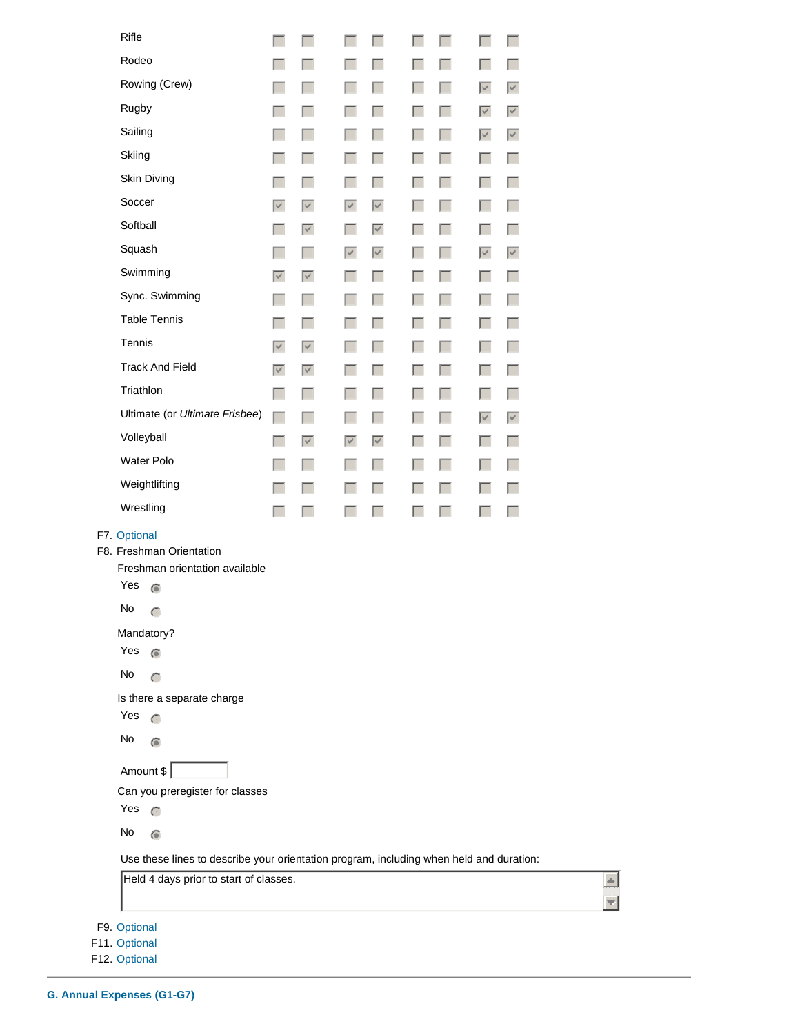| Rifle                                                                                                                                                                                                                                                                                                                                                                                                                          |                   |                   |                   |                   |            |                |                      |                   |
|--------------------------------------------------------------------------------------------------------------------------------------------------------------------------------------------------------------------------------------------------------------------------------------------------------------------------------------------------------------------------------------------------------------------------------|-------------------|-------------------|-------------------|-------------------|------------|----------------|----------------------|-------------------|
| Rodeo                                                                                                                                                                                                                                                                                                                                                                                                                          | г                 | п                 |                   | I.                | I.         | <b>College</b> | ь.                   | L                 |
|                                                                                                                                                                                                                                                                                                                                                                                                                                | L                 | L                 | L                 | г.                | Г          | ш              | L                    | H                 |
| Rowing (Crew)                                                                                                                                                                                                                                                                                                                                                                                                                  | L                 | L                 | L                 | г.                | <b>COL</b> | L              | $\blacktriangledown$ | $\overline{\vee}$ |
| Rugby                                                                                                                                                                                                                                                                                                                                                                                                                          | L                 | п                 | L                 | L.                | Г          | ш              | $\overline{\vee}$    | $\overline{\vee}$ |
| Sailing                                                                                                                                                                                                                                                                                                                                                                                                                        | L                 | L                 | L                 | г.                | <b>COL</b> | L              | $\overline{\vee}$    | $\overline{\vee}$ |
| Skiing                                                                                                                                                                                                                                                                                                                                                                                                                         | L                 | п                 | L                 | L.                | $\Box$     | ш              | L.                   | <b>College</b>    |
| Skin Diving                                                                                                                                                                                                                                                                                                                                                                                                                    | L                 |                   | L                 | г.                | <b>COL</b> | L              | L                    | m.                |
| Soccer                                                                                                                                                                                                                                                                                                                                                                                                                         | $\overline{\vee}$ | $\overline{\vee}$ | $\overline{\vee}$ | $\overline{\vee}$ | $\Box$     | ш              | L                    | H                 |
| Softball                                                                                                                                                                                                                                                                                                                                                                                                                       | L                 | $\overline{\vee}$ | ш                 | $\overline{\vee}$ | <b>COL</b> | L              | L.                   | ш                 |
| Squash                                                                                                                                                                                                                                                                                                                                                                                                                         | L                 | I.                | $\overline{\vee}$ | $\overline{\vee}$ | $\Box$     | ш              | $\overline{\vee}$    | $\overline{\vee}$ |
| Swimming                                                                                                                                                                                                                                                                                                                                                                                                                       | $\overline{\vee}$ | $\overline{\vee}$ | ш                 | г.                | <b>COL</b> | L              | L.                   | ш                 |
| Sync. Swimming                                                                                                                                                                                                                                                                                                                                                                                                                 | L                 | I.                | ш                 | L.                | $\Box$     | ш              | L                    | H                 |
| <b>Table Tennis</b>                                                                                                                                                                                                                                                                                                                                                                                                            | L                 | I.                | L                 | г.                | <b>COL</b> | L              | L                    | L                 |
| Tennis                                                                                                                                                                                                                                                                                                                                                                                                                         | $\overline{\vee}$ | $\overline{\vee}$ | L                 | L.                | $\Box$     | ш              | L                    | H                 |
| <b>Track And Field</b>                                                                                                                                                                                                                                                                                                                                                                                                         | $\overline{\vee}$ | $\overline{\vee}$ | . .               | г.                | <b>COL</b> | L              | L                    | L                 |
| Triathlon                                                                                                                                                                                                                                                                                                                                                                                                                      | г                 | I.                | L                 | L.                | $\Box$     | ш              | L.                   | m.                |
| Ultimate (or Ultimate Frisbee)                                                                                                                                                                                                                                                                                                                                                                                                 | Г                 | I.                | L                 | г.                | <b>COL</b> | L              | $\overline{\vee}$    | $\overline{\vee}$ |
| Volleyball                                                                                                                                                                                                                                                                                                                                                                                                                     | Г                 | $\overline{\vee}$ | $\triangledown$   | $\overline{\vee}$ | $\Box$     | ш              | L                    | m.                |
| Water Polo                                                                                                                                                                                                                                                                                                                                                                                                                     | L                 | I.                | ш                 | г.                | <b>COL</b> | L              | L                    | m.                |
| Weightlifting                                                                                                                                                                                                                                                                                                                                                                                                                  | L                 |                   | L                 | г.                | Г          | ш              | L                    | п                 |
| Wrestling                                                                                                                                                                                                                                                                                                                                                                                                                      | L                 | L                 | Ι.                | L                 | <b>COL</b> | L              |                      | n                 |
| F7. Optional<br>F8. Freshman Orientation<br>Freshman orientation available<br>Yes<br>$\bigcirc$<br>No<br>$\subset$<br>Mandatory?<br>Yes<br>$\bigcirc$<br>No<br>$\subset$<br>Is there a separate charge<br>Yes<br>$\subset$<br>No<br>$\bigcirc$<br>Amount \$<br>Can you preregister for classes<br>Yes<br>$\subset$<br>No<br>$\odot$<br>Use these lines to describe your orientation program, including when held and duration: |                   |                   |                   |                   |            |                |                      |                   |
| Held 4 days prior to start of classes.                                                                                                                                                                                                                                                                                                                                                                                         |                   |                   |                   |                   |            |                |                      |                   |
|                                                                                                                                                                                                                                                                                                                                                                                                                                |                   |                   |                   |                   |            |                |                      |                   |
| F9. Optional                                                                                                                                                                                                                                                                                                                                                                                                                   |                   |                   |                   |                   |            |                |                      |                   |

 $\overline{\Xi}$ 

F9. F11. Optional

F12. Optional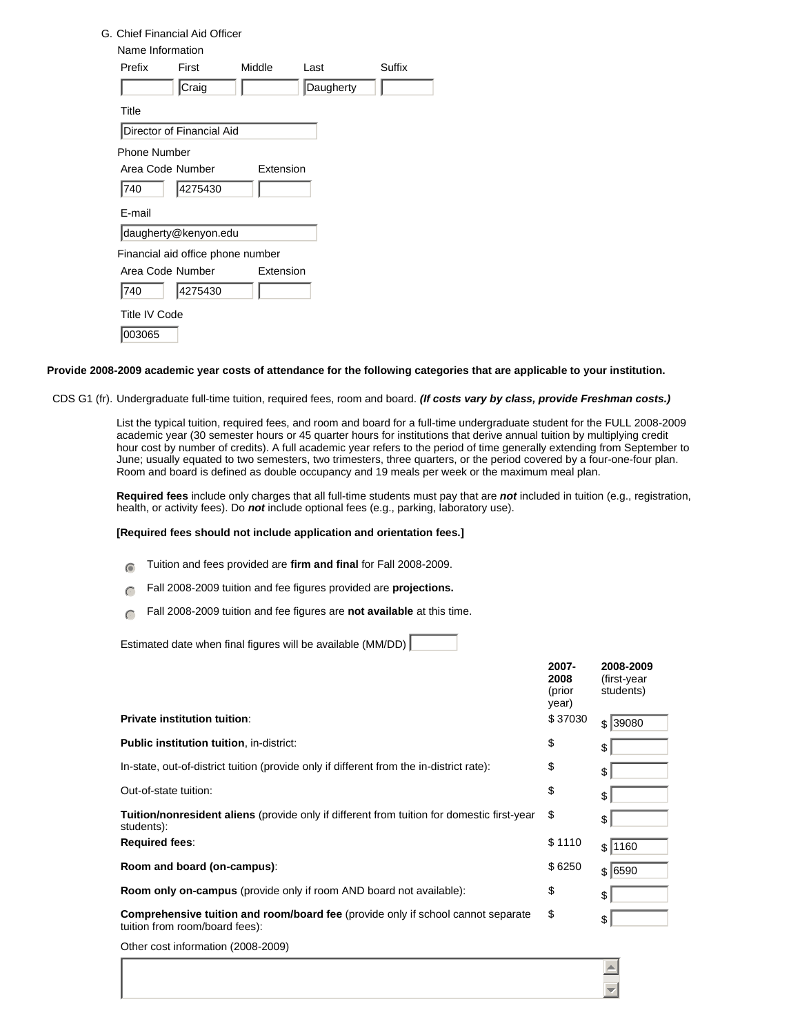### G. Chief Financial Aid Officer

| Name Information    |                                   |           |           |        |
|---------------------|-----------------------------------|-----------|-----------|--------|
| Prefix              | First                             | Middle    | l ast     | Suffix |
|                     | Craig                             |           | Daugherty |        |
| Title               |                                   |           |           |        |
|                     | Director of Financial Aid         |           |           |        |
| <b>Phone Number</b> |                                   |           |           |        |
| Area Code Number    |                                   | Extension |           |        |
| 740                 | 4275430                           |           |           |        |
| E-mail              |                                   |           |           |        |
|                     | daugherty@kenyon.edu              |           |           |        |
|                     | Financial aid office phone number |           |           |        |
| Area Code Number    |                                   | Extension |           |        |
| 740                 | 4275430                           |           |           |        |
| Title IV Code       |                                   |           |           |        |
| 03065               |                                   |           |           |        |

#### **Provide 2008-2009 academic year costs of attendance for the following categories that are applicable to your institution.**

CDS G1 (fr). Undergraduate full-time tuition, required fees, room and board. *(If costs vary by class, provide Freshman costs.)*

List the typical tuition, required fees, and room and board for a full-time undergraduate student for the FULL 2008-2009 academic year (30 semester hours or 45 quarter hours for institutions that derive annual tuition by multiplying credit hour cost by number of credits). A full academic year refers to the period of time generally extending from September to June; usually equated to two semesters, two trimesters, three quarters, or the period covered by a four-one-four plan. Room and board is defined as double occupancy and 19 meals per week or the maximum meal plan.

**Required fees** include only charges that all full-time students must pay that are *not* included in tuition (e.g., registration, health, or activity fees). Do *not* include optional fees (e.g., parking, laboratory use).

### **[Required fees should not include application and orientation fees.]**

- **nm** Tuition and fees provided are firm and final for Fall 2008-2009.
- Fall 2008-2009 tuition and fee figures provided are **projections.**
- Fall 2008-2009 tuition and fee figures are **not available** at this time.

Estimated date when final figures will be available (MM/DD)

|                                                                                                                           | 2007-<br>2008<br>(prior<br>year) | 2008-2009<br>(first-year<br>students) |
|---------------------------------------------------------------------------------------------------------------------------|----------------------------------|---------------------------------------|
| <b>Private institution tuition:</b>                                                                                       | \$37030                          | \$ 39080                              |
| <b>Public institution tuition, in-district:</b>                                                                           | \$                               | \$                                    |
| In-state, out-of-district tuition (provide only if different from the in-district rate):                                  | \$                               | \$                                    |
| Out-of-state tuition:                                                                                                     | \$                               | \$                                    |
| <b>Tuition/nonresident aliens</b> (provide only if different from tuition for domestic first-year<br>students):           | \$                               | \$                                    |
| <b>Required fees:</b>                                                                                                     | \$1110                           | \$1160                                |
| Room and board (on-campus):                                                                                               | \$6250                           | \$ 6590                               |
| Room only on-campus (provide only if room AND board not available):                                                       | \$                               | \$                                    |
| <b>Comprehensive tuition and room/board fee</b> (provide only if school cannot separate<br>tuition from room/board fees): | \$                               | \$                                    |
| Other cost information (2008-2009)                                                                                        |                                  |                                       |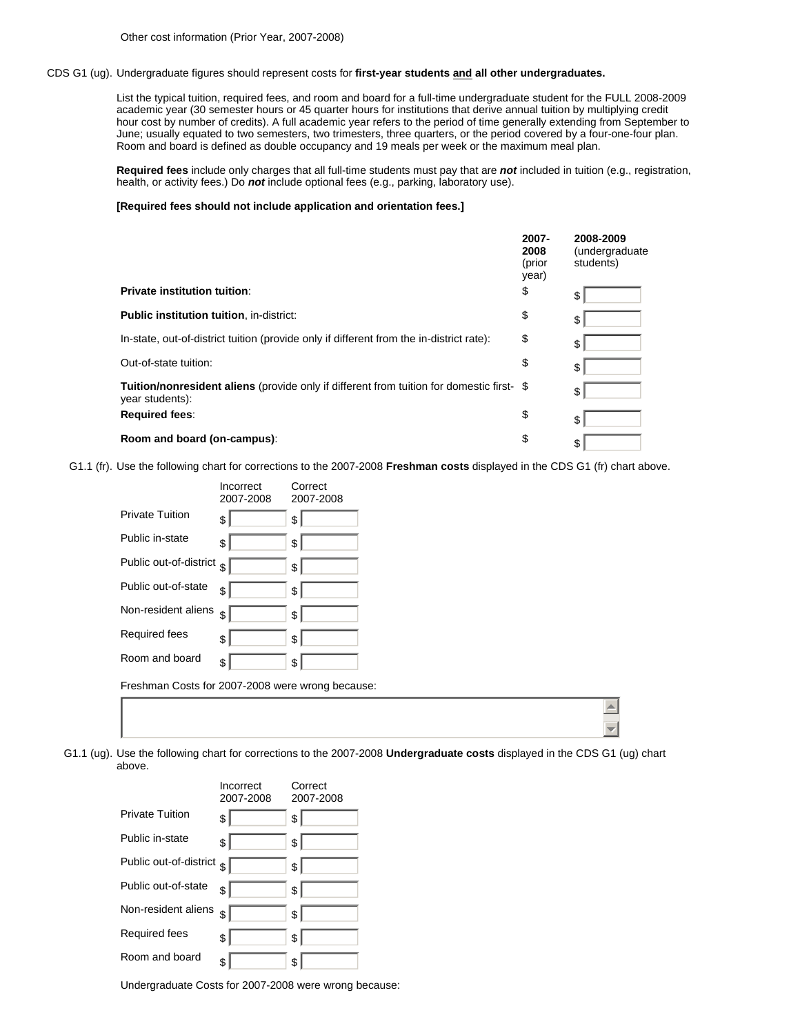### CDS G1 (ug). Undergraduate figures should represent costs for **first-year students and all other undergraduates.**

List the typical tuition, required fees, and room and board for a full-time undergraduate student for the FULL 2008-2009 academic year (30 semester hours or 45 quarter hours for institutions that derive annual tuition by multiplying credit hour cost by number of credits). A full academic year refers to the period of time generally extending from September to June; usually equated to two semesters, two trimesters, three quarters, or the period covered by a four-one-four plan. Room and board is defined as double occupancy and 19 meals per week or the maximum meal plan.

**Required fees** include only charges that all full-time students must pay that are *not* included in tuition (e.g., registration, health, or activity fees.) Do *not* include optional fees (e.g., parking, laboratory use).

### **[Required fees should not include application and orientation fees.]**

|                                                                                                                     | 2007-<br>2008<br>(prior<br>year) | 2008-2009<br>(undergraduate<br>students) |
|---------------------------------------------------------------------------------------------------------------------|----------------------------------|------------------------------------------|
| <b>Private institution tuition:</b>                                                                                 | \$                               | \$                                       |
| <b>Public institution tuition, in-district:</b>                                                                     | \$                               | \$                                       |
| In-state, out-of-district tuition (provide only if different from the in-district rate):                            | \$                               | \$                                       |
| Out-of-state tuition:                                                                                               | \$                               | \$                                       |
| <b>Tuition/nonresident aliens</b> (provide only if different from tuition for domestic first- \$<br>year students): |                                  | \$                                       |
| <b>Required fees:</b>                                                                                               | \$                               | \$                                       |
| Room and board (on-campus):                                                                                         | \$                               | \$                                       |

G1.1 (fr). Use the following chart for corrections to the 2007-2008 **Freshman costs** displayed in the CDS G1 (fr) chart above.

|                                                  | Incorrect<br>2007-2008 | Correct<br>2007-2008 |
|--------------------------------------------------|------------------------|----------------------|
| <b>Private Tuition</b>                           | \$                     | \$                   |
| Public in-state                                  | $\frac{1}{2}$          | \$                   |
| Public out-of-district                           | ا \$                   | \$                   |
| Public out-of-state                              | s                      | \$                   |
| Non-resident aliens                              | \$                     | \$                   |
| Required fees                                    | s                      | \$                   |
| Room and board                                   | \$                     | \$                   |
| Freshman Costs for 2007-2008 were wrong because: |                        |                      |
|                                                  |                        |                      |
|                                                  |                        |                      |

G1.1 (ug). Use the following chart for corrections to the 2007-2008 **Undergraduate costs** displayed in the CDS G1 (ug) chart above.

 $\blacktriangle$  $\overline{\phantom{a}}$ 

|                        | Incorrect<br>2007-2008 | Correct<br>2007-2008 |
|------------------------|------------------------|----------------------|
| <b>Private Tuition</b> | \$                     | \$                   |
| Public in-state        | \$                     | \$                   |
| Public out-of-district | \$                     | \$                   |
| Public out-of-state    | \$                     | \$                   |
| Non-resident aliens    | \$                     | \$                   |
| Required fees          | \$                     | \$                   |
| Room and board         | \$                     | \$                   |

Undergraduate Costs for 2007-2008 were wrong because: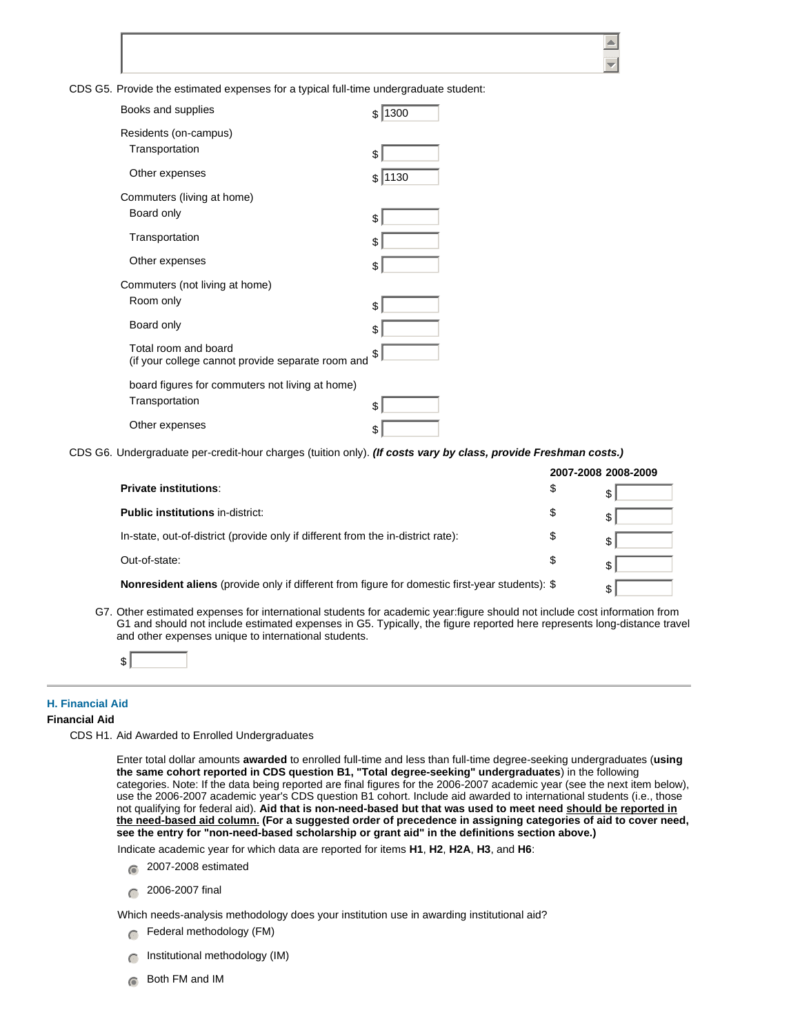CDS G5. Provide the estimated expenses for a typical full-time undergraduate student:

| Books and supplies                                                        | 1300<br>\$ |
|---------------------------------------------------------------------------|------------|
| Residents (on-campus)<br>Transportation                                   | \$         |
| Other expenses                                                            | 1130<br>\$ |
| Commuters (living at home)                                                |            |
| Board only                                                                | \$         |
| Transportation                                                            | \$         |
| Other expenses                                                            | \$         |
| Commuters (not living at home)                                            |            |
| Room only                                                                 | \$         |
| Board only                                                                | \$         |
| Total room and board<br>(if your college cannot provide separate room and | \$         |
| board figures for commuters not living at home)                           |            |
| Transportation                                                            | \$         |
| Other expenses                                                            | \$         |

CDS G6. Undergraduate per-credit-hour charges (tuition only). *(If costs vary by class, provide Freshman costs.)*

|                                                                                                        | 2007-2008 2008-2009 |
|--------------------------------------------------------------------------------------------------------|---------------------|
| <b>Private institutions:</b>                                                                           | \$<br>\$            |
| <b>Public institutions in-district:</b>                                                                | \$                  |
| In-state, out-of-district (provide only if different from the in-district rate):                       | \$<br>\$            |
| Out-of-state:                                                                                          | \$<br>\$            |
| <b>Nonresident aliens</b> (provide only if different from figure for domestic first-year students): \$ |                     |

G7. Other estimated expenses for international students for academic year:figure should not include cost information from G1 and should not include estimated expenses in G5. Typically, the figure reported here represents long-distance travel and other expenses unique to international students.



### **H. Financial Aid**

### **Financial Aid**

CDS H1. Aid Awarded to Enrolled Undergraduates

Enter total dollar amounts **awarded** to enrolled full-time and less than full-time degree-seeking undergraduates (**using the same cohort reported in CDS question B1, "Total degree-seeking" undergraduates**) in the following categories. Note: If the data being reported are final figures for the 2006-2007 academic year (see the next item below), use the 2006-2007 academic year's CDS question B1 cohort. Include aid awarded to international students (i.e., those not qualifying for federal aid). **Aid that is non-need-based but that was used to meet need should be reported in the need-based aid column. (For a suggested order of precedence in assigning categories of aid to cover need, see the entry for "non-need-based scholarship or grant aid" in the definitions section above.)**

Indicate academic year for which data are reported for items **H1**, **H2**, **H2A**, **H3**, and **H6**:

- $\bigcirc$  2007-2008 estimated
- $\bigcap$  2006-2007 final

Which needs-analysis methodology does your institution use in awarding institutional aid?

- $\bigcap$  Federal methodology (FM)
- $\cap$  Institutional methodology (IM)
- $\epsilon$  Both FM and IM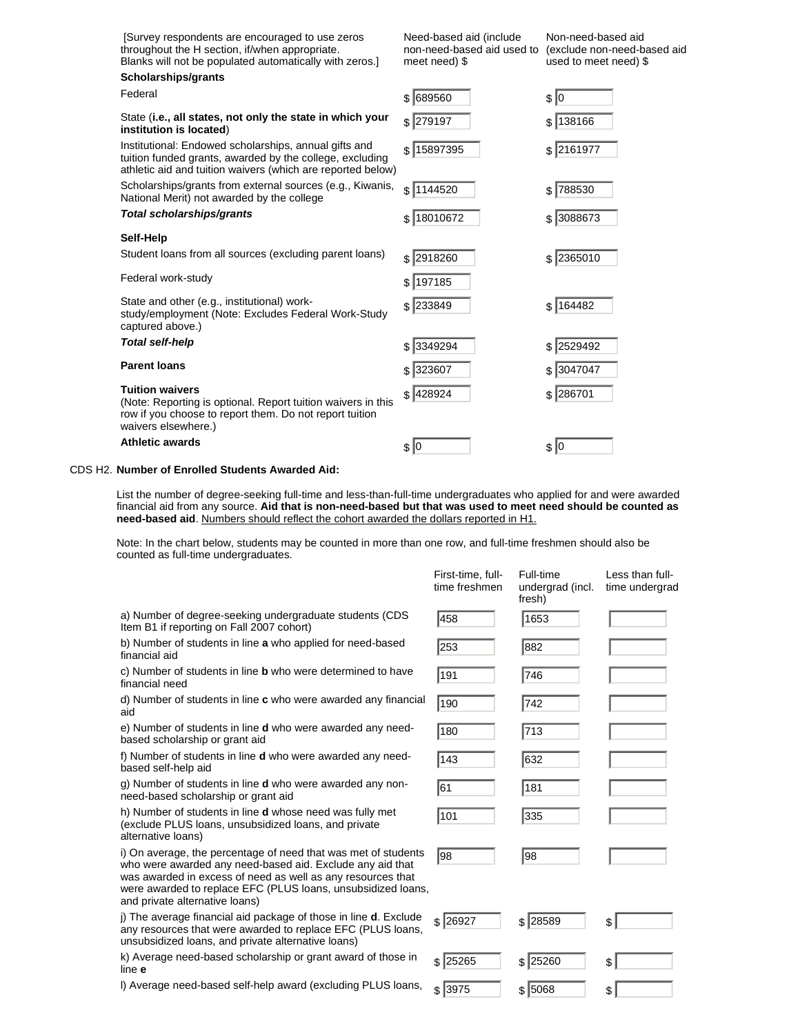| Survey respondents are encouraged to use zeros<br>throughout the H section, if/when appropriate.<br>Blanks will not be populated automatically with zeros.]                      | Need-based aid (include<br>non-need-based aid used to<br>meet need) \$ | Non-need-based aid<br>(exclude non-need-based aid<br>used to meet need) \$ |
|----------------------------------------------------------------------------------------------------------------------------------------------------------------------------------|------------------------------------------------------------------------|----------------------------------------------------------------------------|
| Scholarships/grants                                                                                                                                                              |                                                                        |                                                                            |
| Federal                                                                                                                                                                          | $$$ 689560                                                             | \$ 0                                                                       |
| State (i.e., all states, not only the state in which your<br>institution is located)                                                                                             | $$$ 279197                                                             | \$138166                                                                   |
| Institutional: Endowed scholarships, annual gifts and<br>tuition funded grants, awarded by the college, excluding<br>athletic aid and tuition waivers (which are reported below) | 15897395<br>\$                                                         | \$ 2161977                                                                 |
| Scholarships/grants from external sources (e.g., Kiwanis,<br>National Merit) not awarded by the college                                                                          | \$1144520                                                              | \$ 788530                                                                  |
| <b>Total scholarships/grants</b>                                                                                                                                                 | \$ 18010672                                                            | $$ \vert 3088673$                                                          |
| Self-Help                                                                                                                                                                        |                                                                        |                                                                            |
| Student loans from all sources (excluding parent loans)                                                                                                                          | $$$ 2918260                                                            | $$$ 2365010                                                                |
| Federal work-study                                                                                                                                                               | \$197185                                                               |                                                                            |
| State and other (e.g., institutional) work-<br>study/employment (Note: Excludes Federal Work-Study<br>captured above.)                                                           | $$$ 233849                                                             | \$164482                                                                   |
| <b>Total self-help</b>                                                                                                                                                           | $$$ 3349294                                                            | \$ 2529492                                                                 |
| <b>Parent loans</b>                                                                                                                                                              | \$ 323607                                                              | \$ 3047047                                                                 |
| <b>Tuition waivers</b><br>(Note: Reporting is optional. Report tuition waivers in this<br>row if you choose to report them. Do not report tuition<br>waivers elsewhere.)         | \$128924                                                               | $$$ 286701                                                                 |
| <b>Athletic awards</b>                                                                                                                                                           | $\frac{1}{2}$                                                          | \$ 0                                                                       |

## CDS H2. **Number of Enrolled Students Awarded Aid:**

List the number of degree-seeking full-time and less-than-full-time undergraduates who applied for and were awarded financial aid from any source. **Aid that is non-need-based but that was used to meet need should be counted as need-based aid**. Numbers should reflect the cohort awarded the dollars reported in H1.

Note: In the chart below, students may be counted in more than one row, and full-time freshmen should also be counted as full-time undergraduates.

|                                                                                                                                                                                                                                                                                              | First-time, full-<br>time freshmen | Full-time<br>undergrad (incl.<br>fresh) | Less than full-<br>time undergrad |
|----------------------------------------------------------------------------------------------------------------------------------------------------------------------------------------------------------------------------------------------------------------------------------------------|------------------------------------|-----------------------------------------|-----------------------------------|
| a) Number of degree-seeking undergraduate students (CDS<br>Item B1 if reporting on Fall 2007 cohort)                                                                                                                                                                                         | 458                                | 1653                                    |                                   |
| b) Number of students in line a who applied for need-based<br>financial aid                                                                                                                                                                                                                  | 253                                | 882                                     |                                   |
| c) Number of students in line <b>b</b> who were determined to have<br>financial need                                                                                                                                                                                                         | 191                                | 746                                     |                                   |
| d) Number of students in line c who were awarded any financial<br>aid                                                                                                                                                                                                                        | 190                                | 742                                     |                                   |
| e) Number of students in line <b>d</b> who were awarded any need-<br>based scholarship or grant aid                                                                                                                                                                                          | 180                                | 713                                     |                                   |
| f) Number of students in line <b>d</b> who were awarded any need-<br>based self-help aid                                                                                                                                                                                                     | 143                                | 632                                     |                                   |
| g) Number of students in line <b>d</b> who were awarded any non-<br>need-based scholarship or grant aid                                                                                                                                                                                      | 61                                 | 181                                     |                                   |
| h) Number of students in line <b>d</b> whose need was fully met<br>(exclude PLUS loans, unsubsidized loans, and private<br>alternative loans)                                                                                                                                                | 101                                | 335                                     |                                   |
| i) On average, the percentage of need that was met of students<br>who were awarded any need-based aid. Exclude any aid that<br>was awarded in excess of need as well as any resources that<br>were awarded to replace EFC (PLUS loans, unsubsidized loans,<br>and private alternative loans) | 98                                 | 98                                      |                                   |
| j) The average financial aid package of those in line <b>d</b> . Exclude<br>any resources that were awarded to replace EFC (PLUS loans,<br>unsubsidized loans, and private alternative loans)                                                                                                | $$$ 26927                          | \$ 28589                                | \$                                |
| k) Average need-based scholarship or grant award of those in<br>line e                                                                                                                                                                                                                       | $$$ 25265                          | \$125260                                | \$                                |
| I) Average need-based self-help award (excluding PLUS loans,                                                                                                                                                                                                                                 | \$13975                            | \$ 5068                                 | \$                                |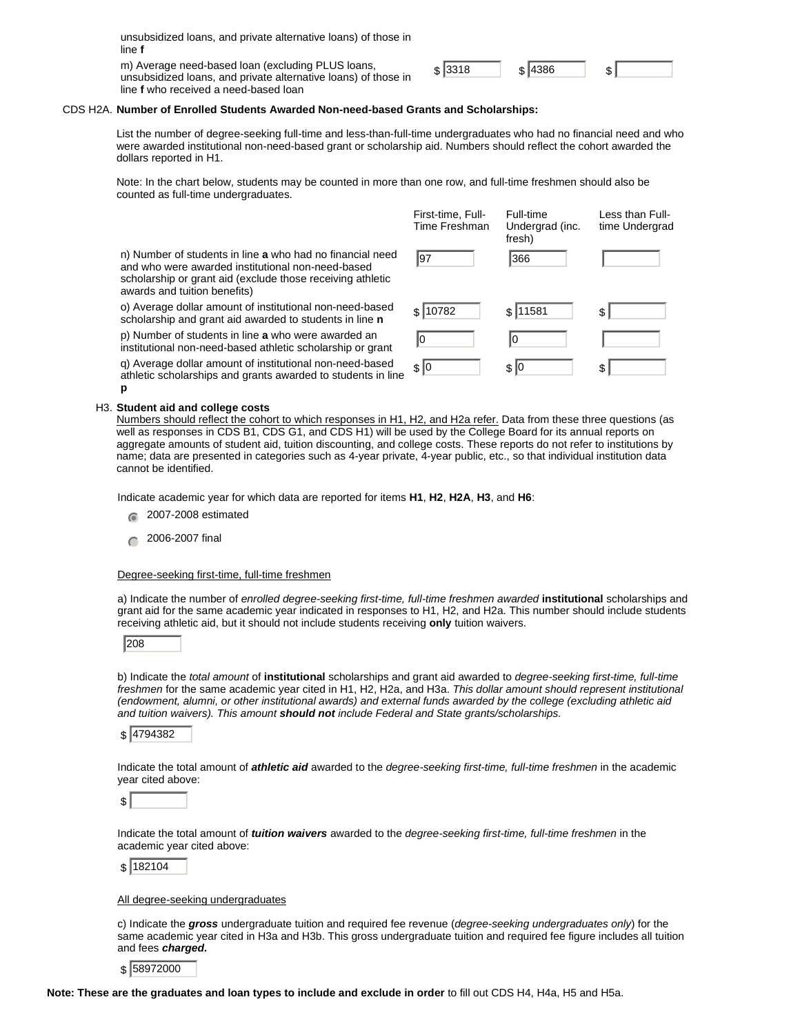| unsubsidized loans, and private alternative loans) of those in<br>line f                                            |         |         |  |
|---------------------------------------------------------------------------------------------------------------------|---------|---------|--|
| m) Average need-based loan (excluding PLUS loans,<br>unsubsidized loans, and private alternative loans) of those in | \$ 3318 | \$ 4386 |  |

line **f** who received a need-based loan

| оc. |  |
|-----|--|
|     |  |

### CDS H2A. **Number of Enrolled Students Awarded Non-need-based Grants and Scholarships:**

List the number of degree-seeking full-time and less-than-full-time undergraduates who had no financial need and who were awarded institutional non-need-based grant or scholarship aid. Numbers should reflect the cohort awarded the dollars reported in H1.

Note: In the chart below, students may be counted in more than one row, and full-time freshmen should also be counted as full-time undergraduates.

|                                                                                                                                                                                                              | First-time, Full-<br>Time Freshman | Full-time<br>Undergrad (inc.<br>fresh) | Less than Full-<br>time Undergrad |
|--------------------------------------------------------------------------------------------------------------------------------------------------------------------------------------------------------------|------------------------------------|----------------------------------------|-----------------------------------|
| n) Number of students in line a who had no financial need<br>and who were awarded institutional non-need-based<br>scholarship or grant aid (exclude those receiving athletic<br>awards and tuition benefits) | 197                                | 366                                    |                                   |
| o) Average dollar amount of institutional non-need-based<br>scholarship and grant aid awarded to students in line n                                                                                          | \$10782                            | \$11581                                | \$.                               |
| p) Number of students in line a who were awarded an<br>institutional non-need-based athletic scholarship or grant                                                                                            | l0                                 | I0                                     |                                   |
| q) Average dollar amount of institutional non-need-based<br>athletic scholarships and grants awarded to students in line                                                                                     | \$ 0                               | \$10                                   | \$                                |

### H3. **Student aid and college costs**

**p**

Numbers should reflect the cohort to which responses in H1, H2, and H2a refer. Data from these three questions (as well as responses in CDS B1, CDS G1, and CDS H1) will be used by the College Board for its annual reports on aggregate amounts of student aid, tuition discounting, and college costs. These reports do not refer to institutions by name; data are presented in categories such as 4-year private, 4-year public, etc., so that individual institution data cannot be identified.

Indicate academic year for which data are reported for items **H1**, **H2**, **H2A**, **H3**, and **H6**:

- $\odot$  2007-2008 estimated
- $\bigcap$  2006-2007 final

### Degree-seeking first-time, full-time freshmen

a) Indicate the number of *enrolled degree-seeking first-time, full-time freshmen awarded* **institutional** scholarships and grant aid for the same academic year indicated in responses to H1, H2, and H2a. This number should include students receiving athletic aid, but it should not include students receiving **only** tuition waivers.

208

b) Indicate the *total amount* of **institutional** scholarships and grant aid awarded to *degree-seeking first-time, full-time freshmen* for the same academic year cited in H1, H2, H2a, and H3a. *This dollar amount should represent institutional (endowment, alumni, or other institutional awards) and external funds awarded by the college (excluding athletic aid and tuition waivers). This amount should not include Federal and State grants/scholarships.*

\$ 4794382

Indicate the total amount of *athletic aid* awarded to the *degree-seeking first-time, full-time freshmen* in the academic year cited above:

\$

Indicate the total amount of *tuition waivers* awarded to the *degree-seeking first-time, full-time freshmen* in the academic year cited above:

\$ 182104

#### All degree-seeking undergraduates

c) Indicate the *gross* undergraduate tuition and required fee revenue (*degree-seeking undergraduates only*) for the same academic year cited in H3a and H3b. This gross undergraduate tuition and required fee figure includes all tuition and fees *charged.*

\$ 58972000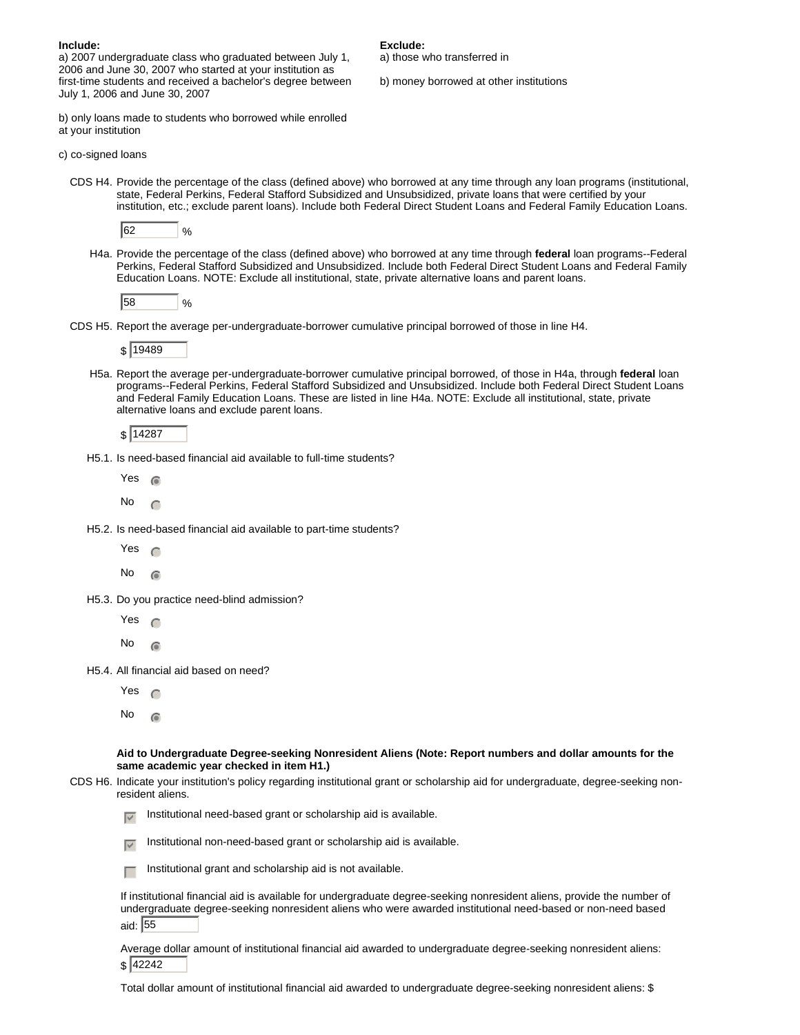| Include:                                                     | Exclude:                                |
|--------------------------------------------------------------|-----------------------------------------|
| a) 2007 undergraduate class who graduated between July 1,    | a) those who transferred in             |
| 2006 and June 30, 2007 who started at your institution as    |                                         |
| first-time students and received a bachelor's degree between | b) money borrowed at other institutions |
| July 1, 2006 and June 30, 2007                               |                                         |
|                                                              |                                         |

b) only loans made to students who borrowed while enrolled at your institution

c) co-signed loans

CDS H4. Provide the percentage of the class (defined above) who borrowed at any time through any loan programs (institutional, state, Federal Perkins, Federal Stafford Subsidized and Unsubsidized, private loans that were certified by your institution, etc.; exclude parent loans). Include both Federal Direct Student Loans and Federal Family Education Loans.

|--|--|

H4a. Provide the percentage of the class (defined above) who borrowed at any time through **federal** loan programs--Federal Perkins, Federal Stafford Subsidized and Unsubsidized. Include both Federal Direct Student Loans and Federal Family Education Loans. NOTE: Exclude all institutional, state, private alternative loans and parent loans.

 $58$  %

CDS H5. Report the average per-undergraduate-borrower cumulative principal borrowed of those in line H4.

\$ 19489

H5a. Report the average per-undergraduate-borrower cumulative principal borrowed, of those in H4a, through **federal** loan programs--Federal Perkins, Federal Stafford Subsidized and Unsubsidized. Include both Federal Direct Student Loans and Federal Family Education Loans. These are listed in line H4a. NOTE: Exclude all institutional, state, private alternative loans and exclude parent loans.

\$ 14287

H5.1. Is need-based financial aid available to full-time students?

Yes  $\epsilon$ 

No  $\subset$ 

H5.2. Is need-based financial aid available to part-time students?

Yes  $\epsilon$ 

No  $\odot$ 

- H5.3. Do you practice need-blind admission?
	- Yes  $\subset$

No  $\epsilon$ 

H5.4. All financial aid based on need?

Yes  $\epsilon$ 

No  $\epsilon$ 

**Aid to Undergraduate Degree-seeking Nonresident Aliens (Note: Report numbers and dollar amounts for the same academic year checked in item H1.)**

CDS H6. Indicate your institution's policy regarding institutional grant or scholarship aid for undergraduate, degree-seeking nonresident aliens.

Institutional need-based grant or scholarship aid is available.

Institutional non-need-based grant or scholarship aid is available.

 $\Box$  Institutional grant and scholarship aid is not available.

If institutional financial aid is available for undergraduate degree-seeking nonresident aliens, provide the number of undergraduate degree-seeking nonresident aliens who were awarded institutional need-based or non-need based aid: 55

Average dollar amount of institutional financial aid awarded to undergraduate degree-seeking nonresident aliens: \$ 42242

Total dollar amount of institutional financial aid awarded to undergraduate degree-seeking nonresident aliens: \$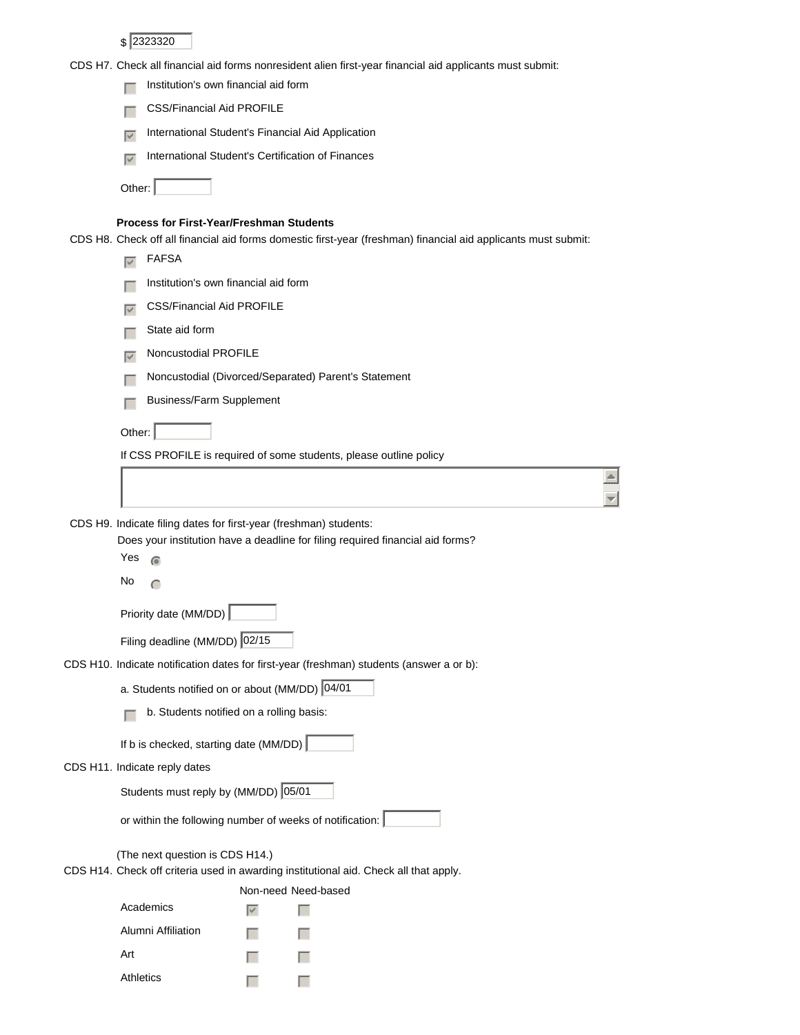\$ 2323320

CDS H7. Check all financial aid forms nonresident alien first-year financial aid applicants must submit:

|                      |                                                                                          |        | CDS H7. Check all illiancial ald ionns nonresident allen illst-year illiancial ald applicants must submit.     |  |
|----------------------|------------------------------------------------------------------------------------------|--------|----------------------------------------------------------------------------------------------------------------|--|
|                      | Institution's own financial aid form                                                     |        |                                                                                                                |  |
|                      | <b>CSS/Financial Aid PROFILE</b>                                                         |        |                                                                                                                |  |
| $\overline{\vee}$    | International Student's Financial Aid Application                                        |        |                                                                                                                |  |
| $\overline{\vee}$    | International Student's Certification of Finances                                        |        |                                                                                                                |  |
| Other:               |                                                                                          |        |                                                                                                                |  |
|                      | <b>Process for First-Year/Freshman Students</b>                                          |        | CDS H8. Check off all financial aid forms domestic first-year (freshman) financial aid applicants must submit: |  |
| $\overline{\vee}$    | <b>FAFSA</b>                                                                             |        |                                                                                                                |  |
|                      | Institution's own financial aid form                                                     |        |                                                                                                                |  |
| $\blacktriangledown$ | <b>CSS/Financial Aid PROFILE</b>                                                         |        |                                                                                                                |  |
|                      | State aid form                                                                           |        |                                                                                                                |  |
| $\blacktriangledown$ | Noncustodial PROFILE                                                                     |        |                                                                                                                |  |
|                      |                                                                                          |        | Noncustodial (Divorced/Separated) Parent's Statement                                                           |  |
|                      | Business/Farm Supplement                                                                 |        |                                                                                                                |  |
|                      |                                                                                          |        |                                                                                                                |  |
| Other:               |                                                                                          |        |                                                                                                                |  |
|                      |                                                                                          |        | If CSS PROFILE is required of some students, please outline policy                                             |  |
|                      |                                                                                          |        |                                                                                                                |  |
| Yes                  | CDS H9. Indicate filing dates for first-year (freshman) students:<br>$\widehat{\bullet}$ |        | Does your institution have a deadline for filing required financial aid forms?                                 |  |
| No                   |                                                                                          |        |                                                                                                                |  |
|                      | Priority date (MM/DD)                                                                    |        |                                                                                                                |  |
|                      | Filing deadline (MM/DD) 02/15                                                            |        |                                                                                                                |  |
|                      |                                                                                          |        | CDS H10. Indicate notification dates for first-year (freshman) students (answer a or b):                       |  |
|                      | a. Students notified on or about (MM/DD) 04/01                                           |        |                                                                                                                |  |
|                      | b. Students notified on a rolling basis:                                                 |        |                                                                                                                |  |
|                      |                                                                                          |        |                                                                                                                |  |
|                      | If b is checked, starting date (MM/DD)                                                   |        |                                                                                                                |  |
|                      | CDS H11. Indicate reply dates                                                            |        |                                                                                                                |  |
|                      | Students must reply by (MM/DD) 05/01                                                     |        |                                                                                                                |  |
|                      |                                                                                          |        | or within the following number of weeks of notification:                                                       |  |
|                      | (The next question is CDS H14.)                                                          |        | CDS H14. Check off criteria used in awarding institutional aid. Check all that apply.                          |  |
|                      | Academics                                                                                | $\vee$ | Non-need Need-based                                                                                            |  |
|                      | Alumni Affiliation                                                                       |        |                                                                                                                |  |
| Art                  |                                                                                          |        |                                                                                                                |  |
| Athletics            |                                                                                          |        |                                                                                                                |  |
|                      |                                                                                          |        |                                                                                                                |  |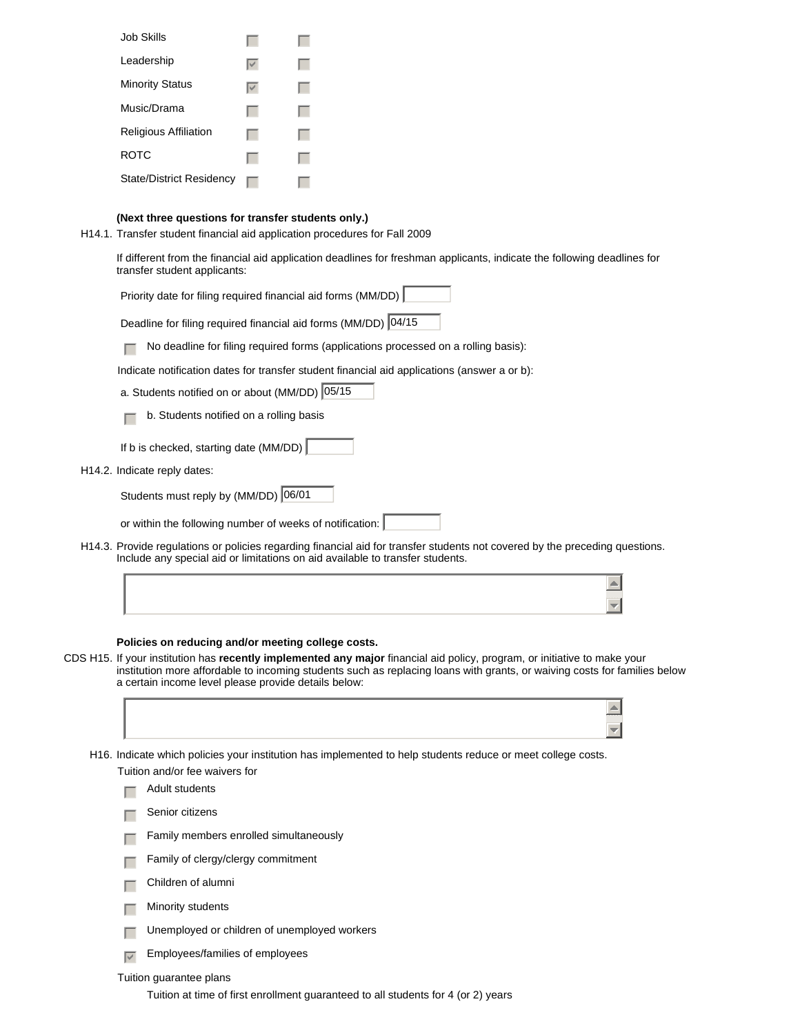| Job Skills                   |  |
|------------------------------|--|
| Leadership                   |  |
| <b>Minority Status</b>       |  |
| Music/Drama                  |  |
| <b>Religious Affiliation</b> |  |
| ROTC                         |  |
| State/District Residency     |  |

### **(Next three questions for transfer students only.)**

H14.1. Transfer student financial aid application procedures for Fall 2009

If different from the financial aid application deadlines for freshman applicants, indicate the following deadlines for transfer student applicants:

Priority date for filing required financial aid forms (MM/DD)

Deadline for filing required financial aid forms (MM/DD) 04/15

 $\Box$  No deadline for filing required forms (applications processed on a rolling basis):

Indicate notification dates for transfer student financial aid applications (answer a or b):

- a. Students notified on or about (MM/DD) 05/15
- $\Box$  b. Students notified on a rolling basis
- If b is checked, starting date (MM/DD)
- H14.2. Indicate reply dates:

Students must reply by (MM/DD) 06/01

or within the following number of weeks of notification:

H14.3. Provide regulations or policies regarding financial aid for transfer students not covered by the preceding questions. Include any special aid or limitations on aid available to transfer students.

### **Policies on reducing and/or meeting college costs.**

CDS H15. If your institution has **recently implemented any major** financial aid policy, program, or initiative to make your institution more affordable to incoming students such as replacing loans with grants, or waiving costs for families below a certain income level please provide details below:

| H16. Indicate which policies your institution has implemented to help students reduce or meet college costs. |  |
|--------------------------------------------------------------------------------------------------------------|--|
| Tuition and/or fee waivers for                                                                               |  |

- Adult students
- Senior citizens
- $\Box$  Family members enrolled simultaneously
- $\Box$  Family of clergy/clergy commitment
- $\Box$  Children of alumni
- $\Box$  Minority students
- $\Box$  Unemployed or children of unemployed workers
- $\sqrt{\epsilon}$  Employees/families of employees

#### Tuition guarantee plans

Tuition at time of first enrollment guaranteed to all students for 4 (or 2) years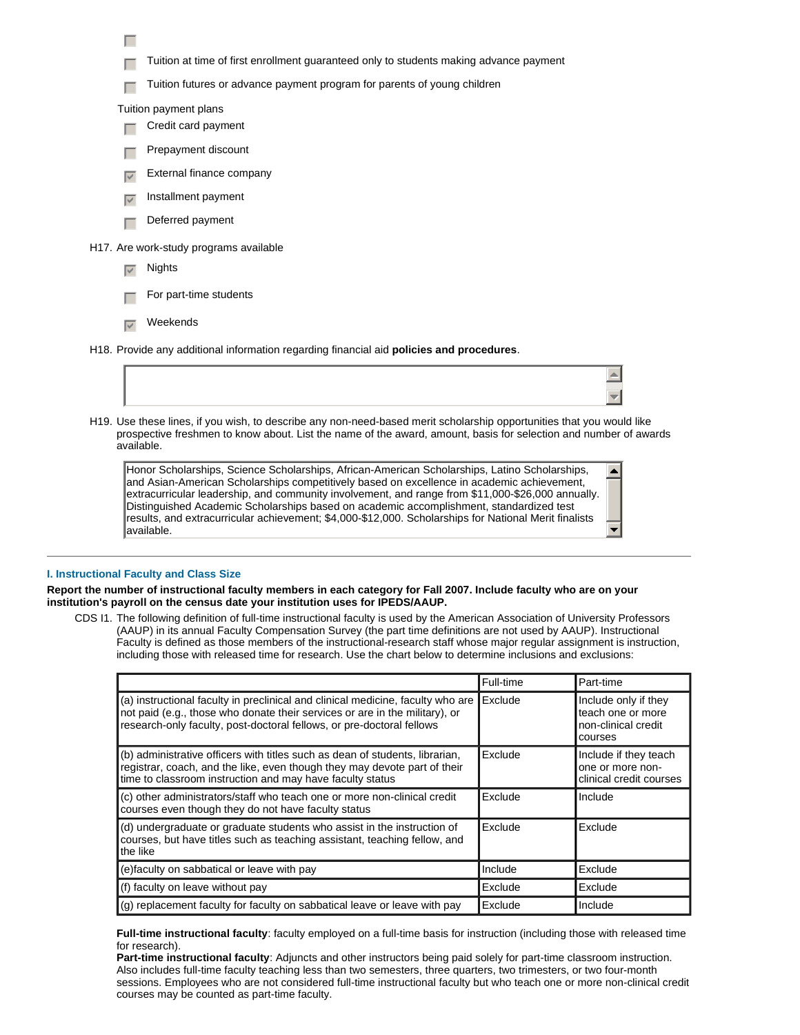Tuition at time of first enrollment guaranteed only to students making advance payment

 $\Box$  Tuition futures or advance payment program for parents of young children

Tuition payment plans

 $\Box$ 

- $\Box$  Credit card payment
- Prepayment discount
- External finance company
- $\overline{v}$  Installment payment
- $\Box$  Deferred payment

#### H17. Are work-study programs available

- $\nabla$  Nights
- For part-time students
- $\nabla$  Weekends
- H18. Provide any additional information regarding financial aid **policies and procedures**.
- H19. Use these lines, if you wish, to describe any non-need-based merit scholarship opportunities that you would like prospective freshmen to know about. List the name of the award, amount, basis for selection and number of awards available.

 $\blacktriangle$  $\overline{\mathbf{v}}$ 

 $\blacktriangle$ 

 $\overline{\phantom{a}}$ 

Honor Scholarships, Science Scholarships, African-American Scholarships, Latino Scholarships, and Asian-American Scholarships competitively based on excellence in academic achievement, extracurricular leadership, and community involvement, and range from \$11,000-\$26,000 annually. Distinguished Academic Scholarships based on academic accomplishment, standardized test results, and extracurricular achievement; \$4,000-\$12,000. Scholarships for National Merit finalists available.

### **I. Instructional Faculty and Class Size**

**Report the number of instructional faculty members in each category for Fall 2007. Include faculty who are on your institution's payroll on the census date your institution uses for IPEDS/AAUP.**

CDS I1. The following definition of full-time instructional faculty is used by the American Association of University Professors (AAUP) in its annual Faculty Compensation Survey (the part time definitions are not used by AAUP). Instructional Faculty is defined as those members of the instructional-research staff whose major regular assignment is instruction, including those with released time for research. Use the chart below to determine inclusions and exclusions:

|                                                                                                                                                                                                                                         | Full-time | Part-time                                                                   |
|-----------------------------------------------------------------------------------------------------------------------------------------------------------------------------------------------------------------------------------------|-----------|-----------------------------------------------------------------------------|
| (a) instructional faculty in preclinical and clinical medicine, faculty who are<br>not paid (e.g., those who donate their services or are in the military), or<br>research-only faculty, post-doctoral fellows, or pre-doctoral fellows | Exclude   | Include only if they<br>teach one or more<br>non-clinical credit<br>courses |
| (b) administrative officers with titles such as dean of students, librarian,<br>registrar, coach, and the like, even though they may devote part of their<br>time to classroom instruction and may have faculty status                  | Exclude   | Include if they teach<br>one or more non-<br>clinical credit courses        |
| (c) other administrators/staff who teach one or more non-clinical credit<br>courses even though they do not have faculty status                                                                                                         | Exclude   | Include                                                                     |
| (d) undergraduate or graduate students who assist in the instruction of<br>courses, but have titles such as teaching assistant, teaching fellow, and<br>the like                                                                        | Exclude   | Exclude                                                                     |
| (e)faculty on sabbatical or leave with pay                                                                                                                                                                                              | Include   | Exclude                                                                     |
| (f) faculty on leave without pay                                                                                                                                                                                                        | Exclude   | Exclude                                                                     |
| (g) replacement faculty for faculty on sabbatical leave or leave with pay                                                                                                                                                               | Exclude   | Include                                                                     |

#### **Full-time instructional faculty**: faculty employed on a full-time basis for instruction (including those with released time for research).

**Part-time instructional faculty**: Adjuncts and other instructors being paid solely for part-time classroom instruction. Also includes full-time faculty teaching less than two semesters, three quarters, two trimesters, or two four-month sessions. Employees who are not considered full-time instructional faculty but who teach one or more non-clinical credit courses may be counted as part-time faculty.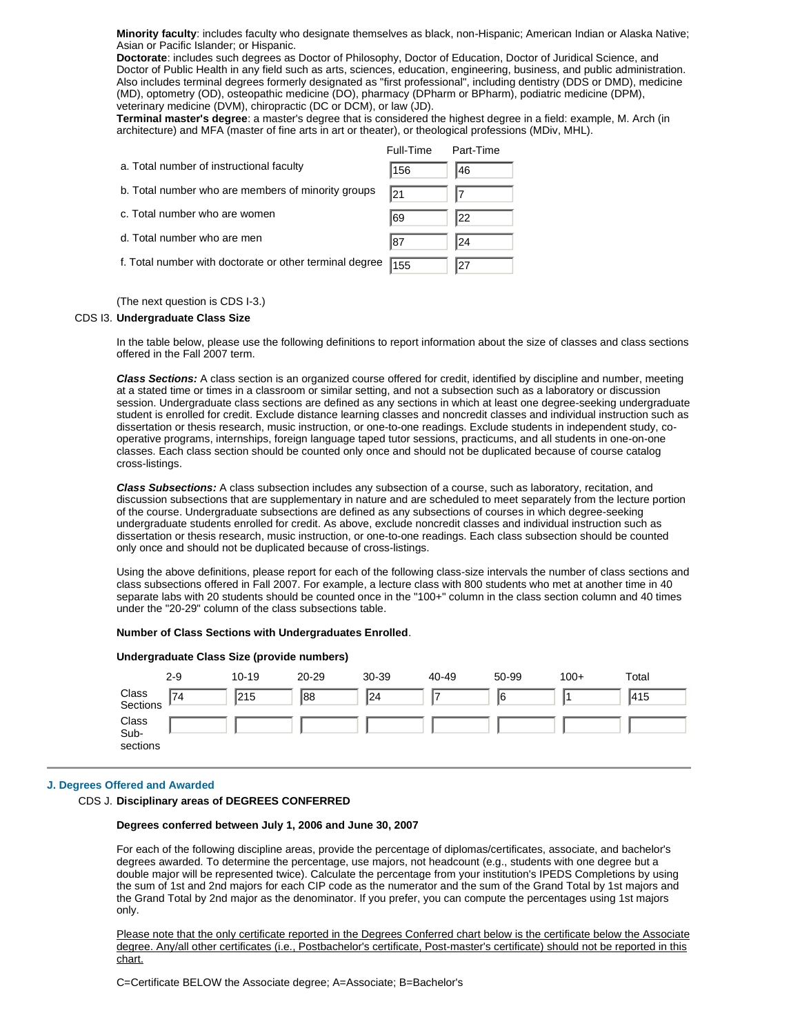**Minority faculty**: includes faculty who designate themselves as black, non-Hispanic; American Indian or Alaska Native; Asian or Pacific Islander; or Hispanic.

**Doctorate**: includes such degrees as Doctor of Philosophy, Doctor of Education, Doctor of Juridical Science, and Doctor of Public Health in any field such as arts, sciences, education, engineering, business, and public administration. Also includes terminal degrees formerly designated as "first professional", including dentistry (DDS or DMD), medicine (MD), optometry (OD), osteopathic medicine (DO), pharmacy (DPharm or BPharm), podiatric medicine (DPM), veterinary medicine (DVM), chiropractic (DC or DCM), or law (JD).

**Terminal master's degree**: a master's degree that is considered the highest degree in a field: example, M. Arch (in architecture) and MFA (master of fine arts in art or theater), or theological professions (MDiv, MHL).

|                                                         | Full-Time | Part-Time |
|---------------------------------------------------------|-----------|-----------|
| a. Total number of instructional faculty                | 156       | 146       |
| b. Total number who are members of minority groups      | 121       |           |
| c. Total number who are women                           | ∥69       | 22        |
| d. Total number who are men                             | 87        | 24        |
| f. Total number with doctorate or other terminal degree | 155       | 127       |

(The next question is CDS I-3.)

### CDS I3. **Undergraduate Class Size**

In the table below, please use the following definitions to report information about the size of classes and class sections offered in the Fall 2007 term.

*Class Sections:* A class section is an organized course offered for credit, identified by discipline and number, meeting at a stated time or times in a classroom or similar setting, and not a subsection such as a laboratory or discussion session. Undergraduate class sections are defined as any sections in which at least one degree-seeking undergraduate student is enrolled for credit. Exclude distance learning classes and noncredit classes and individual instruction such as dissertation or thesis research, music instruction, or one-to-one readings. Exclude students in independent study, cooperative programs, internships, foreign language taped tutor sessions, practicums, and all students in one-on-one classes. Each class section should be counted only once and should not be duplicated because of course catalog cross-listings.

*Class Subsections:* A class subsection includes any subsection of a course, such as laboratory, recitation, and discussion subsections that are supplementary in nature and are scheduled to meet separately from the lecture portion of the course. Undergraduate subsections are defined as any subsections of courses in which degree-seeking undergraduate students enrolled for credit. As above, exclude noncredit classes and individual instruction such as dissertation or thesis research, music instruction, or one-to-one readings. Each class subsection should be counted only once and should not be duplicated because of cross-listings.

Using the above definitions, please report for each of the following class-size intervals the number of class sections and class subsections offered in Fall 2007. For example, a lecture class with 800 students who met at another time in 40 separate labs with 20 students should be counted once in the "100+" column in the class section column and 40 times under the "20-29" column of the class subsections table.

#### **Number of Class Sections with Undergraduates Enrolled**.

| Undergraduate Class Size (provide numbers) |         |           |           |           |       |       |        |       |
|--------------------------------------------|---------|-----------|-----------|-----------|-------|-------|--------|-------|
|                                            | $2 - 9$ | $10 - 19$ | $20 - 29$ | $30 - 39$ | 40-49 | 50-99 | $100+$ | Total |
| Class<br>Sections                          | '74     | 215       | 88∥       | 24        | 7     | 16    |        | 1415  |
| Class<br>Sub-<br>sections                  |         |           |           |           |       |       |        |       |

### **J. Degrees Offered and Awarded**

#### CDS J. **Disciplinary areas of DEGREES CONFERRED**

### **Degrees conferred between July 1, 2006 and June 30, 2007**

For each of the following discipline areas, provide the percentage of diplomas/certificates, associate, and bachelor's degrees awarded. To determine the percentage, use majors, not headcount (e.g., students with one degree but a double major will be represented twice). Calculate the percentage from your institution's IPEDS Completions by using the sum of 1st and 2nd majors for each CIP code as the numerator and the sum of the Grand Total by 1st majors and the Grand Total by 2nd major as the denominator. If you prefer, you can compute the percentages using 1st majors only.

Please note that the only certificate reported in the Degrees Conferred chart below is the certificate below the Associate degree. Any/all other certificates (i.e., Postbachelor's certificate, Post-master's certificate) should not be reported in this chart.

C=Certificate BELOW the Associate degree; A=Associate; B=Bachelor's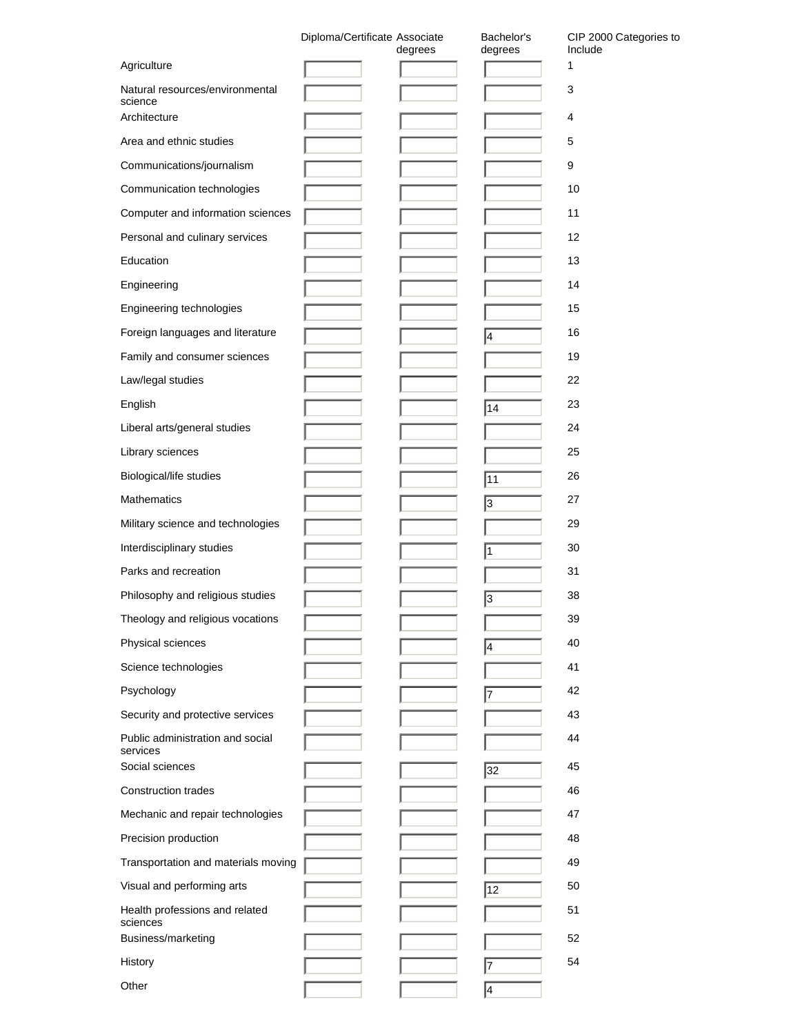|                                                            | Diploma/Certificate Associate | degrees | Bachelor's<br>degrees | CIP 2000 Categories to<br>Include |
|------------------------------------------------------------|-------------------------------|---------|-----------------------|-----------------------------------|
| Agriculture                                                |                               |         |                       | 1                                 |
| Natural resources/environmental<br>science<br>Architecture |                               |         |                       | 3                                 |
|                                                            |                               |         |                       | 4                                 |
| Area and ethnic studies                                    |                               |         |                       | 5                                 |
| Communications/journalism                                  |                               |         |                       | 9                                 |
| Communication technologies                                 |                               |         |                       | 10                                |
| Computer and information sciences                          |                               |         |                       | 11                                |
| Personal and culinary services                             |                               |         |                       | 12                                |
| Education                                                  |                               |         |                       | 13                                |
| Engineering                                                |                               |         |                       | 14                                |
| Engineering technologies                                   |                               |         |                       | 15                                |
| Foreign languages and literature                           |                               |         | 4                     | 16                                |
| Family and consumer sciences                               |                               |         |                       | 19                                |
| Law/legal studies                                          |                               |         |                       | 22                                |
| English                                                    |                               |         | 14                    | 23                                |
| Liberal arts/general studies                               |                               |         |                       | 24                                |
| Library sciences                                           |                               |         |                       | 25                                |
| Biological/life studies                                    |                               |         | 11                    | 26                                |
| <b>Mathematics</b>                                         |                               |         | 3                     | 27                                |
| Military science and technologies                          |                               |         |                       | 29                                |
| Interdisciplinary studies                                  |                               |         | 1                     | 30                                |
| Parks and recreation                                       |                               |         |                       | 31                                |
| Philosophy and religious studies                           |                               |         | 3                     | 38                                |
| Theology and religious vocations                           |                               |         |                       | 39                                |
| Physical sciences                                          |                               |         | 4                     | 40                                |
| Science technologies                                       |                               |         |                       | 41                                |
| Psychology                                                 |                               |         | 7                     | 42                                |
| Security and protective services                           |                               |         |                       | 43                                |
| Public administration and social<br>services               |                               |         |                       | 44                                |
| Social sciences                                            |                               |         | 32                    | 45                                |
| <b>Construction trades</b>                                 |                               |         |                       | 46                                |
| Mechanic and repair technologies                           |                               |         |                       | 47                                |
| Precision production                                       |                               |         |                       | 48                                |
| Transportation and materials moving                        |                               |         |                       | 49                                |
| Visual and performing arts                                 |                               |         | 12                    | 50                                |
| Health professions and related<br>sciences                 |                               |         |                       | 51                                |
| Business/marketing                                         |                               |         |                       | 52                                |
| History                                                    |                               |         | 17                    | 54                                |
| Other                                                      |                               |         | 4                     |                                   |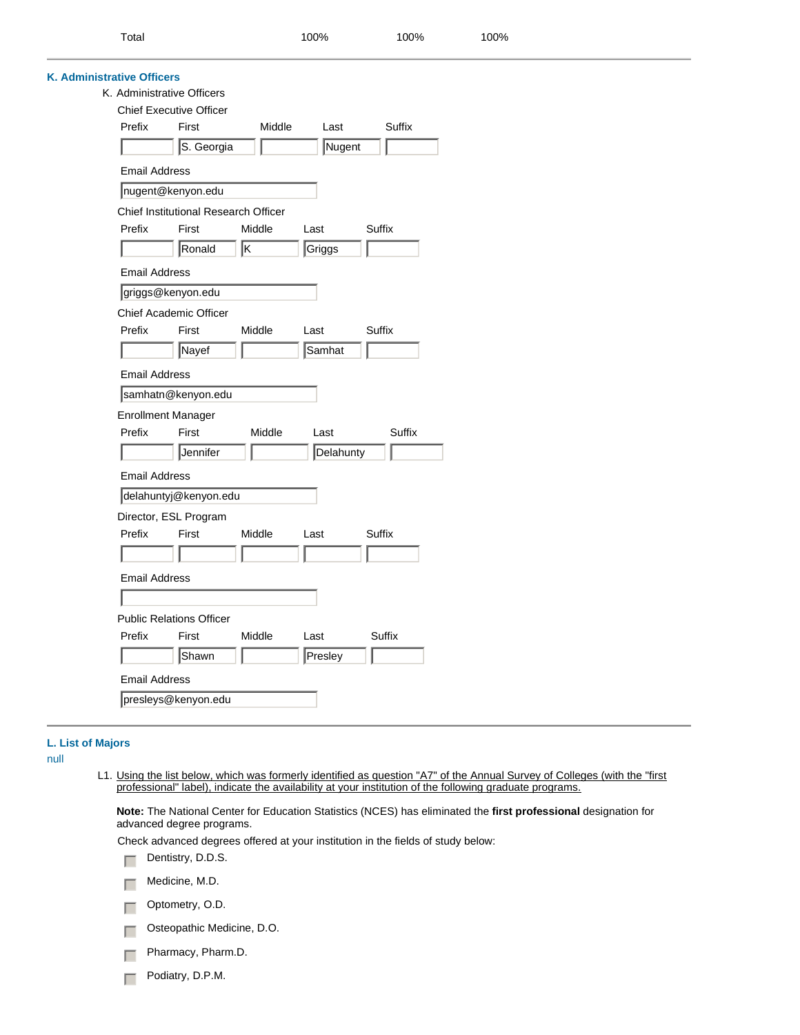| 100%<br>100%<br>100%<br>Total |
|-------------------------------|
|-------------------------------|

|                      | <b>K. Administrative Officers</b><br>K. Administrative Officers |        |           |        |
|----------------------|-----------------------------------------------------------------|--------|-----------|--------|
|                      | <b>Chief Executive Officer</b>                                  |        |           |        |
| Prefix               | First                                                           | Middle | Last      | Suffix |
|                      | S. Georgia                                                      |        | Nugent    |        |
| <b>Email Address</b> |                                                                 |        |           |        |
|                      | nugent@kenyon.edu                                               |        |           |        |
|                      | Chief Institutional Research Officer                            |        |           |        |
| Prefix               | First                                                           | Middle | Last      | Suffix |
|                      | Ronald                                                          | ĸ      | Griggs    |        |
| <b>Email Address</b> |                                                                 |        |           |        |
|                      | griggs@kenyon.edu                                               |        |           |        |
|                      | <b>Chief Academic Officer</b>                                   |        |           |        |
| Prefix               | First                                                           | Middle | Last      | Suffix |
|                      | Nayef                                                           |        | Samhat    |        |
| <b>Email Address</b> |                                                                 |        |           |        |
|                      | samhatn@kenyon.edu                                              |        |           |        |
|                      | <b>Enrollment Manager</b>                                       |        |           |        |
| Prefix               | First                                                           | Middle | Last      | Suffix |
|                      | Jennifer                                                        |        | Delahunty |        |
| <b>Email Address</b> |                                                                 |        |           |        |
|                      | delahuntyj@kenyon.edu                                           |        |           |        |
|                      | Director, ESL Program                                           |        |           |        |
| Prefix               | First                                                           | Middle | Last      | Suffix |
|                      |                                                                 |        |           |        |
| Email Address        |                                                                 |        |           |        |
|                      |                                                                 |        |           |        |
|                      | <b>Public Relations Officer</b>                                 |        |           |        |
| Prefix               | First                                                           | Middle | Last      | Suffix |
|                      | Shawn                                                           |        | Presley   |        |
|                      |                                                                 |        |           |        |
| <b>Email Address</b> |                                                                 |        |           |        |

## **L. List of Majors**

null

÷

L1. Using the list below, which was formerly identified as question "A7" of the Annual Survey of Colleges (with the "first professional" label), indicate the availability at your institution of the following graduate programs.

**Note:** The National Center for Education Statistics (NCES) has eliminated the **first professional** designation for advanced degree programs.

Check advanced degrees offered at your institution in the fields of study below:

 $\Box$  Dentistry, D.D.S.

 $\Box$  Medicine, M.D.

- $\Box$  Optometry, O.D.
- $\Box$  Osteopathic Medicine, D.O.
- $\Box$  Pharmacy, Pharm.D.
- $\Box$  Podiatry, D.P.M.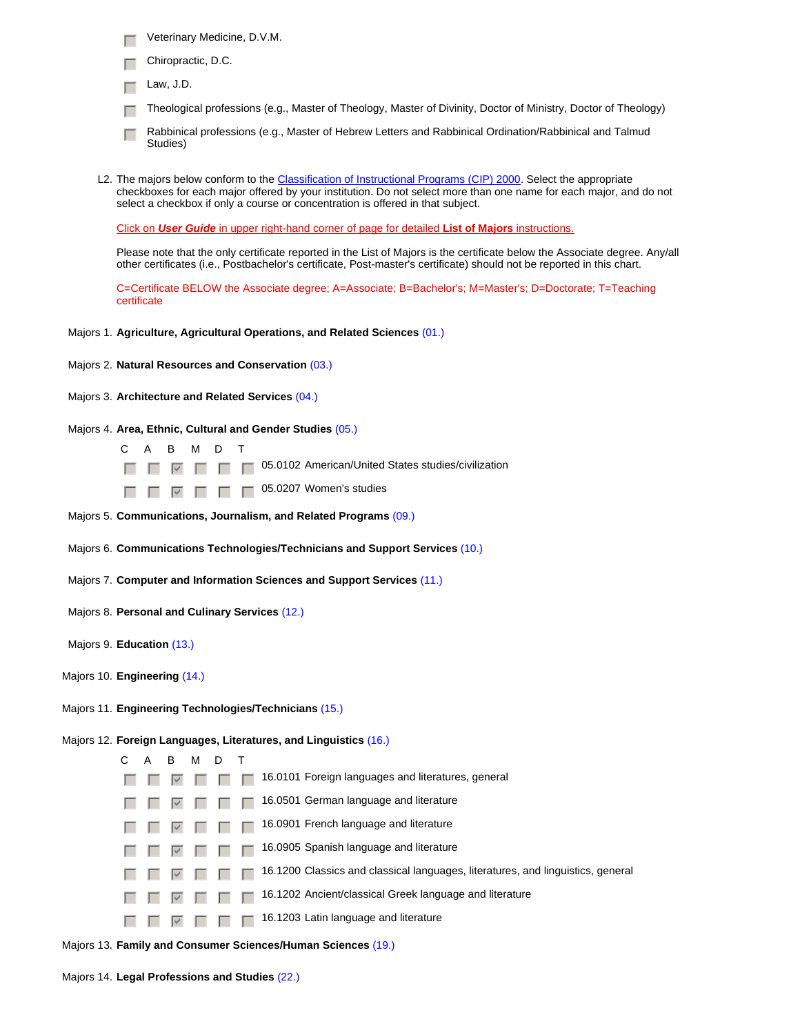- Veterinary Medicine, D.V.M.
- Chiropractic, D.C.
- $\Box$  Law, J.D.
- Theological professions (e.g., Master of Theology, Master of Divinity, Doctor of Ministry, Doctor of Theology)
- Fedabinical professions (e.g., Master of Hebrew Letters and Rabbinical Ordination/Rabbinical and Talmud Studies)
- L2. The majors below conform to the Classification of Instructional Programs (CIP) 2000. Select the appropriate checkboxes for each major offered by your institution. Do not select more than one name for each major, and do not select a checkbox if only a course or concentration is offered in that subject.

Click on *User Guide* in upper right-hand corner of page for detailed **List of Majors** instructions.

Please note that the only certificate reported in the List of Majors is the certificate below the Associate degree. Any/all other certificates (i.e., Postbachelor's certificate, Post-master's certificate) should not be reported in this chart.

C=Certificate BELOW the Associate degree; A=Associate; B=Bachelor's; M=Master's; D=Doctorate; T=Teaching certificate

- Majors 1. **Agriculture, Agricultural Operations, and Related Sciences** (01.)
- Majors 2. **Natural Resources and Conservation** (03.)
- Majors 3. **Architecture and Related Services** (04.)
- Majors 4. **Area, Ethnic, Cultural and Gender Studies** (05.)
	- CA B MDT

FFEDC 85.0102 American/United States studies/civilization

 $\Box$   $\Box$   $\Box$   $\Box$   $\Box$   $\Box$  05.0207 Women's studies

Majors 5. **Communications, Journalism, and Related Programs** (09.)

Majors 6. **Communications Technologies/Technicians and Support Services** (10.)

Majors 7. **Computer and Information Sciences and Support Services** (11.)

- Majors 8. **Personal and Culinary Services** (12.)
- Majors 9. **Education** (13.)
- Majors 10. **Engineering** (14.)
- Majors 11. **Engineering Technologies/Technicians** (15.)

Majors 12. **Foreign Languages, Literatures, and Linguistics** (16.)

|  | A | B | м |                                                                                 |
|--|---|---|---|---------------------------------------------------------------------------------|
|  |   |   |   | 16.0101 Foreign languages and literatures, general                              |
|  |   |   |   | 16.0501 German language and literature                                          |
|  |   |   |   | 16.0901 French language and literature                                          |
|  |   |   |   | 16.0905 Spanish language and literature                                         |
|  |   |   |   | 16.1200 Classics and classical languages, literatures, and linguistics, general |
|  |   |   |   | 16.1202 Ancient/classical Greek language and literature                         |
|  |   |   |   | 16.1203 Latin language and literature                                           |
|  |   |   |   |                                                                                 |

Majors 13. **Family and Consumer Sciences/Human Sciences** (19.)

Majors 14. **Legal Professions and Studies** (22.)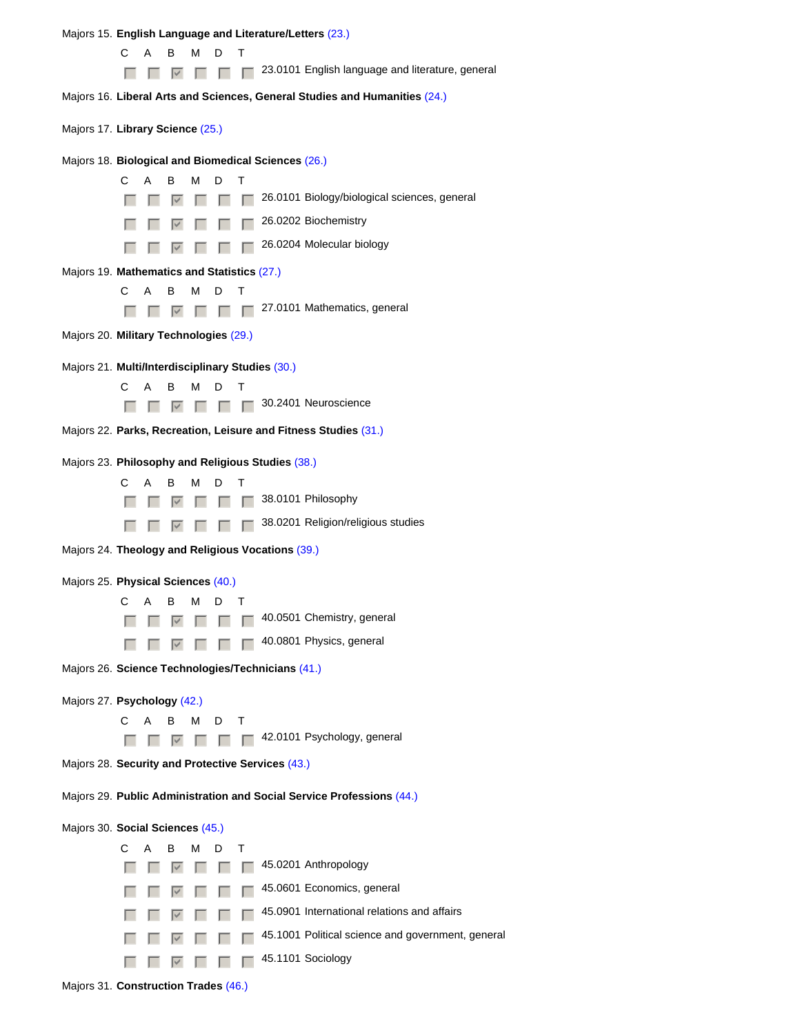Majors 15. **English Language and Literature/Letters** (23.)

CA B MDT

 $\Box$   $\Box$   $\Box$   $\Box$   $\Box$   $\Box$  23.0101 English language and literature, general

Majors 16. **Liberal Arts and Sciences, General Studies and Humanities** (24.)

Majors 17. **Library Science** (25.)

#### Majors 18. **Biological and Biomedical Sciences** (26.)



### Majors 19. **Mathematics and Statistics** (27.)

- CA B MDT
- $\Box$   $\Box$   $\Box$   $\Box$   $\Box$  27.0101 Mathematics, general
- Majors 20. **Military Technologies** (29.)

### Majors 21. **Multi/Interdisciplinary Studies** (30.)

CA B MDT

 $\Box$   $\Box$   $\Box$   $\Box$   $\Box$  30.2401 Neuroscience

Majors 22. **Parks, Recreation, Leisure and Fitness Studies** (31.)

#### Majors 23. **Philosophy and Religious Studies** (38.)

- CA B MDT
- $\Box$   $\Box$   $\Box$   $\Box$   $\Box$   $\Box$  38.0101 Philosophy
- **FF FF Gfedca**  $\Gamma$  **FF** 38.0201 Religion/religious studies

Majors 24. **Theology and Religious Vocations** (39.)

### Majors 25. **Physical Sciences** (40.)

| C A B M D T |  |  |                                           |
|-------------|--|--|-------------------------------------------|
|             |  |  |                                           |
|             |  |  | <b>T V T T T 40.0801</b> Physics, general |

Majors 26. **Science Technologies/Technicians** (41.)

### Majors 27. **Psychology** (42.)

- CA B MDT
- $\Box$   $\Box$   $\Box$   $\Box$   $\Box$   $\Box$  42.0101 Psychology, general
- Majors 28. **Security and Protective Services** (43.)

### Majors 29. **Public Administration and Social Service Professions** (44.)